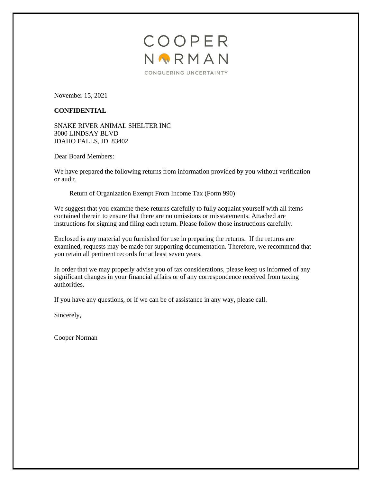

November 15, 2021

### **CONFIDENTIAL**

SNAKE RIVER ANIMAL SHELTER INC 3000 LINDSAY BLVD IDAHO FALLS, ID 83402

Dear Board Members:

We have prepared the following returns from information provided by you without verification or audit.

Return of Organization Exempt From Income Tax (Form 990)

We suggest that you examine these returns carefully to fully acquaint yourself with all items contained therein to ensure that there are no omissions or misstatements. Attached are instructions for signing and filing each return. Please follow those instructions carefully.

Enclosed is any material you furnished for use in preparing the returns. If the returns are examined, requests may be made for supporting documentation. Therefore, we recommend that you retain all pertinent records for at least seven years.

In order that we may properly advise you of tax considerations, please keep us informed of any significant changes in your financial affairs or of any correspondence received from taxing authorities.

If you have any questions, or if we can be of assistance in any way, please call.

Sincerely,

Cooper Norman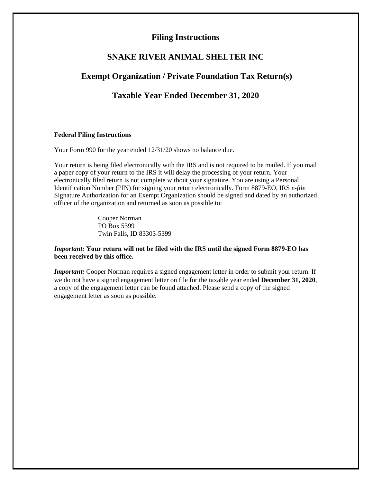### **Filing Instructions**

### **SNAKE RIVER ANIMAL SHELTER INC**

### **Exempt Organization / Private Foundation Tax Return(s)**

### **Taxable Year Ended December 31, 2020**

### **Federal Filing Instructions**

Your Form 990 for the year ended 12/31/20 shows no balance due.

Your return is being filed electronically with the IRS and is not required to be mailed. If you mail a paper copy of your return to the IRS it will delay the processing of your return. Your electronically filed return is not complete without your signature. You are using a Personal Identification Number (PIN) for signing your return electronically. Form 8879-EO, IRS *e-file* Signature Authorization for an Exempt Organization should be signed and dated by an authorized officer of the organization and returned as soon as possible to:

> Cooper Norman PO Box 5399 Twin Falls, ID 83303-5399

### *Important:* **Your return will not be filed with the IRS until the signed Form 8879-EO has been received by this office.**

*Important:* Cooper Norman requires a signed engagement letter in order to submit your return. If we do not have a signed engagement letter on file for the taxable year ended **December 31, 2020**, a copy of the engagement letter can be found attached. Please send a copy of the signed engagement letter as soon as possible.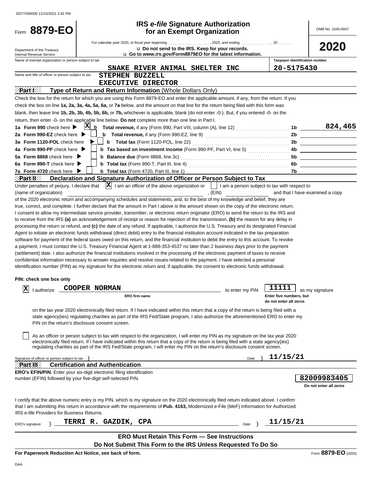| 20277400000 11/15/2021 2:42 PM                            |                                                                                                                                                                                                                                                                                                                                                                                                         |                                                                                                                |                                                   |                                 |
|-----------------------------------------------------------|---------------------------------------------------------------------------------------------------------------------------------------------------------------------------------------------------------------------------------------------------------------------------------------------------------------------------------------------------------------------------------------------------------|----------------------------------------------------------------------------------------------------------------|---------------------------------------------------|---------------------------------|
| Form 8879-EO                                              |                                                                                                                                                                                                                                                                                                                                                                                                         | <b>IRS e-file Signature Authorization</b><br>for an Exempt Organization                                        |                                                   | OMB No. 1545-0047               |
| Department of the Treasury<br>Internal Revenue Service    |                                                                                                                                                                                                                                                                                                                                                                                                         | U Do not send to the IRS. Keep for your records.<br>U Go to www.irs.gov/Form8879EO for the latest information. |                                                   | 2020                            |
| Name of exempt organization or person subject to tax      |                                                                                                                                                                                                                                                                                                                                                                                                         |                                                                                                                | <b>Taxpayer identification number</b>             |                                 |
|                                                           | SNAKE RIVER ANIMAL SHELTER INC                                                                                                                                                                                                                                                                                                                                                                          |                                                                                                                | 20-5175430                                        |                                 |
| Name and title of officer or person subject to tax        | STEPHEN BUZZELL                                                                                                                                                                                                                                                                                                                                                                                         |                                                                                                                |                                                   |                                 |
| Part I                                                    | <b>EXECUTIVE DIRECTOR</b>                                                                                                                                                                                                                                                                                                                                                                               |                                                                                                                |                                                   |                                 |
|                                                           | Type of Return and Return Information (Whole Dollars Only)                                                                                                                                                                                                                                                                                                                                              |                                                                                                                |                                                   |                                 |
|                                                           | Check the box for the return for which you are using this Form 8879-EO and enter the applicable amount, if any, from the return. If you                                                                                                                                                                                                                                                                 |                                                                                                                |                                                   |                                 |
|                                                           | check the box on line 1a, 2a, 3a, 4a, 5a, 6a, or 7a below, and the amount on that line for the return being filed with this form was<br>blank, then leave line 1b, 2b, 3b, 4b, 5b, 6b, or 7b, whichever is applicable, blank (do not enter -0-). But, if you entered -0- on the                                                                                                                         |                                                                                                                |                                                   |                                 |
|                                                           | return, then enter -0- on the applicable line below. Do not complete more than one line in Part I.                                                                                                                                                                                                                                                                                                      |                                                                                                                |                                                   |                                 |
| 1a Form 990 check here $\blacktriangleright$              | $ {\bf X} $<br><b>b</b> Total revenue, if any (Form 990, Part VIII, column (A), line 12) <i>[[[[[[[[[[[[[[[[[[[[[[[[[[[[[[[]]]]</i>                                                                                                                                                                                                                                                                     |                                                                                                                |                                                   | 1b $\frac{824,465}{ }$          |
| 2a Form 990-EZ check here ▶                               |                                                                                                                                                                                                                                                                                                                                                                                                         |                                                                                                                |                                                   |                                 |
| 3a Form 1120-POL check here                               |                                                                                                                                                                                                                                                                                                                                                                                                         |                                                                                                                |                                                   |                                 |
| 4a Form 990-PF check here ▶                               | <b>b</b> Tax based on investment income (Form 990-PF, Part VI, line 5)                                                                                                                                                                                                                                                                                                                                  |                                                                                                                |                                                   |                                 |
| 5a Form 8868 check here $\blacktriangleright$             | b Balance due (Form 8868, line 3c) Martin Martin Martin Martin Martin Martin Martin Martin Martin Martin Martin Martin Martin Martin Martin Martin Martin Martin Martin Martin Martin Martin Martin Martin Martin Martin Marti                                                                                                                                                                          |                                                                                                                | 5b                                                |                                 |
| 6a Form 990-T check here $\blacktriangleright$            |                                                                                                                                                                                                                                                                                                                                                                                                         |                                                                                                                | 6b.                                               |                                 |
| 7a Form 4720 check here $\blacktriangleright$             |                                                                                                                                                                                                                                                                                                                                                                                                         |                                                                                                                |                                                   |                                 |
| Part II                                                   | Declaration and Signature Authorization of Officer or Person Subject to Tax                                                                                                                                                                                                                                                                                                                             |                                                                                                                |                                                   |                                 |
|                                                           | Under penalties of perjury, I declare that $\mathbf{x}$   am an officer of the above organization or $\ \cdot\ $   am a person subject to tax with respect to                                                                                                                                                                                                                                           |                                                                                                                |                                                   |                                 |
| (name of organization)                                    |                                                                                                                                                                                                                                                                                                                                                                                                         | , $(EIN)$                                                                                                      |                                                   | and that I have examined a copy |
|                                                           | of the 2020 electronic return and accompanying schedules and statements, and, to the best of my knowledge and belief, they are                                                                                                                                                                                                                                                                          |                                                                                                                |                                                   |                                 |
|                                                           | true, correct, and complete. I further declare that the amount in Part I above is the amount shown on the copy of the electronic return.                                                                                                                                                                                                                                                                |                                                                                                                |                                                   |                                 |
|                                                           | I consent to allow my intermediate service provider, transmitter, or electronic return originator (ERO) to send the return to the IRS and                                                                                                                                                                                                                                                               |                                                                                                                |                                                   |                                 |
|                                                           | to receive from the IRS (a) an acknowledgement of receipt or reason for rejection of the transmission, (b) the reason for any delay in                                                                                                                                                                                                                                                                  |                                                                                                                |                                                   |                                 |
|                                                           | processing the return or refund, and (c) the date of any refund. If applicable, I authorize the U.S. Treasury and its designated Financial                                                                                                                                                                                                                                                              |                                                                                                                |                                                   |                                 |
|                                                           | Agent to initiate an electronic funds withdrawal (direct debit) entry to the financial institution account indicated in the tax preparation<br>software for payment of the federal taxes owed on this return, and the financial institution to debit the entry to this account. To revoke                                                                                                               |                                                                                                                |                                                   |                                 |
|                                                           | a payment, I must contact the U.S. Treasury Financial Agent at 1-888-353-4537 no later than 2 business days prior to the payment                                                                                                                                                                                                                                                                        |                                                                                                                |                                                   |                                 |
|                                                           | (settlement) date. I also authorize the financial institutions involved in the processing of the electronic payment of taxes to receive                                                                                                                                                                                                                                                                 |                                                                                                                |                                                   |                                 |
|                                                           | confidential information necessary to answer inquiries and resolve issues related to the payment. I have selected a personal                                                                                                                                                                                                                                                                            |                                                                                                                |                                                   |                                 |
|                                                           | identification number (PIN) as my signature for the electronic return and, if applicable, the consent to electronic funds withdrawal.                                                                                                                                                                                                                                                                   |                                                                                                                |                                                   |                                 |
| PIN: check one box only                                   |                                                                                                                                                                                                                                                                                                                                                                                                         |                                                                                                                |                                                   |                                 |
|                                                           |                                                                                                                                                                                                                                                                                                                                                                                                         |                                                                                                                |                                                   |                                 |
| X<br>I authorize                                          | <b>COOPER NORMAN</b>                                                                                                                                                                                                                                                                                                                                                                                    | to enter my PIN                                                                                                | 11111                                             | as my signature                 |
|                                                           | ERO firm name                                                                                                                                                                                                                                                                                                                                                                                           |                                                                                                                | Enter five numbers, but<br>do not enter all zeros |                                 |
|                                                           |                                                                                                                                                                                                                                                                                                                                                                                                         |                                                                                                                |                                                   |                                 |
|                                                           | on the tax year 2020 electronically filed return. If I have indicated within this return that a copy of the return is being filed with a                                                                                                                                                                                                                                                                |                                                                                                                |                                                   |                                 |
|                                                           | state agency(ies) regulating charities as part of the IRS Fed/State program, I also authorize the aforementioned ERO to enter my<br>PIN on the return's disclosure consent screen.                                                                                                                                                                                                                      |                                                                                                                |                                                   |                                 |
|                                                           |                                                                                                                                                                                                                                                                                                                                                                                                         |                                                                                                                |                                                   |                                 |
|                                                           | As an officer or person subject to tax with respect to the organization, I will enter my PIN as my signature on the tax year 2020<br>electronically filed return. If I have indicated within this return that a copy of the return is being filed with a state agency(ies)<br>regulating charities as part of the IRS Fed/State program, I will enter my PIN on the return's disclosure consent screen. |                                                                                                                |                                                   |                                 |
|                                                           |                                                                                                                                                                                                                                                                                                                                                                                                         |                                                                                                                | 11/15/21                                          |                                 |
| Signature of officer or person subject to tax<br>Part III | <b>Certification and Authentication</b>                                                                                                                                                                                                                                                                                                                                                                 | Date                                                                                                           |                                                   |                                 |
|                                                           | ERO's EFIN/PIN. Enter your six-digit electronic filing identification                                                                                                                                                                                                                                                                                                                                   |                                                                                                                |                                                   |                                 |
|                                                           | number (EFIN) followed by your five-digit self-selected PIN.                                                                                                                                                                                                                                                                                                                                            |                                                                                                                |                                                   | 82009983405                     |
|                                                           |                                                                                                                                                                                                                                                                                                                                                                                                         |                                                                                                                |                                                   | Do not enter all zeros          |
|                                                           |                                                                                                                                                                                                                                                                                                                                                                                                         |                                                                                                                |                                                   |                                 |
|                                                           | I certify that the above numeric entry is my PIN, which is my signature on the 2020 electronically filed return indicated above. I confirm                                                                                                                                                                                                                                                              |                                                                                                                |                                                   |                                 |
|                                                           | that I am submitting this return in accordance with the requirements of Pub. 4163, Modernized e-File (MeF) Information for Authorized                                                                                                                                                                                                                                                                   |                                                                                                                |                                                   |                                 |
| IRS e-file Providers for Business Returns.                |                                                                                                                                                                                                                                                                                                                                                                                                         |                                                                                                                |                                                   |                                 |
| ERO's signature                                           | <b>TERRI R. GAZDIK, CPA</b>                                                                                                                                                                                                                                                                                                                                                                             | Date                                                                                                           | 11/15/21                                          |                                 |
|                                                           |                                                                                                                                                                                                                                                                                                                                                                                                         |                                                                                                                |                                                   |                                 |
|                                                           | <b>ERO Must Retain This Form - See Instructions</b>                                                                                                                                                                                                                                                                                                                                                     |                                                                                                                |                                                   |                                 |

### **Do Not Submit This Form to the IRS Unless Requested To Do So**

**For Paperwork Reduction Act Notice, see back of form.**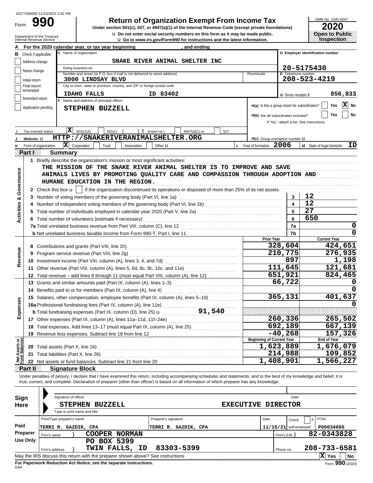$\overline{\mathbf{r}}$ 

Form

# **990 2020 2020 2020 2020 2020 2020 2020 2020 2020 2020 2020 2020 2020 2020 2020 2020 2020 2020 2020 2020 2020 2020 2020 2020 2020 2020 2020 2020 2020 2020 2020**

Internal Revenue Service u **Go to** *www.irs.gov/Form990* **for instructions and the latest information.** U Do not enter social security numbers on this form as it may be made public. **Under section 501(c), 527, or 4947(a)(1) of the Internal Revenue Code (except private foundations)**

| OMB No. 1545-0047            |
|------------------------------|
| 2020                         |
|                              |
| Open to Public               |
| $\cdots$ Inspection $\cdots$ |

|                                    | Department of the Treasury<br>Internal Revenue Service | $\cup$ Do not enter social security numbers on this form as it may be made public.<br>$\cup$ Go to www.irs.gov/Form990 for instructions and the latest information. |                         | Open to Public<br><b>Inspection</b>      |
|------------------------------------|--------------------------------------------------------|---------------------------------------------------------------------------------------------------------------------------------------------------------------------|-------------------------|------------------------------------------|
|                                    |                                                        | For the 2020 calendar year, or tax year beginning<br>, and ending                                                                                                   |                         |                                          |
|                                    | <b>B</b> Check if applicable:                          | C Name of organization                                                                                                                                              |                         | D Employer identification number         |
|                                    | Address change                                         | SNAKE RIVER ANIMAL SHELTER INC                                                                                                                                      |                         |                                          |
|                                    |                                                        | Doing business as                                                                                                                                                   |                         | 20-5175430                               |
|                                    | Name change                                            | Number and street (or P.O. box if mail is not delivered to street address)<br>Room/suite                                                                            | E Telephone number      |                                          |
|                                    | Initial return                                         | 3000 LINDSAY BLVD                                                                                                                                                   |                         | $208 - 523 - 4219$                       |
|                                    | Final return/<br>terminated                            | City or town, state or province, country, and ZIP or foreign postal code                                                                                            |                         |                                          |
|                                    |                                                        | <b>IDAHO FALLS</b><br>ID 83402                                                                                                                                      | G Gross receipts \$     | 856,833                                  |
|                                    | Amended return                                         |                                                                                                                                                                     |                         |                                          |
|                                    | Application pending                                    | H(a) Is this a group return for subordinates?<br>STEPHEN BUZZELL                                                                                                    |                         | $ \mathbf{x} $<br>Yes<br>No              |
|                                    |                                                        | H(b) Are all subordinates included?                                                                                                                                 |                         | Yes<br>No                                |
|                                    |                                                        |                                                                                                                                                                     |                         | If "No," attach a list. See instructions |
|                                    | Tax-exempt status:                                     | $ \mathbf{X} $ 501(c)(3)<br>501(c)<br>t (insert no.)<br>4947(a)(1) or<br>527                                                                                        |                         |                                          |
|                                    | Website: U                                             | HTTP://SNAKERIVERANIMALSHELTER.ORG<br>H(c) Group exemption number U                                                                                                 |                         |                                          |
|                                    | Form of organization:                                  | $ \mathbf{X} $ Corporation<br>L Year of formation: 2006<br>Trust<br>Association<br>Other U                                                                          |                         | ID<br>M State of legal domicile:         |
|                                    | Part I                                                 | <b>Summary</b>                                                                                                                                                      |                         |                                          |
|                                    |                                                        | 1 Briefly describe the organization's mission or most significant activities:                                                                                       |                         |                                          |
|                                    |                                                        | THE MISSION OF THE SNAKE RIVER ANIMAL SHELTER IS TO IMPROVE AND SAVE                                                                                                |                         |                                          |
|                                    |                                                        | ANIMALS LIVES BY PROMOTING QUALITY CARE AND COMPASSION THROUGH ADOPTION AND                                                                                         |                         |                                          |
|                                    |                                                        | HUMANE EDUCATION IN THE REGION.                                                                                                                                     |                         |                                          |
|                                    |                                                        |                                                                                                                                                                     |                         |                                          |
|                                    |                                                        | 2 Check this box $\lfloor \cdot \rfloor$ if the organization discontinued its operations or disposed of more than 25% of its net assets.                            |                         | 12                                       |
|                                    | 3                                                      |                                                                                                                                                                     | 3                       | 12                                       |
|                                    | 4                                                      |                                                                                                                                                                     | $\overline{\mathbf{4}}$ |                                          |
| <b>Activities &amp; Governance</b> |                                                        |                                                                                                                                                                     | 5                       | 27                                       |
|                                    |                                                        | 6 Total number of volunteers (estimate if necessary)                                                                                                                | 6                       | 650                                      |
|                                    |                                                        |                                                                                                                                                                     | 7a                      | 0                                        |
|                                    |                                                        |                                                                                                                                                                     | 7b                      | 0                                        |
|                                    |                                                        | Prior Year                                                                                                                                                          |                         | <b>Current Year</b>                      |
|                                    |                                                        |                                                                                                                                                                     | 328,604                 | 424,651                                  |
| Revenue                            | 9                                                      |                                                                                                                                                                     | 210,775                 | 276,935                                  |
|                                    |                                                        |                                                                                                                                                                     | 897                     | 1,198                                    |
|                                    |                                                        | 11 Other revenue (Part VIII, column (A), lines 5, 6d, 8c, 9c, 10c, and 11e)                                                                                         | 111,645                 | 121,681                                  |
|                                    | 12                                                     | Total revenue - add lines 8 through 11 (must equal Part VIII, column (A), line 12)                                                                                  | 651,921                 | 824,465                                  |
|                                    |                                                        | 13 Grants and similar amounts paid (Part IX, column (A), lines 1-3)                                                                                                 | 66,722                  | o                                        |
|                                    |                                                        |                                                                                                                                                                     |                         |                                          |
|                                    |                                                        | 15 Salaries, other compensation, employee benefits (Part IX, column (A), lines 5-10)                                                                                | 365,131                 | 401,637                                  |
| nses                               |                                                        | 16a Professional fundraising fees (Part IX, column (A), line 11e)                                                                                                   |                         | 0                                        |
| Exper                              |                                                        |                                                                                                                                                                     |                         |                                          |
|                                    |                                                        |                                                                                                                                                                     | 260,336                 | 265,502                                  |
|                                    |                                                        | 18 Total expenses. Add lines 13-17 (must equal Part IX, column (A), line 25) [[[[[[[[[[[[[[[[[[[[[[[[[[[[[[[[                                                       | $\overline{692}$ , 189  | 667,139                                  |
|                                    |                                                        | 19 Revenue less expenses. Subtract line 18 from line 12                                                                                                             | $-40,268$               | 157,326                                  |
|                                    |                                                        | <b>Beginning of Current Year</b>                                                                                                                                    |                         | End of Year                              |
|                                    |                                                        | 1,623,889                                                                                                                                                           |                         | 1,676,079                                |
| Net Assets or<br>Fund Balances     | 21                                                     | Total liabilities (Part X, line 26)                                                                                                                                 | 214,988                 | 109,852                                  |
|                                    |                                                        | 1,408,901<br>22 Net assets or fund balances. Subtract line 21 from line 20                                                                                          |                         | 1,566,227                                |
|                                    | Part II                                                | <b>Signature Block</b>                                                                                                                                              |                         |                                          |

Under penalties of perjury, I declare that I have examined this return, including accompanying schedules and statements, and to the best of my knowledge and belief, it is true, correct, and complete. Declaration of preparer (other than officer) is based on all information of which preparer has any knowledge.

| Sign        | Signature of officer                                                                               |                           |           | Date                     |                 |  |  |
|-------------|----------------------------------------------------------------------------------------------------|---------------------------|-----------|--------------------------|-----------------|--|--|
| <b>Here</b> | <b>BUZZELL</b><br><b>STEPHEN</b><br>Type or print name and title                                   | <b>EXECUTIVE DIRECTOR</b> |           |                          |                 |  |  |
|             | Print/Type preparer's name                                                                         | Preparer's signature      | Date      | Check                    | PTIN            |  |  |
| Paid        | TERRI R. GAZDIK, CPA                                                                               | TERRI R. GAZDIK, CPA      |           | $11/15/21$ self-employed | P00034666       |  |  |
| Preparer    | COOPER NORMAN<br>Firm's name                                                                       |                           |           | Firm's $EIN$             | 82-0343828      |  |  |
| Use Only    | <b>BOX 5399</b><br>PO.                                                                             |                           |           |                          |                 |  |  |
|             | TWIN FALLS, ID<br>Firm's address                                                                   | 83303-5399                | Phone no. |                          | 208-733-6581    |  |  |
|             | ΙX<br>May the IRS discuss this return with the preparer shown above? See instructions<br>No<br>Yes |                           |           |                          |                 |  |  |
| DAA         | For Paperwork Reduction Act Notice, see the separate instructions.                                 |                           |           |                          | Form 990 (2020) |  |  |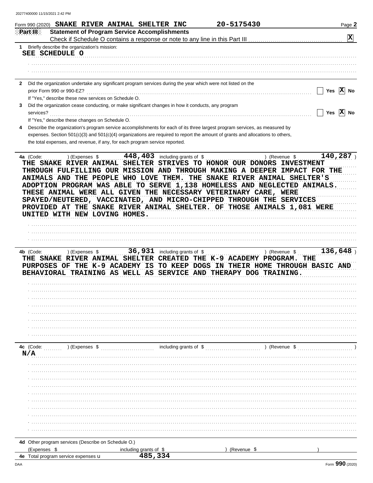| Part III                  | Form 990 (2020) SNAKE RIVER ANIMAL SHELTER INC<br><b>Statement of Program Service Accomplishments</b>                                              |                                   | 20-5175430  |               | Page 2         |
|---------------------------|----------------------------------------------------------------------------------------------------------------------------------------------------|-----------------------------------|-------------|---------------|----------------|
|                           |                                                                                                                                                    |                                   |             |               | $ \mathbf{x} $ |
|                           | 1 Briefly describe the organization's mission:                                                                                                     |                                   |             |               |                |
| SEE SCHEDULE O            |                                                                                                                                                    |                                   |             |               |                |
|                           |                                                                                                                                                    |                                   |             |               |                |
|                           |                                                                                                                                                    |                                   |             |               |                |
|                           | 2 Did the organization undertake any significant program services during the year which were not listed on the                                     |                                   |             |               |                |
| prior Form 990 or 990-EZ? |                                                                                                                                                    |                                   |             |               | Yes $ X $ No   |
|                           | If "Yes," describe these new services on Schedule O.                                                                                               |                                   |             |               |                |
| 3<br>services?            | Did the organization cease conducting, or make significant changes in how it conducts, any program                                                 |                                   |             |               | Yes $X$ No     |
|                           | If "Yes," describe these changes on Schedule O.                                                                                                    |                                   |             |               |                |
|                           | Describe the organization's program service accomplishments for each of its three largest program services, as measured by                         |                                   |             |               |                |
|                           | expenses. Section 501(c)(3) and 501(c)(4) organizations are required to report the amount of grants and allocations to others,                     |                                   |             |               |                |
|                           | the total expenses, and revenue, if any, for each program service reported.                                                                        |                                   |             |               |                |
| 4a (Code:                 | ) (Expenses \$                                                                                                                                     | $448,403$ including grants of \$  |             | ) (Revenue \$ | 140,287        |
|                           | THE SNAKE RIVER ANIMAL SHELTER STRIVES TO HONOR OUR DONORS INVESTMENT                                                                              |                                   |             |               |                |
|                           | THROUGH FULFILLING OUR MISSION AND THROUGH MAKING A DEEPER IMPACT FOR THE                                                                          |                                   |             |               |                |
|                           | ANIMALS AND THE PEOPLE WHO LOVE THEM. THE SNAKE RIVER ANIMAL SHELTER'S<br>ADOPTION PROGRAM WAS ABLE TO SERVE 1,138 HOMELESS AND NEGLECTED ANIMALS. |                                   |             |               |                |
|                           | THESE ANIMAL WERE ALL GIVEN THE NECESSARY VETERINARY CARE, WERE                                                                                    |                                   |             |               |                |
|                           | SPAYED/NEUTERED, VACCINATED, AND MICRO-CHIPPED THROUGH THE SERVICES                                                                                |                                   |             |               |                |
|                           | PROVIDED AT THE SNAKE RIVER ANIMAL SHELTER. OF THOSE ANIMALS 1,081 WERE                                                                            |                                   |             |               |                |
|                           | UNITED WITH NEW LOVING HOMES.                                                                                                                      |                                   |             |               |                |
|                           |                                                                                                                                                    |                                   |             |               |                |
|                           |                                                                                                                                                    |                                   |             |               |                |
|                           |                                                                                                                                                    |                                   |             |               |                |
| 4b (Code:                 | ) (Expenses \$                                                                                                                                     | 36,931 including grants of \$     |             | ) (Revenue \$ | 136,648        |
|                           | THE SNAKE RIVER ANIMAL SHELTER CREATED THE K-9 ACADEMY PROGRAM. THE                                                                                |                                   |             |               |                |
|                           | PURPOSES OF THE K-9 ACADEMY IS TO KEEP DOGS IN THEIR HOME THROUGH BASIC AND                                                                        |                                   |             |               |                |
|                           | BEHAVIORAL TRAINING AS WELL AS SERVICE AND THERAPY DOG TRAINING.                                                                                   |                                   |             |               |                |
|                           |                                                                                                                                                    |                                   |             |               |                |
|                           |                                                                                                                                                    |                                   |             |               |                |
|                           |                                                                                                                                                    |                                   |             |               |                |
|                           |                                                                                                                                                    |                                   |             |               |                |
|                           |                                                                                                                                                    |                                   |             |               |                |
|                           |                                                                                                                                                    |                                   |             |               |                |
|                           |                                                                                                                                                    |                                   |             |               |                |
| 4c (Code:                 | ) (Expenses \$                                                                                                                                     | including grants of \$            |             | ) (Revenue \$ |                |
| N/A                       |                                                                                                                                                    |                                   |             |               |                |
|                           |                                                                                                                                                    |                                   |             |               |                |
|                           |                                                                                                                                                    |                                   |             |               |                |
|                           |                                                                                                                                                    |                                   |             |               |                |
|                           |                                                                                                                                                    |                                   |             |               |                |
|                           |                                                                                                                                                    |                                   |             |               |                |
|                           |                                                                                                                                                    |                                   |             |               |                |
|                           |                                                                                                                                                    |                                   |             |               |                |
|                           |                                                                                                                                                    |                                   |             |               |                |
|                           |                                                                                                                                                    |                                   |             |               |                |
|                           |                                                                                                                                                    |                                   |             |               |                |
|                           | 4d Other program services (Describe on Schedule O.)                                                                                                |                                   |             |               |                |
| (Expenses \$              | 4e Total program service expenses U                                                                                                                | including grants of \$<br>485,334 | (Revenue \$ |               |                |
|                           |                                                                                                                                                    |                                   |             |               |                |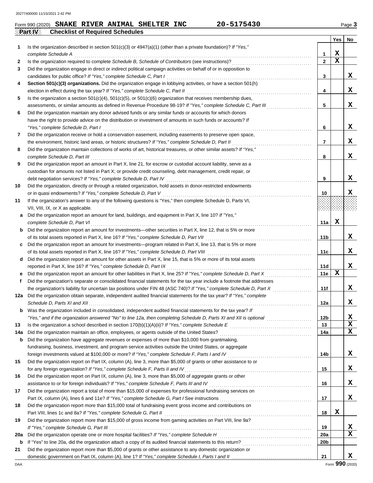### **Part IV Checklist of Required Schedules** Form 990 (2020) Page **3 SNAKE RIVER ANIMAL SHELTER INC 20-5175430**

|     |                                                                                                                         |              | Yes | No |
|-----|-------------------------------------------------------------------------------------------------------------------------|--------------|-----|----|
| 1   | Is the organization described in section $501(c)(3)$ or $4947(a)(1)$ (other than a private foundation)? If "Yes,"       |              |     |    |
|     | complete Schedule A                                                                                                     | 1            | X   |    |
| 2   |                                                                                                                         | $\mathbf{2}$ | X   |    |
| 3   | Did the organization engage in direct or indirect political campaign activities on behalf of or in opposition to        |              |     |    |
|     |                                                                                                                         | 3            |     | x  |
| 4   | Section 501(c)(3) organizations. Did the organization engage in lobbying activities, or have a section 501(h)           |              |     |    |
|     |                                                                                                                         | 4            |     | x  |
| 5   | Is the organization a section $501(c)(4)$ , $501(c)(5)$ , or $501(c)(6)$ organization that receives membership dues,    |              |     |    |
|     | assessments, or similar amounts as defined in Revenue Procedure 98-19? If "Yes," complete Schedule C, Part III          | 5            |     | x  |
| 6   | Did the organization maintain any donor advised funds or any similar funds or accounts for which donors                 |              |     |    |
|     | have the right to provide advice on the distribution or investment of amounts in such funds or accounts? If             |              |     |    |
|     | "Yes," complete Schedule D, Part I                                                                                      | 6            |     | x  |
| 7   | Did the organization receive or hold a conservation easement, including easements to preserve open space,               |              |     |    |
|     | the environment, historic land areas, or historic structures? If "Yes," complete Schedule D, Part II                    | 7            |     | x  |
| 8   | Did the organization maintain collections of works of art, historical treasures, or other similar assets? If "Yes,"     |              |     |    |
|     | complete Schedule D, Part III                                                                                           | 8            |     | x  |
| 9   | Did the organization report an amount in Part X, line 21, for escrow or custodial account liability, serve as a         |              |     |    |
|     | custodian for amounts not listed in Part X; or provide credit counseling, debt management, credit repair, or            |              |     |    |
|     |                                                                                                                         | 9            |     | x  |
| 10  | Did the organization, directly or through a related organization, hold assets in donor-restricted endowments            |              |     |    |
|     | or in quasi endowments? If "Yes," complete Schedule D, Part V                                                           | 10           |     | x  |
| 11  | If the organization's answer to any of the following questions is "Yes," then complete Schedule D, Parts VI,            |              |     |    |
|     | VII, VIII, IX, or X as applicable.                                                                                      |              |     |    |
| a   | Did the organization report an amount for land, buildings, and equipment in Part X, line 10? If "Yes,"                  |              |     |    |
|     | complete Schedule D, Part VI                                                                                            | 11a          | x   |    |
|     | <b>b</b> Did the organization report an amount for investments—other securities in Part X, line 12, that is 5% or more  |              |     |    |
|     | of its total assets reported in Part X, line 16? If "Yes," complete Schedule D, Part VII [[[[[[[[[[[[[[[[[[[[[          | 11b          |     | x  |
| C   | Did the organization report an amount for investments—program related in Part X, line 13, that is 5% or more            |              |     |    |
|     | of its total assets reported in Part X, line 16? If "Yes," complete Schedule D, Part VIII [[[[[[[[[[[[[[[[[[[           | 11c          |     | x  |
| d   | Did the organization report an amount for other assets in Part X, line 15, that is 5% or more of its total assets       |              |     |    |
|     | reported in Part X, line 16? If "Yes," complete Schedule D, Part IX                                                     | 11d          |     | x  |
|     |                                                                                                                         | 11e          | х   |    |
| f   | Did the organization's separate or consolidated financial statements for the tax year include a footnote that addresses |              |     |    |
|     | the organization's liability for uncertain tax positions under FIN 48 (ASC 740)? If "Yes," complete Schedule D, Part X  | 11f          |     | x  |
| 12a | Did the organization obtain separate, independent audited financial statements for the tax year? If "Yes," complete     |              |     |    |
|     |                                                                                                                         | 12a          |     | x  |
| b   | Was the organization included in consolidated, independent audited financial statements for the tax year? If            |              |     |    |
|     |                                                                                                                         | 12b          |     | X  |
| 13  |                                                                                                                         | 13           |     | X  |
| 14a |                                                                                                                         | 14a          |     | X  |
| b   | Did the organization have aggregate revenues or expenses of more than \$10,000 from grantmaking,                        |              |     |    |
|     | fundraising, business, investment, and program service activities outside the United States, or aggregate               |              |     |    |
|     | foreign investments valued at \$100,000 or more? If "Yes," complete Schedule F, Parts I and IV [[[[[[[[[[[[[[[          | 14b          |     | x  |
| 15  | Did the organization report on Part IX, column (A), line 3, more than \$5,000 of grants or other assistance to or       |              |     |    |
|     | for any foreign organization? If "Yes," complete Schedule F, Parts II and IV                                            | 15           |     | x  |
| 16  | Did the organization report on Part IX, column (A), line 3, more than \$5,000 of aggregate grants or other              |              |     |    |
|     |                                                                                                                         | 16           |     | X  |
| 17  | Did the organization report a total of more than \$15,000 of expenses for professional fundraising services on          |              |     |    |
|     |                                                                                                                         | 17           |     | x  |
| 18  | Did the organization report more than \$15,000 total of fundraising event gross income and contributions on             |              |     |    |
|     | Part VIII, lines 1c and 8a? If "Yes," complete Schedule G, Part II                                                      | 18           | X   |    |
| 19  | Did the organization report more than \$15,000 of gross income from gaming activities on Part VIII, line 9a?            |              |     |    |
|     |                                                                                                                         | 19           |     | X  |
| 20a |                                                                                                                         | 20a          |     | X  |
| b   |                                                                                                                         | 20b          |     |    |
| 21  | Did the organization report more than \$5,000 of grants or other assistance to any domestic organization or             |              |     |    |
|     |                                                                                                                         | 21           |     | x  |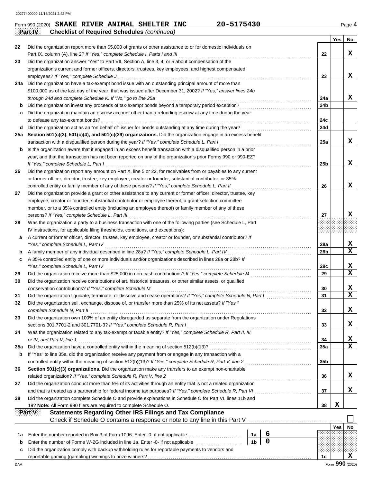|     | 20-5175430<br>Form 990 (2020) SNAKE RIVER ANIMAL SHELTER INC                                                                                                                                                               |                |             |     |     | Page 4      |
|-----|----------------------------------------------------------------------------------------------------------------------------------------------------------------------------------------------------------------------------|----------------|-------------|-----|-----|-------------|
|     | Part IV<br><b>Checklist of Required Schedules (continued)</b>                                                                                                                                                              |                |             |     |     |             |
|     |                                                                                                                                                                                                                            |                |             |     | Yes | No          |
| 22  | Did the organization report more than \$5,000 of grants or other assistance to or for domestic individuals on<br>Part IX, column (A), line 2? If "Yes," complete Schedule I, Parts I and III                               |                |             | 22  |     | x           |
| 23  | Did the organization answer "Yes" to Part VII, Section A, line 3, 4, or 5 about compensation of the                                                                                                                        |                |             |     |     |             |
|     | organization's current and former officers, directors, trustees, key employees, and highest compensated                                                                                                                    |                |             |     |     |             |
|     | employees? If "Yes," complete Schedule J                                                                                                                                                                                   |                |             | 23  |     | X           |
|     | 24a Did the organization have a tax-exempt bond issue with an outstanding principal amount of more than                                                                                                                    |                |             |     |     |             |
|     | \$100,000 as of the last day of the year, that was issued after December 31, 2002? If "Yes," answer lines 24b                                                                                                              |                |             |     |     |             |
|     | through 24d and complete Schedule K. If "No," go to line 25a                                                                                                                                                               |                |             | 24a |     | X           |
| b   | Did the organization invest any proceeds of tax-exempt bonds beyond a temporary period exception?                                                                                                                          |                |             | 24b |     |             |
| c   | Did the organization maintain an escrow account other than a refunding escrow at any time during the year                                                                                                                  |                |             |     |     |             |
|     | to defease any tax-exempt bonds?                                                                                                                                                                                           |                |             | 24c |     |             |
| d   |                                                                                                                                                                                                                            |                |             | 24d |     |             |
|     | 25a Section 501(c)(3), 501(c)(4), and 501(c)(29) organizations. Did the organization engage in an excess benefit                                                                                                           |                |             |     |     |             |
|     | transaction with a disqualified person during the year? If "Yes," complete Schedule L, Part I                                                                                                                              |                |             | 25a |     | x           |
| b   | Is the organization aware that it engaged in an excess benefit transaction with a disqualified person in a prior                                                                                                           |                |             |     |     |             |
|     | year, and that the transaction has not been reported on any of the organization's prior Forms 990 or 990-EZ?                                                                                                               |                |             |     |     | x           |
|     | If "Yes," complete Schedule L, Part I                                                                                                                                                                                      |                |             | 25b |     |             |
| 26  | Did the organization report any amount on Part X, line 5 or 22, for receivables from or payables to any current<br>or former officer, director, trustee, key employee, creator or founder, substantial contributor, or 35% |                |             |     |     |             |
|     | controlled entity or family member of any of these persons? If "Yes," complete Schedule L, Part II                                                                                                                         |                |             | 26  |     | x           |
| 27  | Did the organization provide a grant or other assistance to any current or former officer, director, trustee, key                                                                                                          |                |             |     |     |             |
|     | employee, creator or founder, substantial contributor or employee thereof, a grant selection committee                                                                                                                     |                |             |     |     |             |
|     | member, or to a 35% controlled entity (including an employee thereof) or family member of any of these                                                                                                                     |                |             |     |     |             |
|     | persons? If "Yes," complete Schedule L, Part III                                                                                                                                                                           |                |             | 27  |     | X           |
| 28  | Was the organization a party to a business transaction with one of the following parties (see Schedule L, Part                                                                                                             |                |             |     |     |             |
|     | IV instructions, for applicable filing thresholds, conditions, and exceptions):                                                                                                                                            |                |             |     |     |             |
| а   | A current or former officer, director, trustee, key employee, creator or founder, or substantial contributor? If                                                                                                           |                |             |     |     |             |
|     | "Yes," complete Schedule L, Part IV                                                                                                                                                                                        |                |             | 28a |     | X           |
| b   | A family member of any individual described in line 28a? If "Yes," complete Schedule L, Part IV                                                                                                                            |                |             | 28b |     | x           |
| c   | A 35% controlled entity of one or more individuals and/or organizations described in lines 28a or 28b? If                                                                                                                  |                |             |     |     |             |
|     | "Yes," complete Schedule L, Part IV                                                                                                                                                                                        |                |             | 28c |     | X           |
| 29  | Did the organization receive more than \$25,000 in non-cash contributions? If "Yes," complete Schedule M                                                                                                                   |                |             | 29  |     | $\mathbf X$ |
| 30  | Did the organization receive contributions of art, historical treasures, or other similar assets, or qualified                                                                                                             |                |             |     |     |             |
|     | conservation contributions? If "Yes," complete Schedule M                                                                                                                                                                  |                |             | 30  |     | Х           |
| 31  | Did the organization liquidate, terminate, or dissolve and cease operations? If "Yes," complete Schedule N, Part I                                                                                                         |                |             | 31  |     | X           |
| 32  | Did the organization sell, exchange, dispose of, or transfer more than 25% of its net assets? If "Yes,"                                                                                                                    |                |             |     |     |             |
|     | complete Schedule N, Part II                                                                                                                                                                                               |                |             | 32  |     | X           |
| 33  | Did the organization own 100% of an entity disregarded as separate from the organization under Regulations                                                                                                                 |                |             |     |     |             |
|     | sections 301.7701-2 and 301.7701-3? If "Yes," complete Schedule R, Part I                                                                                                                                                  |                |             | 33  |     | X           |
| 34  | Was the organization related to any tax-exempt or taxable entity? If "Yes," complete Schedule R, Part II, III,                                                                                                             |                |             |     |     |             |
|     | or IV, and Part V, line 1                                                                                                                                                                                                  |                |             | 34  |     | X           |
| 35a | Did the organization have a controlled entity within the meaning of section 512(b)(13)?                                                                                                                                    |                |             | 35a |     | X           |
| b   | If "Yes" to line 35a, did the organization receive any payment from or engage in any transaction with a                                                                                                                    |                |             |     |     |             |
| 36  | controlled entity within the meaning of section 512(b)(13)? If "Yes," complete Schedule R, Part V, line 2<br>Section 501(c)(3) organizations. Did the organization make any transfers to an exempt non-charitable          |                |             | 35b |     |             |
|     | related organization? If "Yes," complete Schedule R, Part V, line 2                                                                                                                                                        |                |             | 36  |     | x           |
| 37  | Did the organization conduct more than 5% of its activities through an entity that is not a related organization                                                                                                           |                |             |     |     |             |
|     | and that is treated as a partnership for federal income tax purposes? If "Yes," complete Schedule R, Part VI                                                                                                               |                |             | 37  |     | x           |
| 38  | Did the organization complete Schedule O and provide explanations in Schedule O for Part VI, lines 11b and                                                                                                                 |                |             |     |     |             |
|     | 19? Note: All Form 990 filers are required to complete Schedule O.                                                                                                                                                         |                |             | 38  | X   |             |
|     | <b>Statements Regarding Other IRS Filings and Tax Compliance</b><br>Part V                                                                                                                                                 |                |             |     |     |             |
|     |                                                                                                                                                                                                                            |                |             |     |     |             |
|     |                                                                                                                                                                                                                            |                |             |     | Yes | No          |
| 1a  | Enter the number reported in Box 3 of Form 1096. Enter -0- if not applicable                                                                                                                                               | 1a             | 6           |     |     |             |
| b   | Enter the number of Forms W-2G included in line 1a. Enter -0- if not applicable                                                                                                                                            | 1 <sub>b</sub> | $\mathbf 0$ |     |     |             |
|     | Did the organization comply with backup withholding rules for reportable payments to vendors and                                                                                                                           |                |             |     |     |             |
| c   |                                                                                                                                                                                                                            |                |             |     |     |             |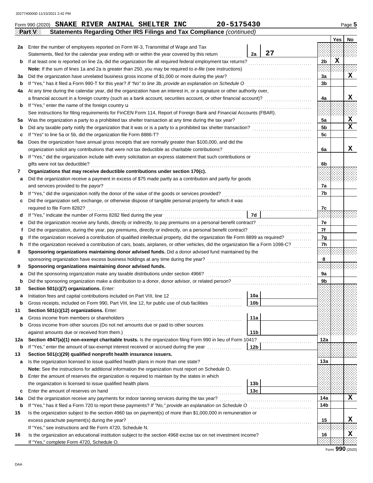| Statements Regarding Other IRS Filings and Tax Compliance (continued)<br>Part V<br>No<br>Yes<br>Enter the number of employees reported on Form W-3, Transmittal of Wage and Tax<br>2a<br>27<br>Statements, filed for the calendar year ending with or within the year covered by this return<br>2a<br>X<br>If at least one is reported on line 2a, did the organization file all required federal employment tax returns?<br>2b<br>b<br>Note: If the sum of lines 1a and 2a is greater than 250, you may be required to e-file (see instructions)<br>х<br>Did the organization have unrelated business gross income of \$1,000 or more during the year?<br>3a<br>За<br>If "Yes," has it filed a Form 990-T for this year? If "No" to line 3b, provide an explanation on Schedule O<br>3b<br>b<br>At any time during the calendar year, did the organization have an interest in, or a signature or other authority over,<br>4a<br>X<br>a financial account in a foreign country (such as a bank account, securities account, or other financial account)?<br>4a<br>If "Yes," enter the name of the foreign country U<br>b<br>See instructions for filing requirements for FinCEN Form 114, Report of Foreign Bank and Financial Accounts (FBAR).<br>X<br>Was the organization a party to a prohibited tax shelter transaction at any time during the tax year?<br>5a<br>5a<br>$\mathbf x$<br>5b<br>Did any taxable party notify the organization that it was or is a party to a prohibited tax shelter transaction?<br>b<br>If "Yes" to line 5a or 5b, did the organization file Form 8886-T?<br>5c<br>c<br>Does the organization have annual gross receipts that are normally greater than \$100,000, and did the<br>6а<br>x<br>organization solicit any contributions that were not tax deductible as charitable contributions?<br>6a<br>If "Yes," did the organization include with every solicitation an express statement that such contributions or<br>b<br>gifts were not tax deductible?<br>6b<br>Organizations that may receive deductible contributions under section 170(c).<br>7<br>Did the organization receive a payment in excess of \$75 made partly as a contribution and partly for goods<br>а<br>and services provided to the payor?<br>7a<br>If "Yes," did the organization notify the donor of the value of the goods or services provided?<br>7b<br>b<br>Did the organization sell, exchange, or otherwise dispose of tangible personal property for which it was<br>c<br>required to file Form 8282?<br>7c<br>If "Yes," indicate the number of Forms 8282 filed during the year<br>7d<br>d<br>Did the organization receive any funds, directly or indirectly, to pay premiums on a personal benefit contract?<br>7e<br>е<br>7f<br>Did the organization, during the year, pay premiums, directly or indirectly, on a personal benefit contract?<br>f<br>If the organization received a contribution of qualified intellectual property, did the organization file Form 8899 as required?<br>7g<br>g<br>If the organization received a contribution of cars, boats, airplanes, or other vehicles, did the organization file a Form 1098-C?<br>7h<br>h<br>Sponsoring organizations maintaining donor advised funds. Did a donor advised fund maintained by the<br>8<br>sponsoring organization have excess business holdings at any time during the year?<br>8<br><b>Contract</b><br>9<br>Sponsoring organizations maintaining donor advised funds.<br>Did the sponsoring organization make any taxable distributions under section 4966?<br>9a<br>а<br>Did the sponsoring organization make a distribution to a donor, donor advisor, or related person?<br>9b<br>b<br>Section 501(c)(7) organizations. Enter:<br>10<br>Initiation fees and capital contributions included on Part VIII, line 12<br>10a<br>а<br>Gross receipts, included on Form 990, Part VIII, line 12, for public use of club facilities<br>10 <sub>b</sub><br>b<br>11<br>Section 501(c)(12) organizations. Enter:<br>11a<br>Gross income from members or shareholders<br>a<br>Gross income from other sources (Do not net amounts due or paid to other sources<br>b<br>11 <sub>b</sub><br>against amounts due or received from them.)<br>Section 4947(a)(1) non-exempt charitable trusts. Is the organization filing Form 990 in lieu of Form 1041?<br>12a<br>12a<br>12b<br>If "Yes," enter the amount of tax-exempt interest received or accrued during the year conservance of<br>b<br>Section 501(c)(29) qualified nonprofit health insurance issuers.<br>13<br>Is the organization licensed to issue qualified health plans in more than one state?<br>13a<br>а<br>Note: See the instructions for additional information the organization must report on Schedule O.<br>Enter the amount of reserves the organization is required to maintain by the states in which<br>b<br>13 <sub>b</sub><br>13 <sub>c</sub><br>Enter the amount of reserves on hand<br>c<br>x<br>Did the organization receive any payments for indoor tanning services during the tax year?<br>14a<br>14a<br>If "Yes," has it filed a Form 720 to report these payments? If "No," provide an explanation on Schedule O<br>14b<br>b<br>Is the organization subject to the section 4960 tax on payment(s) of more than \$1,000,000 in remuneration or<br>15<br>х<br>excess parachute payment(s) during the year?<br>15<br>a sa ba<br>If "Yes," see instructions and file Form 4720, Schedule N.<br>X<br>16<br>Is the organization an educational institution subject to the section 4968 excise tax on net investment income?<br>16<br>If "Yes," complete Form 4720, Schedule O. | 20-5175430<br>Form 990 (2020) SNAKE RIVER ANIMAL SHELTER INC |  | Page 5 |
|-------------------------------------------------------------------------------------------------------------------------------------------------------------------------------------------------------------------------------------------------------------------------------------------------------------------------------------------------------------------------------------------------------------------------------------------------------------------------------------------------------------------------------------------------------------------------------------------------------------------------------------------------------------------------------------------------------------------------------------------------------------------------------------------------------------------------------------------------------------------------------------------------------------------------------------------------------------------------------------------------------------------------------------------------------------------------------------------------------------------------------------------------------------------------------------------------------------------------------------------------------------------------------------------------------------------------------------------------------------------------------------------------------------------------------------------------------------------------------------------------------------------------------------------------------------------------------------------------------------------------------------------------------------------------------------------------------------------------------------------------------------------------------------------------------------------------------------------------------------------------------------------------------------------------------------------------------------------------------------------------------------------------------------------------------------------------------------------------------------------------------------------------------------------------------------------------------------------------------------------------------------------------------------------------------------------------------------------------------------------------------------------------------------------------------------------------------------------------------------------------------------------------------------------------------------------------------------------------------------------------------------------------------------------------------------------------------------------------------------------------------------------------------------------------------------------------------------------------------------------------------------------------------------------------------------------------------------------------------------------------------------------------------------------------------------------------------------------------------------------------------------------------------------------------------------------------------------------------------------------------------------------------------------------------------------------------------------------------------------------------------------------------------------------------------------------------------------------------------------------------------------------------------------------------------------------------------------------------------------------------------------------------------------------------------------------------------------------------------------------------------------------------------------------------------------------------------------------------------------------------------------------------------------------------------------------------------------------------------------------------------------------------------------------------------------------------------------------------------------------------------------------------------------------------------------------------------------------------------------------------------------------------------------------------------------------------------------------------------------------------------------------------------------------------------------------------------------------------------------------------------------------------------------------------------------------------------------------------------------------------------------------------------------------------------------------------------------------------------------------------------------------------------------------------------------------------------------------------------------------------------------------------------------------------------------------------------------------------------------------------------------------------------------------------------------------------------------------------------------------------------------------------------------------------------------------------------------------------------------------------------------------------------------------------------------------------------------------------------------------------------------------------------------------------------------------------------------------------------------------------------------------------------------------------------------------------------------------------------------------------------------------------|--------------------------------------------------------------|--|--------|
|                                                                                                                                                                                                                                                                                                                                                                                                                                                                                                                                                                                                                                                                                                                                                                                                                                                                                                                                                                                                                                                                                                                                                                                                                                                                                                                                                                                                                                                                                                                                                                                                                                                                                                                                                                                                                                                                                                                                                                                                                                                                                                                                                                                                                                                                                                                                                                                                                                                                                                                                                                                                                                                                                                                                                                                                                                                                                                                                                                                                                                                                                                                                                                                                                                                                                                                                                                                                                                                                                                                                                                                                                                                                                                                                                                                                                                                                                                                                                                                                                                                                                                                                                                                                                                                                                                                                                                                                                                                                                                                                                                                                                                                                                                                                                                                                                                                                                                                                                                                                                                                                                                                                                                                                                                                                                                                                                                                                                                                                                                                                                                                                                                                 |                                                              |  |        |
|                                                                                                                                                                                                                                                                                                                                                                                                                                                                                                                                                                                                                                                                                                                                                                                                                                                                                                                                                                                                                                                                                                                                                                                                                                                                                                                                                                                                                                                                                                                                                                                                                                                                                                                                                                                                                                                                                                                                                                                                                                                                                                                                                                                                                                                                                                                                                                                                                                                                                                                                                                                                                                                                                                                                                                                                                                                                                                                                                                                                                                                                                                                                                                                                                                                                                                                                                                                                                                                                                                                                                                                                                                                                                                                                                                                                                                                                                                                                                                                                                                                                                                                                                                                                                                                                                                                                                                                                                                                                                                                                                                                                                                                                                                                                                                                                                                                                                                                                                                                                                                                                                                                                                                                                                                                                                                                                                                                                                                                                                                                                                                                                                                                 |                                                              |  |        |
|                                                                                                                                                                                                                                                                                                                                                                                                                                                                                                                                                                                                                                                                                                                                                                                                                                                                                                                                                                                                                                                                                                                                                                                                                                                                                                                                                                                                                                                                                                                                                                                                                                                                                                                                                                                                                                                                                                                                                                                                                                                                                                                                                                                                                                                                                                                                                                                                                                                                                                                                                                                                                                                                                                                                                                                                                                                                                                                                                                                                                                                                                                                                                                                                                                                                                                                                                                                                                                                                                                                                                                                                                                                                                                                                                                                                                                                                                                                                                                                                                                                                                                                                                                                                                                                                                                                                                                                                                                                                                                                                                                                                                                                                                                                                                                                                                                                                                                                                                                                                                                                                                                                                                                                                                                                                                                                                                                                                                                                                                                                                                                                                                                                 |                                                              |  |        |
|                                                                                                                                                                                                                                                                                                                                                                                                                                                                                                                                                                                                                                                                                                                                                                                                                                                                                                                                                                                                                                                                                                                                                                                                                                                                                                                                                                                                                                                                                                                                                                                                                                                                                                                                                                                                                                                                                                                                                                                                                                                                                                                                                                                                                                                                                                                                                                                                                                                                                                                                                                                                                                                                                                                                                                                                                                                                                                                                                                                                                                                                                                                                                                                                                                                                                                                                                                                                                                                                                                                                                                                                                                                                                                                                                                                                                                                                                                                                                                                                                                                                                                                                                                                                                                                                                                                                                                                                                                                                                                                                                                                                                                                                                                                                                                                                                                                                                                                                                                                                                                                                                                                                                                                                                                                                                                                                                                                                                                                                                                                                                                                                                                                 |                                                              |  |        |
|                                                                                                                                                                                                                                                                                                                                                                                                                                                                                                                                                                                                                                                                                                                                                                                                                                                                                                                                                                                                                                                                                                                                                                                                                                                                                                                                                                                                                                                                                                                                                                                                                                                                                                                                                                                                                                                                                                                                                                                                                                                                                                                                                                                                                                                                                                                                                                                                                                                                                                                                                                                                                                                                                                                                                                                                                                                                                                                                                                                                                                                                                                                                                                                                                                                                                                                                                                                                                                                                                                                                                                                                                                                                                                                                                                                                                                                                                                                                                                                                                                                                                                                                                                                                                                                                                                                                                                                                                                                                                                                                                                                                                                                                                                                                                                                                                                                                                                                                                                                                                                                                                                                                                                                                                                                                                                                                                                                                                                                                                                                                                                                                                                                 |                                                              |  |        |
|                                                                                                                                                                                                                                                                                                                                                                                                                                                                                                                                                                                                                                                                                                                                                                                                                                                                                                                                                                                                                                                                                                                                                                                                                                                                                                                                                                                                                                                                                                                                                                                                                                                                                                                                                                                                                                                                                                                                                                                                                                                                                                                                                                                                                                                                                                                                                                                                                                                                                                                                                                                                                                                                                                                                                                                                                                                                                                                                                                                                                                                                                                                                                                                                                                                                                                                                                                                                                                                                                                                                                                                                                                                                                                                                                                                                                                                                                                                                                                                                                                                                                                                                                                                                                                                                                                                                                                                                                                                                                                                                                                                                                                                                                                                                                                                                                                                                                                                                                                                                                                                                                                                                                                                                                                                                                                                                                                                                                                                                                                                                                                                                                                                 |                                                              |  |        |
|                                                                                                                                                                                                                                                                                                                                                                                                                                                                                                                                                                                                                                                                                                                                                                                                                                                                                                                                                                                                                                                                                                                                                                                                                                                                                                                                                                                                                                                                                                                                                                                                                                                                                                                                                                                                                                                                                                                                                                                                                                                                                                                                                                                                                                                                                                                                                                                                                                                                                                                                                                                                                                                                                                                                                                                                                                                                                                                                                                                                                                                                                                                                                                                                                                                                                                                                                                                                                                                                                                                                                                                                                                                                                                                                                                                                                                                                                                                                                                                                                                                                                                                                                                                                                                                                                                                                                                                                                                                                                                                                                                                                                                                                                                                                                                                                                                                                                                                                                                                                                                                                                                                                                                                                                                                                                                                                                                                                                                                                                                                                                                                                                                                 |                                                              |  |        |
|                                                                                                                                                                                                                                                                                                                                                                                                                                                                                                                                                                                                                                                                                                                                                                                                                                                                                                                                                                                                                                                                                                                                                                                                                                                                                                                                                                                                                                                                                                                                                                                                                                                                                                                                                                                                                                                                                                                                                                                                                                                                                                                                                                                                                                                                                                                                                                                                                                                                                                                                                                                                                                                                                                                                                                                                                                                                                                                                                                                                                                                                                                                                                                                                                                                                                                                                                                                                                                                                                                                                                                                                                                                                                                                                                                                                                                                                                                                                                                                                                                                                                                                                                                                                                                                                                                                                                                                                                                                                                                                                                                                                                                                                                                                                                                                                                                                                                                                                                                                                                                                                                                                                                                                                                                                                                                                                                                                                                                                                                                                                                                                                                                                 |                                                              |  |        |
|                                                                                                                                                                                                                                                                                                                                                                                                                                                                                                                                                                                                                                                                                                                                                                                                                                                                                                                                                                                                                                                                                                                                                                                                                                                                                                                                                                                                                                                                                                                                                                                                                                                                                                                                                                                                                                                                                                                                                                                                                                                                                                                                                                                                                                                                                                                                                                                                                                                                                                                                                                                                                                                                                                                                                                                                                                                                                                                                                                                                                                                                                                                                                                                                                                                                                                                                                                                                                                                                                                                                                                                                                                                                                                                                                                                                                                                                                                                                                                                                                                                                                                                                                                                                                                                                                                                                                                                                                                                                                                                                                                                                                                                                                                                                                                                                                                                                                                                                                                                                                                                                                                                                                                                                                                                                                                                                                                                                                                                                                                                                                                                                                                                 |                                                              |  |        |
|                                                                                                                                                                                                                                                                                                                                                                                                                                                                                                                                                                                                                                                                                                                                                                                                                                                                                                                                                                                                                                                                                                                                                                                                                                                                                                                                                                                                                                                                                                                                                                                                                                                                                                                                                                                                                                                                                                                                                                                                                                                                                                                                                                                                                                                                                                                                                                                                                                                                                                                                                                                                                                                                                                                                                                                                                                                                                                                                                                                                                                                                                                                                                                                                                                                                                                                                                                                                                                                                                                                                                                                                                                                                                                                                                                                                                                                                                                                                                                                                                                                                                                                                                                                                                                                                                                                                                                                                                                                                                                                                                                                                                                                                                                                                                                                                                                                                                                                                                                                                                                                                                                                                                                                                                                                                                                                                                                                                                                                                                                                                                                                                                                                 |                                                              |  |        |
|                                                                                                                                                                                                                                                                                                                                                                                                                                                                                                                                                                                                                                                                                                                                                                                                                                                                                                                                                                                                                                                                                                                                                                                                                                                                                                                                                                                                                                                                                                                                                                                                                                                                                                                                                                                                                                                                                                                                                                                                                                                                                                                                                                                                                                                                                                                                                                                                                                                                                                                                                                                                                                                                                                                                                                                                                                                                                                                                                                                                                                                                                                                                                                                                                                                                                                                                                                                                                                                                                                                                                                                                                                                                                                                                                                                                                                                                                                                                                                                                                                                                                                                                                                                                                                                                                                                                                                                                                                                                                                                                                                                                                                                                                                                                                                                                                                                                                                                                                                                                                                                                                                                                                                                                                                                                                                                                                                                                                                                                                                                                                                                                                                                 |                                                              |  |        |
|                                                                                                                                                                                                                                                                                                                                                                                                                                                                                                                                                                                                                                                                                                                                                                                                                                                                                                                                                                                                                                                                                                                                                                                                                                                                                                                                                                                                                                                                                                                                                                                                                                                                                                                                                                                                                                                                                                                                                                                                                                                                                                                                                                                                                                                                                                                                                                                                                                                                                                                                                                                                                                                                                                                                                                                                                                                                                                                                                                                                                                                                                                                                                                                                                                                                                                                                                                                                                                                                                                                                                                                                                                                                                                                                                                                                                                                                                                                                                                                                                                                                                                                                                                                                                                                                                                                                                                                                                                                                                                                                                                                                                                                                                                                                                                                                                                                                                                                                                                                                                                                                                                                                                                                                                                                                                                                                                                                                                                                                                                                                                                                                                                                 |                                                              |  |        |
|                                                                                                                                                                                                                                                                                                                                                                                                                                                                                                                                                                                                                                                                                                                                                                                                                                                                                                                                                                                                                                                                                                                                                                                                                                                                                                                                                                                                                                                                                                                                                                                                                                                                                                                                                                                                                                                                                                                                                                                                                                                                                                                                                                                                                                                                                                                                                                                                                                                                                                                                                                                                                                                                                                                                                                                                                                                                                                                                                                                                                                                                                                                                                                                                                                                                                                                                                                                                                                                                                                                                                                                                                                                                                                                                                                                                                                                                                                                                                                                                                                                                                                                                                                                                                                                                                                                                                                                                                                                                                                                                                                                                                                                                                                                                                                                                                                                                                                                                                                                                                                                                                                                                                                                                                                                                                                                                                                                                                                                                                                                                                                                                                                                 |                                                              |  |        |
|                                                                                                                                                                                                                                                                                                                                                                                                                                                                                                                                                                                                                                                                                                                                                                                                                                                                                                                                                                                                                                                                                                                                                                                                                                                                                                                                                                                                                                                                                                                                                                                                                                                                                                                                                                                                                                                                                                                                                                                                                                                                                                                                                                                                                                                                                                                                                                                                                                                                                                                                                                                                                                                                                                                                                                                                                                                                                                                                                                                                                                                                                                                                                                                                                                                                                                                                                                                                                                                                                                                                                                                                                                                                                                                                                                                                                                                                                                                                                                                                                                                                                                                                                                                                                                                                                                                                                                                                                                                                                                                                                                                                                                                                                                                                                                                                                                                                                                                                                                                                                                                                                                                                                                                                                                                                                                                                                                                                                                                                                                                                                                                                                                                 |                                                              |  |        |
|                                                                                                                                                                                                                                                                                                                                                                                                                                                                                                                                                                                                                                                                                                                                                                                                                                                                                                                                                                                                                                                                                                                                                                                                                                                                                                                                                                                                                                                                                                                                                                                                                                                                                                                                                                                                                                                                                                                                                                                                                                                                                                                                                                                                                                                                                                                                                                                                                                                                                                                                                                                                                                                                                                                                                                                                                                                                                                                                                                                                                                                                                                                                                                                                                                                                                                                                                                                                                                                                                                                                                                                                                                                                                                                                                                                                                                                                                                                                                                                                                                                                                                                                                                                                                                                                                                                                                                                                                                                                                                                                                                                                                                                                                                                                                                                                                                                                                                                                                                                                                                                                                                                                                                                                                                                                                                                                                                                                                                                                                                                                                                                                                                                 |                                                              |  |        |
|                                                                                                                                                                                                                                                                                                                                                                                                                                                                                                                                                                                                                                                                                                                                                                                                                                                                                                                                                                                                                                                                                                                                                                                                                                                                                                                                                                                                                                                                                                                                                                                                                                                                                                                                                                                                                                                                                                                                                                                                                                                                                                                                                                                                                                                                                                                                                                                                                                                                                                                                                                                                                                                                                                                                                                                                                                                                                                                                                                                                                                                                                                                                                                                                                                                                                                                                                                                                                                                                                                                                                                                                                                                                                                                                                                                                                                                                                                                                                                                                                                                                                                                                                                                                                                                                                                                                                                                                                                                                                                                                                                                                                                                                                                                                                                                                                                                                                                                                                                                                                                                                                                                                                                                                                                                                                                                                                                                                                                                                                                                                                                                                                                                 |                                                              |  |        |
|                                                                                                                                                                                                                                                                                                                                                                                                                                                                                                                                                                                                                                                                                                                                                                                                                                                                                                                                                                                                                                                                                                                                                                                                                                                                                                                                                                                                                                                                                                                                                                                                                                                                                                                                                                                                                                                                                                                                                                                                                                                                                                                                                                                                                                                                                                                                                                                                                                                                                                                                                                                                                                                                                                                                                                                                                                                                                                                                                                                                                                                                                                                                                                                                                                                                                                                                                                                                                                                                                                                                                                                                                                                                                                                                                                                                                                                                                                                                                                                                                                                                                                                                                                                                                                                                                                                                                                                                                                                                                                                                                                                                                                                                                                                                                                                                                                                                                                                                                                                                                                                                                                                                                                                                                                                                                                                                                                                                                                                                                                                                                                                                                                                 |                                                              |  |        |
|                                                                                                                                                                                                                                                                                                                                                                                                                                                                                                                                                                                                                                                                                                                                                                                                                                                                                                                                                                                                                                                                                                                                                                                                                                                                                                                                                                                                                                                                                                                                                                                                                                                                                                                                                                                                                                                                                                                                                                                                                                                                                                                                                                                                                                                                                                                                                                                                                                                                                                                                                                                                                                                                                                                                                                                                                                                                                                                                                                                                                                                                                                                                                                                                                                                                                                                                                                                                                                                                                                                                                                                                                                                                                                                                                                                                                                                                                                                                                                                                                                                                                                                                                                                                                                                                                                                                                                                                                                                                                                                                                                                                                                                                                                                                                                                                                                                                                                                                                                                                                                                                                                                                                                                                                                                                                                                                                                                                                                                                                                                                                                                                                                                 |                                                              |  |        |
|                                                                                                                                                                                                                                                                                                                                                                                                                                                                                                                                                                                                                                                                                                                                                                                                                                                                                                                                                                                                                                                                                                                                                                                                                                                                                                                                                                                                                                                                                                                                                                                                                                                                                                                                                                                                                                                                                                                                                                                                                                                                                                                                                                                                                                                                                                                                                                                                                                                                                                                                                                                                                                                                                                                                                                                                                                                                                                                                                                                                                                                                                                                                                                                                                                                                                                                                                                                                                                                                                                                                                                                                                                                                                                                                                                                                                                                                                                                                                                                                                                                                                                                                                                                                                                                                                                                                                                                                                                                                                                                                                                                                                                                                                                                                                                                                                                                                                                                                                                                                                                                                                                                                                                                                                                                                                                                                                                                                                                                                                                                                                                                                                                                 |                                                              |  |        |
|                                                                                                                                                                                                                                                                                                                                                                                                                                                                                                                                                                                                                                                                                                                                                                                                                                                                                                                                                                                                                                                                                                                                                                                                                                                                                                                                                                                                                                                                                                                                                                                                                                                                                                                                                                                                                                                                                                                                                                                                                                                                                                                                                                                                                                                                                                                                                                                                                                                                                                                                                                                                                                                                                                                                                                                                                                                                                                                                                                                                                                                                                                                                                                                                                                                                                                                                                                                                                                                                                                                                                                                                                                                                                                                                                                                                                                                                                                                                                                                                                                                                                                                                                                                                                                                                                                                                                                                                                                                                                                                                                                                                                                                                                                                                                                                                                                                                                                                                                                                                                                                                                                                                                                                                                                                                                                                                                                                                                                                                                                                                                                                                                                                 |                                                              |  |        |
|                                                                                                                                                                                                                                                                                                                                                                                                                                                                                                                                                                                                                                                                                                                                                                                                                                                                                                                                                                                                                                                                                                                                                                                                                                                                                                                                                                                                                                                                                                                                                                                                                                                                                                                                                                                                                                                                                                                                                                                                                                                                                                                                                                                                                                                                                                                                                                                                                                                                                                                                                                                                                                                                                                                                                                                                                                                                                                                                                                                                                                                                                                                                                                                                                                                                                                                                                                                                                                                                                                                                                                                                                                                                                                                                                                                                                                                                                                                                                                                                                                                                                                                                                                                                                                                                                                                                                                                                                                                                                                                                                                                                                                                                                                                                                                                                                                                                                                                                                                                                                                                                                                                                                                                                                                                                                                                                                                                                                                                                                                                                                                                                                                                 |                                                              |  |        |
|                                                                                                                                                                                                                                                                                                                                                                                                                                                                                                                                                                                                                                                                                                                                                                                                                                                                                                                                                                                                                                                                                                                                                                                                                                                                                                                                                                                                                                                                                                                                                                                                                                                                                                                                                                                                                                                                                                                                                                                                                                                                                                                                                                                                                                                                                                                                                                                                                                                                                                                                                                                                                                                                                                                                                                                                                                                                                                                                                                                                                                                                                                                                                                                                                                                                                                                                                                                                                                                                                                                                                                                                                                                                                                                                                                                                                                                                                                                                                                                                                                                                                                                                                                                                                                                                                                                                                                                                                                                                                                                                                                                                                                                                                                                                                                                                                                                                                                                                                                                                                                                                                                                                                                                                                                                                                                                                                                                                                                                                                                                                                                                                                                                 |                                                              |  |        |
|                                                                                                                                                                                                                                                                                                                                                                                                                                                                                                                                                                                                                                                                                                                                                                                                                                                                                                                                                                                                                                                                                                                                                                                                                                                                                                                                                                                                                                                                                                                                                                                                                                                                                                                                                                                                                                                                                                                                                                                                                                                                                                                                                                                                                                                                                                                                                                                                                                                                                                                                                                                                                                                                                                                                                                                                                                                                                                                                                                                                                                                                                                                                                                                                                                                                                                                                                                                                                                                                                                                                                                                                                                                                                                                                                                                                                                                                                                                                                                                                                                                                                                                                                                                                                                                                                                                                                                                                                                                                                                                                                                                                                                                                                                                                                                                                                                                                                                                                                                                                                                                                                                                                                                                                                                                                                                                                                                                                                                                                                                                                                                                                                                                 |                                                              |  |        |
|                                                                                                                                                                                                                                                                                                                                                                                                                                                                                                                                                                                                                                                                                                                                                                                                                                                                                                                                                                                                                                                                                                                                                                                                                                                                                                                                                                                                                                                                                                                                                                                                                                                                                                                                                                                                                                                                                                                                                                                                                                                                                                                                                                                                                                                                                                                                                                                                                                                                                                                                                                                                                                                                                                                                                                                                                                                                                                                                                                                                                                                                                                                                                                                                                                                                                                                                                                                                                                                                                                                                                                                                                                                                                                                                                                                                                                                                                                                                                                                                                                                                                                                                                                                                                                                                                                                                                                                                                                                                                                                                                                                                                                                                                                                                                                                                                                                                                                                                                                                                                                                                                                                                                                                                                                                                                                                                                                                                                                                                                                                                                                                                                                                 |                                                              |  |        |
|                                                                                                                                                                                                                                                                                                                                                                                                                                                                                                                                                                                                                                                                                                                                                                                                                                                                                                                                                                                                                                                                                                                                                                                                                                                                                                                                                                                                                                                                                                                                                                                                                                                                                                                                                                                                                                                                                                                                                                                                                                                                                                                                                                                                                                                                                                                                                                                                                                                                                                                                                                                                                                                                                                                                                                                                                                                                                                                                                                                                                                                                                                                                                                                                                                                                                                                                                                                                                                                                                                                                                                                                                                                                                                                                                                                                                                                                                                                                                                                                                                                                                                                                                                                                                                                                                                                                                                                                                                                                                                                                                                                                                                                                                                                                                                                                                                                                                                                                                                                                                                                                                                                                                                                                                                                                                                                                                                                                                                                                                                                                                                                                                                                 |                                                              |  |        |
|                                                                                                                                                                                                                                                                                                                                                                                                                                                                                                                                                                                                                                                                                                                                                                                                                                                                                                                                                                                                                                                                                                                                                                                                                                                                                                                                                                                                                                                                                                                                                                                                                                                                                                                                                                                                                                                                                                                                                                                                                                                                                                                                                                                                                                                                                                                                                                                                                                                                                                                                                                                                                                                                                                                                                                                                                                                                                                                                                                                                                                                                                                                                                                                                                                                                                                                                                                                                                                                                                                                                                                                                                                                                                                                                                                                                                                                                                                                                                                                                                                                                                                                                                                                                                                                                                                                                                                                                                                                                                                                                                                                                                                                                                                                                                                                                                                                                                                                                                                                                                                                                                                                                                                                                                                                                                                                                                                                                                                                                                                                                                                                                                                                 |                                                              |  |        |
|                                                                                                                                                                                                                                                                                                                                                                                                                                                                                                                                                                                                                                                                                                                                                                                                                                                                                                                                                                                                                                                                                                                                                                                                                                                                                                                                                                                                                                                                                                                                                                                                                                                                                                                                                                                                                                                                                                                                                                                                                                                                                                                                                                                                                                                                                                                                                                                                                                                                                                                                                                                                                                                                                                                                                                                                                                                                                                                                                                                                                                                                                                                                                                                                                                                                                                                                                                                                                                                                                                                                                                                                                                                                                                                                                                                                                                                                                                                                                                                                                                                                                                                                                                                                                                                                                                                                                                                                                                                                                                                                                                                                                                                                                                                                                                                                                                                                                                                                                                                                                                                                                                                                                                                                                                                                                                                                                                                                                                                                                                                                                                                                                                                 |                                                              |  |        |
|                                                                                                                                                                                                                                                                                                                                                                                                                                                                                                                                                                                                                                                                                                                                                                                                                                                                                                                                                                                                                                                                                                                                                                                                                                                                                                                                                                                                                                                                                                                                                                                                                                                                                                                                                                                                                                                                                                                                                                                                                                                                                                                                                                                                                                                                                                                                                                                                                                                                                                                                                                                                                                                                                                                                                                                                                                                                                                                                                                                                                                                                                                                                                                                                                                                                                                                                                                                                                                                                                                                                                                                                                                                                                                                                                                                                                                                                                                                                                                                                                                                                                                                                                                                                                                                                                                                                                                                                                                                                                                                                                                                                                                                                                                                                                                                                                                                                                                                                                                                                                                                                                                                                                                                                                                                                                                                                                                                                                                                                                                                                                                                                                                                 |                                                              |  |        |
|                                                                                                                                                                                                                                                                                                                                                                                                                                                                                                                                                                                                                                                                                                                                                                                                                                                                                                                                                                                                                                                                                                                                                                                                                                                                                                                                                                                                                                                                                                                                                                                                                                                                                                                                                                                                                                                                                                                                                                                                                                                                                                                                                                                                                                                                                                                                                                                                                                                                                                                                                                                                                                                                                                                                                                                                                                                                                                                                                                                                                                                                                                                                                                                                                                                                                                                                                                                                                                                                                                                                                                                                                                                                                                                                                                                                                                                                                                                                                                                                                                                                                                                                                                                                                                                                                                                                                                                                                                                                                                                                                                                                                                                                                                                                                                                                                                                                                                                                                                                                                                                                                                                                                                                                                                                                                                                                                                                                                                                                                                                                                                                                                                                 |                                                              |  |        |
|                                                                                                                                                                                                                                                                                                                                                                                                                                                                                                                                                                                                                                                                                                                                                                                                                                                                                                                                                                                                                                                                                                                                                                                                                                                                                                                                                                                                                                                                                                                                                                                                                                                                                                                                                                                                                                                                                                                                                                                                                                                                                                                                                                                                                                                                                                                                                                                                                                                                                                                                                                                                                                                                                                                                                                                                                                                                                                                                                                                                                                                                                                                                                                                                                                                                                                                                                                                                                                                                                                                                                                                                                                                                                                                                                                                                                                                                                                                                                                                                                                                                                                                                                                                                                                                                                                                                                                                                                                                                                                                                                                                                                                                                                                                                                                                                                                                                                                                                                                                                                                                                                                                                                                                                                                                                                                                                                                                                                                                                                                                                                                                                                                                 |                                                              |  |        |
|                                                                                                                                                                                                                                                                                                                                                                                                                                                                                                                                                                                                                                                                                                                                                                                                                                                                                                                                                                                                                                                                                                                                                                                                                                                                                                                                                                                                                                                                                                                                                                                                                                                                                                                                                                                                                                                                                                                                                                                                                                                                                                                                                                                                                                                                                                                                                                                                                                                                                                                                                                                                                                                                                                                                                                                                                                                                                                                                                                                                                                                                                                                                                                                                                                                                                                                                                                                                                                                                                                                                                                                                                                                                                                                                                                                                                                                                                                                                                                                                                                                                                                                                                                                                                                                                                                                                                                                                                                                                                                                                                                                                                                                                                                                                                                                                                                                                                                                                                                                                                                                                                                                                                                                                                                                                                                                                                                                                                                                                                                                                                                                                                                                 |                                                              |  |        |
|                                                                                                                                                                                                                                                                                                                                                                                                                                                                                                                                                                                                                                                                                                                                                                                                                                                                                                                                                                                                                                                                                                                                                                                                                                                                                                                                                                                                                                                                                                                                                                                                                                                                                                                                                                                                                                                                                                                                                                                                                                                                                                                                                                                                                                                                                                                                                                                                                                                                                                                                                                                                                                                                                                                                                                                                                                                                                                                                                                                                                                                                                                                                                                                                                                                                                                                                                                                                                                                                                                                                                                                                                                                                                                                                                                                                                                                                                                                                                                                                                                                                                                                                                                                                                                                                                                                                                                                                                                                                                                                                                                                                                                                                                                                                                                                                                                                                                                                                                                                                                                                                                                                                                                                                                                                                                                                                                                                                                                                                                                                                                                                                                                                 |                                                              |  |        |
|                                                                                                                                                                                                                                                                                                                                                                                                                                                                                                                                                                                                                                                                                                                                                                                                                                                                                                                                                                                                                                                                                                                                                                                                                                                                                                                                                                                                                                                                                                                                                                                                                                                                                                                                                                                                                                                                                                                                                                                                                                                                                                                                                                                                                                                                                                                                                                                                                                                                                                                                                                                                                                                                                                                                                                                                                                                                                                                                                                                                                                                                                                                                                                                                                                                                                                                                                                                                                                                                                                                                                                                                                                                                                                                                                                                                                                                                                                                                                                                                                                                                                                                                                                                                                                                                                                                                                                                                                                                                                                                                                                                                                                                                                                                                                                                                                                                                                                                                                                                                                                                                                                                                                                                                                                                                                                                                                                                                                                                                                                                                                                                                                                                 |                                                              |  |        |
|                                                                                                                                                                                                                                                                                                                                                                                                                                                                                                                                                                                                                                                                                                                                                                                                                                                                                                                                                                                                                                                                                                                                                                                                                                                                                                                                                                                                                                                                                                                                                                                                                                                                                                                                                                                                                                                                                                                                                                                                                                                                                                                                                                                                                                                                                                                                                                                                                                                                                                                                                                                                                                                                                                                                                                                                                                                                                                                                                                                                                                                                                                                                                                                                                                                                                                                                                                                                                                                                                                                                                                                                                                                                                                                                                                                                                                                                                                                                                                                                                                                                                                                                                                                                                                                                                                                                                                                                                                                                                                                                                                                                                                                                                                                                                                                                                                                                                                                                                                                                                                                                                                                                                                                                                                                                                                                                                                                                                                                                                                                                                                                                                                                 |                                                              |  |        |
|                                                                                                                                                                                                                                                                                                                                                                                                                                                                                                                                                                                                                                                                                                                                                                                                                                                                                                                                                                                                                                                                                                                                                                                                                                                                                                                                                                                                                                                                                                                                                                                                                                                                                                                                                                                                                                                                                                                                                                                                                                                                                                                                                                                                                                                                                                                                                                                                                                                                                                                                                                                                                                                                                                                                                                                                                                                                                                                                                                                                                                                                                                                                                                                                                                                                                                                                                                                                                                                                                                                                                                                                                                                                                                                                                                                                                                                                                                                                                                                                                                                                                                                                                                                                                                                                                                                                                                                                                                                                                                                                                                                                                                                                                                                                                                                                                                                                                                                                                                                                                                                                                                                                                                                                                                                                                                                                                                                                                                                                                                                                                                                                                                                 |                                                              |  |        |
|                                                                                                                                                                                                                                                                                                                                                                                                                                                                                                                                                                                                                                                                                                                                                                                                                                                                                                                                                                                                                                                                                                                                                                                                                                                                                                                                                                                                                                                                                                                                                                                                                                                                                                                                                                                                                                                                                                                                                                                                                                                                                                                                                                                                                                                                                                                                                                                                                                                                                                                                                                                                                                                                                                                                                                                                                                                                                                                                                                                                                                                                                                                                                                                                                                                                                                                                                                                                                                                                                                                                                                                                                                                                                                                                                                                                                                                                                                                                                                                                                                                                                                                                                                                                                                                                                                                                                                                                                                                                                                                                                                                                                                                                                                                                                                                                                                                                                                                                                                                                                                                                                                                                                                                                                                                                                                                                                                                                                                                                                                                                                                                                                                                 |                                                              |  |        |
|                                                                                                                                                                                                                                                                                                                                                                                                                                                                                                                                                                                                                                                                                                                                                                                                                                                                                                                                                                                                                                                                                                                                                                                                                                                                                                                                                                                                                                                                                                                                                                                                                                                                                                                                                                                                                                                                                                                                                                                                                                                                                                                                                                                                                                                                                                                                                                                                                                                                                                                                                                                                                                                                                                                                                                                                                                                                                                                                                                                                                                                                                                                                                                                                                                                                                                                                                                                                                                                                                                                                                                                                                                                                                                                                                                                                                                                                                                                                                                                                                                                                                                                                                                                                                                                                                                                                                                                                                                                                                                                                                                                                                                                                                                                                                                                                                                                                                                                                                                                                                                                                                                                                                                                                                                                                                                                                                                                                                                                                                                                                                                                                                                                 |                                                              |  |        |
|                                                                                                                                                                                                                                                                                                                                                                                                                                                                                                                                                                                                                                                                                                                                                                                                                                                                                                                                                                                                                                                                                                                                                                                                                                                                                                                                                                                                                                                                                                                                                                                                                                                                                                                                                                                                                                                                                                                                                                                                                                                                                                                                                                                                                                                                                                                                                                                                                                                                                                                                                                                                                                                                                                                                                                                                                                                                                                                                                                                                                                                                                                                                                                                                                                                                                                                                                                                                                                                                                                                                                                                                                                                                                                                                                                                                                                                                                                                                                                                                                                                                                                                                                                                                                                                                                                                                                                                                                                                                                                                                                                                                                                                                                                                                                                                                                                                                                                                                                                                                                                                                                                                                                                                                                                                                                                                                                                                                                                                                                                                                                                                                                                                 |                                                              |  |        |
|                                                                                                                                                                                                                                                                                                                                                                                                                                                                                                                                                                                                                                                                                                                                                                                                                                                                                                                                                                                                                                                                                                                                                                                                                                                                                                                                                                                                                                                                                                                                                                                                                                                                                                                                                                                                                                                                                                                                                                                                                                                                                                                                                                                                                                                                                                                                                                                                                                                                                                                                                                                                                                                                                                                                                                                                                                                                                                                                                                                                                                                                                                                                                                                                                                                                                                                                                                                                                                                                                                                                                                                                                                                                                                                                                                                                                                                                                                                                                                                                                                                                                                                                                                                                                                                                                                                                                                                                                                                                                                                                                                                                                                                                                                                                                                                                                                                                                                                                                                                                                                                                                                                                                                                                                                                                                                                                                                                                                                                                                                                                                                                                                                                 |                                                              |  |        |
|                                                                                                                                                                                                                                                                                                                                                                                                                                                                                                                                                                                                                                                                                                                                                                                                                                                                                                                                                                                                                                                                                                                                                                                                                                                                                                                                                                                                                                                                                                                                                                                                                                                                                                                                                                                                                                                                                                                                                                                                                                                                                                                                                                                                                                                                                                                                                                                                                                                                                                                                                                                                                                                                                                                                                                                                                                                                                                                                                                                                                                                                                                                                                                                                                                                                                                                                                                                                                                                                                                                                                                                                                                                                                                                                                                                                                                                                                                                                                                                                                                                                                                                                                                                                                                                                                                                                                                                                                                                                                                                                                                                                                                                                                                                                                                                                                                                                                                                                                                                                                                                                                                                                                                                                                                                                                                                                                                                                                                                                                                                                                                                                                                                 |                                                              |  |        |
|                                                                                                                                                                                                                                                                                                                                                                                                                                                                                                                                                                                                                                                                                                                                                                                                                                                                                                                                                                                                                                                                                                                                                                                                                                                                                                                                                                                                                                                                                                                                                                                                                                                                                                                                                                                                                                                                                                                                                                                                                                                                                                                                                                                                                                                                                                                                                                                                                                                                                                                                                                                                                                                                                                                                                                                                                                                                                                                                                                                                                                                                                                                                                                                                                                                                                                                                                                                                                                                                                                                                                                                                                                                                                                                                                                                                                                                                                                                                                                                                                                                                                                                                                                                                                                                                                                                                                                                                                                                                                                                                                                                                                                                                                                                                                                                                                                                                                                                                                                                                                                                                                                                                                                                                                                                                                                                                                                                                                                                                                                                                                                                                                                                 |                                                              |  |        |
|                                                                                                                                                                                                                                                                                                                                                                                                                                                                                                                                                                                                                                                                                                                                                                                                                                                                                                                                                                                                                                                                                                                                                                                                                                                                                                                                                                                                                                                                                                                                                                                                                                                                                                                                                                                                                                                                                                                                                                                                                                                                                                                                                                                                                                                                                                                                                                                                                                                                                                                                                                                                                                                                                                                                                                                                                                                                                                                                                                                                                                                                                                                                                                                                                                                                                                                                                                                                                                                                                                                                                                                                                                                                                                                                                                                                                                                                                                                                                                                                                                                                                                                                                                                                                                                                                                                                                                                                                                                                                                                                                                                                                                                                                                                                                                                                                                                                                                                                                                                                                                                                                                                                                                                                                                                                                                                                                                                                                                                                                                                                                                                                                                                 |                                                              |  |        |
|                                                                                                                                                                                                                                                                                                                                                                                                                                                                                                                                                                                                                                                                                                                                                                                                                                                                                                                                                                                                                                                                                                                                                                                                                                                                                                                                                                                                                                                                                                                                                                                                                                                                                                                                                                                                                                                                                                                                                                                                                                                                                                                                                                                                                                                                                                                                                                                                                                                                                                                                                                                                                                                                                                                                                                                                                                                                                                                                                                                                                                                                                                                                                                                                                                                                                                                                                                                                                                                                                                                                                                                                                                                                                                                                                                                                                                                                                                                                                                                                                                                                                                                                                                                                                                                                                                                                                                                                                                                                                                                                                                                                                                                                                                                                                                                                                                                                                                                                                                                                                                                                                                                                                                                                                                                                                                                                                                                                                                                                                                                                                                                                                                                 |                                                              |  |        |
|                                                                                                                                                                                                                                                                                                                                                                                                                                                                                                                                                                                                                                                                                                                                                                                                                                                                                                                                                                                                                                                                                                                                                                                                                                                                                                                                                                                                                                                                                                                                                                                                                                                                                                                                                                                                                                                                                                                                                                                                                                                                                                                                                                                                                                                                                                                                                                                                                                                                                                                                                                                                                                                                                                                                                                                                                                                                                                                                                                                                                                                                                                                                                                                                                                                                                                                                                                                                                                                                                                                                                                                                                                                                                                                                                                                                                                                                                                                                                                                                                                                                                                                                                                                                                                                                                                                                                                                                                                                                                                                                                                                                                                                                                                                                                                                                                                                                                                                                                                                                                                                                                                                                                                                                                                                                                                                                                                                                                                                                                                                                                                                                                                                 |                                                              |  |        |
|                                                                                                                                                                                                                                                                                                                                                                                                                                                                                                                                                                                                                                                                                                                                                                                                                                                                                                                                                                                                                                                                                                                                                                                                                                                                                                                                                                                                                                                                                                                                                                                                                                                                                                                                                                                                                                                                                                                                                                                                                                                                                                                                                                                                                                                                                                                                                                                                                                                                                                                                                                                                                                                                                                                                                                                                                                                                                                                                                                                                                                                                                                                                                                                                                                                                                                                                                                                                                                                                                                                                                                                                                                                                                                                                                                                                                                                                                                                                                                                                                                                                                                                                                                                                                                                                                                                                                                                                                                                                                                                                                                                                                                                                                                                                                                                                                                                                                                                                                                                                                                                                                                                                                                                                                                                                                                                                                                                                                                                                                                                                                                                                                                                 |                                                              |  |        |
|                                                                                                                                                                                                                                                                                                                                                                                                                                                                                                                                                                                                                                                                                                                                                                                                                                                                                                                                                                                                                                                                                                                                                                                                                                                                                                                                                                                                                                                                                                                                                                                                                                                                                                                                                                                                                                                                                                                                                                                                                                                                                                                                                                                                                                                                                                                                                                                                                                                                                                                                                                                                                                                                                                                                                                                                                                                                                                                                                                                                                                                                                                                                                                                                                                                                                                                                                                                                                                                                                                                                                                                                                                                                                                                                                                                                                                                                                                                                                                                                                                                                                                                                                                                                                                                                                                                                                                                                                                                                                                                                                                                                                                                                                                                                                                                                                                                                                                                                                                                                                                                                                                                                                                                                                                                                                                                                                                                                                                                                                                                                                                                                                                                 |                                                              |  |        |
|                                                                                                                                                                                                                                                                                                                                                                                                                                                                                                                                                                                                                                                                                                                                                                                                                                                                                                                                                                                                                                                                                                                                                                                                                                                                                                                                                                                                                                                                                                                                                                                                                                                                                                                                                                                                                                                                                                                                                                                                                                                                                                                                                                                                                                                                                                                                                                                                                                                                                                                                                                                                                                                                                                                                                                                                                                                                                                                                                                                                                                                                                                                                                                                                                                                                                                                                                                                                                                                                                                                                                                                                                                                                                                                                                                                                                                                                                                                                                                                                                                                                                                                                                                                                                                                                                                                                                                                                                                                                                                                                                                                                                                                                                                                                                                                                                                                                                                                                                                                                                                                                                                                                                                                                                                                                                                                                                                                                                                                                                                                                                                                                                                                 |                                                              |  |        |
|                                                                                                                                                                                                                                                                                                                                                                                                                                                                                                                                                                                                                                                                                                                                                                                                                                                                                                                                                                                                                                                                                                                                                                                                                                                                                                                                                                                                                                                                                                                                                                                                                                                                                                                                                                                                                                                                                                                                                                                                                                                                                                                                                                                                                                                                                                                                                                                                                                                                                                                                                                                                                                                                                                                                                                                                                                                                                                                                                                                                                                                                                                                                                                                                                                                                                                                                                                                                                                                                                                                                                                                                                                                                                                                                                                                                                                                                                                                                                                                                                                                                                                                                                                                                                                                                                                                                                                                                                                                                                                                                                                                                                                                                                                                                                                                                                                                                                                                                                                                                                                                                                                                                                                                                                                                                                                                                                                                                                                                                                                                                                                                                                                                 |                                                              |  |        |
|                                                                                                                                                                                                                                                                                                                                                                                                                                                                                                                                                                                                                                                                                                                                                                                                                                                                                                                                                                                                                                                                                                                                                                                                                                                                                                                                                                                                                                                                                                                                                                                                                                                                                                                                                                                                                                                                                                                                                                                                                                                                                                                                                                                                                                                                                                                                                                                                                                                                                                                                                                                                                                                                                                                                                                                                                                                                                                                                                                                                                                                                                                                                                                                                                                                                                                                                                                                                                                                                                                                                                                                                                                                                                                                                                                                                                                                                                                                                                                                                                                                                                                                                                                                                                                                                                                                                                                                                                                                                                                                                                                                                                                                                                                                                                                                                                                                                                                                                                                                                                                                                                                                                                                                                                                                                                                                                                                                                                                                                                                                                                                                                                                                 |                                                              |  |        |
|                                                                                                                                                                                                                                                                                                                                                                                                                                                                                                                                                                                                                                                                                                                                                                                                                                                                                                                                                                                                                                                                                                                                                                                                                                                                                                                                                                                                                                                                                                                                                                                                                                                                                                                                                                                                                                                                                                                                                                                                                                                                                                                                                                                                                                                                                                                                                                                                                                                                                                                                                                                                                                                                                                                                                                                                                                                                                                                                                                                                                                                                                                                                                                                                                                                                                                                                                                                                                                                                                                                                                                                                                                                                                                                                                                                                                                                                                                                                                                                                                                                                                                                                                                                                                                                                                                                                                                                                                                                                                                                                                                                                                                                                                                                                                                                                                                                                                                                                                                                                                                                                                                                                                                                                                                                                                                                                                                                                                                                                                                                                                                                                                                                 |                                                              |  |        |
|                                                                                                                                                                                                                                                                                                                                                                                                                                                                                                                                                                                                                                                                                                                                                                                                                                                                                                                                                                                                                                                                                                                                                                                                                                                                                                                                                                                                                                                                                                                                                                                                                                                                                                                                                                                                                                                                                                                                                                                                                                                                                                                                                                                                                                                                                                                                                                                                                                                                                                                                                                                                                                                                                                                                                                                                                                                                                                                                                                                                                                                                                                                                                                                                                                                                                                                                                                                                                                                                                                                                                                                                                                                                                                                                                                                                                                                                                                                                                                                                                                                                                                                                                                                                                                                                                                                                                                                                                                                                                                                                                                                                                                                                                                                                                                                                                                                                                                                                                                                                                                                                                                                                                                                                                                                                                                                                                                                                                                                                                                                                                                                                                                                 |                                                              |  |        |
|                                                                                                                                                                                                                                                                                                                                                                                                                                                                                                                                                                                                                                                                                                                                                                                                                                                                                                                                                                                                                                                                                                                                                                                                                                                                                                                                                                                                                                                                                                                                                                                                                                                                                                                                                                                                                                                                                                                                                                                                                                                                                                                                                                                                                                                                                                                                                                                                                                                                                                                                                                                                                                                                                                                                                                                                                                                                                                                                                                                                                                                                                                                                                                                                                                                                                                                                                                                                                                                                                                                                                                                                                                                                                                                                                                                                                                                                                                                                                                                                                                                                                                                                                                                                                                                                                                                                                                                                                                                                                                                                                                                                                                                                                                                                                                                                                                                                                                                                                                                                                                                                                                                                                                                                                                                                                                                                                                                                                                                                                                                                                                                                                                                 |                                                              |  |        |
|                                                                                                                                                                                                                                                                                                                                                                                                                                                                                                                                                                                                                                                                                                                                                                                                                                                                                                                                                                                                                                                                                                                                                                                                                                                                                                                                                                                                                                                                                                                                                                                                                                                                                                                                                                                                                                                                                                                                                                                                                                                                                                                                                                                                                                                                                                                                                                                                                                                                                                                                                                                                                                                                                                                                                                                                                                                                                                                                                                                                                                                                                                                                                                                                                                                                                                                                                                                                                                                                                                                                                                                                                                                                                                                                                                                                                                                                                                                                                                                                                                                                                                                                                                                                                                                                                                                                                                                                                                                                                                                                                                                                                                                                                                                                                                                                                                                                                                                                                                                                                                                                                                                                                                                                                                                                                                                                                                                                                                                                                                                                                                                                                                                 |                                                              |  |        |
|                                                                                                                                                                                                                                                                                                                                                                                                                                                                                                                                                                                                                                                                                                                                                                                                                                                                                                                                                                                                                                                                                                                                                                                                                                                                                                                                                                                                                                                                                                                                                                                                                                                                                                                                                                                                                                                                                                                                                                                                                                                                                                                                                                                                                                                                                                                                                                                                                                                                                                                                                                                                                                                                                                                                                                                                                                                                                                                                                                                                                                                                                                                                                                                                                                                                                                                                                                                                                                                                                                                                                                                                                                                                                                                                                                                                                                                                                                                                                                                                                                                                                                                                                                                                                                                                                                                                                                                                                                                                                                                                                                                                                                                                                                                                                                                                                                                                                                                                                                                                                                                                                                                                                                                                                                                                                                                                                                                                                                                                                                                                                                                                                                                 |                                                              |  |        |
|                                                                                                                                                                                                                                                                                                                                                                                                                                                                                                                                                                                                                                                                                                                                                                                                                                                                                                                                                                                                                                                                                                                                                                                                                                                                                                                                                                                                                                                                                                                                                                                                                                                                                                                                                                                                                                                                                                                                                                                                                                                                                                                                                                                                                                                                                                                                                                                                                                                                                                                                                                                                                                                                                                                                                                                                                                                                                                                                                                                                                                                                                                                                                                                                                                                                                                                                                                                                                                                                                                                                                                                                                                                                                                                                                                                                                                                                                                                                                                                                                                                                                                                                                                                                                                                                                                                                                                                                                                                                                                                                                                                                                                                                                                                                                                                                                                                                                                                                                                                                                                                                                                                                                                                                                                                                                                                                                                                                                                                                                                                                                                                                                                                 |                                                              |  |        |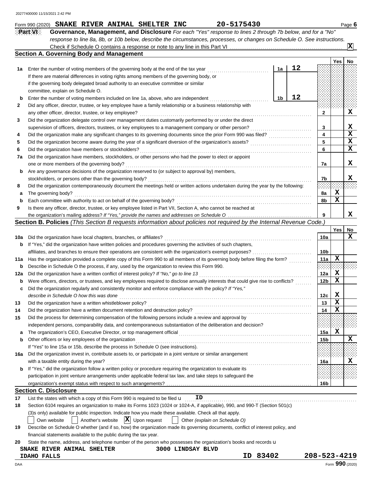### Form 990 (2020) Page **6 SNAKE RIVER ANIMAL SHELTER INC 20-5175430**

| Part VI | Governance, Management, and Disclosure For each "Yes" response to lines 2 through 7b below, and for a "No"                |                      |
|---------|---------------------------------------------------------------------------------------------------------------------------|----------------------|
|         | response to line 8a, 8b, or 10b below, describe the circumstances, processes, or changes on Schedule O. See instructions. |                      |
|         | Check if Schedule O contains a response or note to any line in this Part VI                                               | $\boxed{\mathbf{x}}$ |

|              | <b>Section A. Governing Body and Management</b>                                                                                   |    |    |    |     |    |
|--------------|-----------------------------------------------------------------------------------------------------------------------------------|----|----|----|-----|----|
|              |                                                                                                                                   |    |    |    | Yes | No |
| 1a           | Enter the number of voting members of the governing body at the end of the tax year                                               | 1a | 12 |    |     |    |
|              | If there are material differences in voting rights among members of the governing body, or                                        |    |    |    |     |    |
|              | if the governing body delegated broad authority to an executive committee or similar                                              |    |    |    |     |    |
|              | committee, explain on Schedule O.                                                                                                 |    |    |    |     |    |
| b            | Enter the number of voting members included on line 1a, above, who are independent                                                | 1b | 12 |    |     |    |
| $\mathbf{2}$ | Did any officer, director, trustee, or key employee have a family relationship or a business relationship with                    |    |    |    |     |    |
|              | any other officer, director, trustee, or key employee?                                                                            |    |    |    |     | x  |
| 3            | Did the organization delegate control over management duties customarily performed by or under the direct                         |    |    |    |     |    |
|              | supervision of officers, directors, trustees, or key employees to a management company or other person?                           |    |    | 3  |     | x  |
| 4            |                                                                                                                                   |    |    | 4  |     | X  |
| 5            | Did the organization become aware during the year of a significant diversion of the organization's assets?                        |    |    | 5  |     | X  |
| 6            | Did the organization have members or stockholders?                                                                                |    |    | 6  |     | x  |
| 7a           | Did the organization have members, stockholders, or other persons who had the power to elect or appoint                           |    |    |    |     |    |
|              | one or more members of the governing body?                                                                                        |    |    | 7a |     | x  |
| b            | Are any governance decisions of the organization reserved to (or subject to approval by) members,                                 |    |    |    |     |    |
|              | stockholders, or persons other than the governing body?                                                                           |    |    | 7b |     | x  |
| 8            | Did the organization contemporaneously document the meetings held or written actions undertaken during the year by the following: |    |    |    |     |    |
| a            | The governing body?                                                                                                               |    |    | 8a | x   |    |
| b            | Each committee with authority to act on behalf of the governing body?                                                             |    |    | 8b | x   |    |
| 9            | Is there any officer, director, trustee, or key employee listed in Part VII, Section A, who cannot be reached at                  |    |    |    |     |    |
|              |                                                                                                                                   |    |    | 9  |     | x  |

**Section B. Policies** *(This Section B requests information about policies not required by the Internal Revenue Code.)*

|     | <b>OCULUM D. I UNUCS</b> TIMS OCULUM D TEGUESIS IMUMINATUM ADUUL DUNUCS NULTEGAMEN DY THE MICHIAI NEVENUE COUE.                     |                 | Yes         | <b>No</b> |
|-----|-------------------------------------------------------------------------------------------------------------------------------------|-----------------|-------------|-----------|
| 10a | Did the organization have local chapters, branches, or affiliates?                                                                  | 10a             |             | x         |
| b   | If "Yes," did the organization have written policies and procedures governing the activities of such chapters,                      |                 |             |           |
|     | affiliates, and branches to ensure their operations are consistent with the organization's exempt purposes?                         | 10 <sub>b</sub> |             |           |
| 11a | Has the organization provided a complete copy of this Form 990 to all members of its governing body before filing the form?         | 11a             | X           |           |
| b   | Describe in Schedule O the process, if any, used by the organization to review this Form 990.                                       |                 |             |           |
| 12a | Did the organization have a written conflict of interest policy? If "No," go to line 13                                             | 12a             | X           |           |
| b   | Were officers, directors, or trustees, and key employees required to disclose annually interests that could give rise to conflicts? | 12 <sub>b</sub> | $\mathbf x$ |           |
| c   | Did the organization regularly and consistently monitor and enforce compliance with the policy? If "Yes,"                           |                 |             |           |
|     | describe in Schedule O how this was done                                                                                            | 12c             | X           |           |
| 13  | Did the organization have a written whistleblower policy?                                                                           | 13              | X           |           |
| 14  | Did the organization have a written document retention and destruction policy?                                                      | 14              | X           |           |
| 15  | Did the process for determining compensation of the following persons include a review and approval by                              |                 |             |           |
|     | independent persons, comparability data, and contemporaneous substantiation of the deliberation and decision?                       |                 |             |           |
| a   | The organization's CEO, Executive Director, or top management official                                                              | 15a             | x           |           |
| b   | Other officers or key employees of the organization                                                                                 | 15 <sub>b</sub> |             | x         |
|     | If "Yes" to line 15a or 15b, describe the process in Schedule O (see instructions).                                                 |                 |             |           |
| 16a | Did the organization invest in, contribute assets to, or participate in a joint venture or similar arrangement                      |                 |             |           |
|     | with a taxable entity during the year?                                                                                              | 16a             |             | х         |
| b   | If "Yes," did the organization follow a written policy or procedure requiring the organization to evaluate its                      |                 |             |           |
|     | participation in joint venture arrangements under applicable federal tax law, and take steps to safeguard the                       |                 |             |           |
|     |                                                                                                                                     | 16 <sub>b</sub> |             |           |
|     | <b>Section C. Disclosure</b>                                                                                                        |                 |             |           |
| 17  | ID<br>List the states with which a copy of this Form 990 is required to be filed U                                                  |                 |             |           |

| 18 | Section 6104 requires an organization to make its Forms 1023 (1024 or 1024-A, if applicable), 990, and 990-T (Section 501(c)    |
|----|---------------------------------------------------------------------------------------------------------------------------------|
|    | (3) sonly) available for public inspection. Indicate how you made these available. Check all that apply.                        |
|    | Own website $\Box$ Another's website $\Box$ Upon request $\Box$ Other (explain on Schedule O)                                   |
| 19 | Describe on Schedule O whether (and if so, how) the organization made its governing documents, conflict of interest policy, and |
|    | financial statements available to the public during the tax year.                                                               |
| 20 | State the name, address, and telephone number of the person who possesses the organization's books and records U                |

### **SNAKE RIVER ANIMAL SHELTER 3000 LINDSAY BLVD**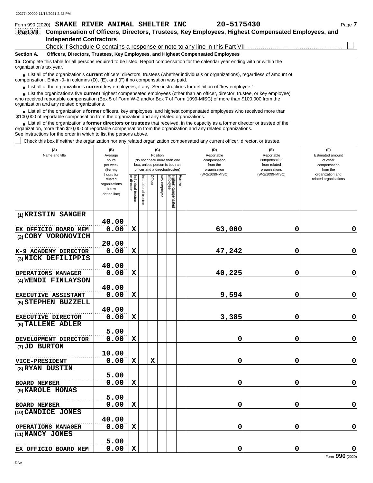| 20-5175430<br>SNAKE RIVER ANIMAL SHELTER INC<br>Form 990 (2020)<br>Page 7                                                                                                                                                                                                                                  |
|------------------------------------------------------------------------------------------------------------------------------------------------------------------------------------------------------------------------------------------------------------------------------------------------------------|
| :Part VII: Compensation of Officers, Directors, Trustees, Key Employees, Highest Compensated Employees, and                                                                                                                                                                                                |
| <b>Independent Contractors</b>                                                                                                                                                                                                                                                                             |
|                                                                                                                                                                                                                                                                                                            |
| Officers, Directors, Trustees, Key Employees, and Highest Compensated Employees<br>Section A.                                                                                                                                                                                                              |
| 1a Complete this table for all persons required to be listed. Report compensation for the calendar year ending with or within the<br>organization's tax year.                                                                                                                                              |
| List all of the organization's <b>current</b> officers, directors, trustees (whether individuals or organizations), regardless of amount of<br>compensation. Enter -0- in columns $(D)$ , $(E)$ , and $(F)$ if no compensation was paid.                                                                   |
| • List all of the organization's current key employees, if any. See instructions for definition of "key employee."                                                                                                                                                                                         |
| • List the organization's five current highest compensated employees (other than an officer, director, trustee, or key employee)<br>who received reportable compensation (Box 5 of Form W-2 and/or Box 7 of Form 1099-MISC) of more than \$100,000 from the<br>organization and any related organizations. |
| • List all of the organization's former officers, key employees, and highest compensated employees who received more than<br>\$100,000 of reportable compensation from the organization and any related organizations.                                                                                     |

List all of the organization's **former directors or trustees** that received, in the capacity as a former director or trustee of the organization, more than \$10,000 of reportable compensation from the organization and any related organizations. See instructions for the order in which to list the persons above. **•**

Check this box if neither the organization nor any related organization compensated any current officer, director, or trustee.

| (A)<br>Name and title                       | (B)<br>Average<br>hours<br>per week<br>(list any               | (C)<br>Position<br>(do not check more than one<br>box, unless person is both an<br>officer and a director/trustee) |                      |             |              |                                           | (D)<br>Reportable<br>compensation<br>from the<br>organization | (E)<br>Reportable<br>compensation<br>from related<br>organizations | (F)<br>Estimated amount<br>of other<br>compensation<br>from the |
|---------------------------------------------|----------------------------------------------------------------|--------------------------------------------------------------------------------------------------------------------|----------------------|-------------|--------------|-------------------------------------------|---------------------------------------------------------------|--------------------------------------------------------------------|-----------------------------------------------------------------|
|                                             | hours for<br>related<br>organizations<br>below<br>dotted line) | Individual trustee<br>or director                                                                                  | nstitutional trustee | Officer     | Key employee | Former<br>Highest compensated<br>employee | (W-2/1099-MISC)                                               | (W-2/1099-MISC)                                                    | organization and<br>related organizations                       |
| (1) KRISTIN SANGER                          |                                                                |                                                                                                                    |                      |             |              |                                           |                                                               |                                                                    |                                                                 |
|                                             | 40.00                                                          |                                                                                                                    |                      |             |              |                                           |                                                               |                                                                    |                                                                 |
| EX OFFICIO BOARD MEM                        | 0.00                                                           | X                                                                                                                  |                      |             |              |                                           | 63,000                                                        | 0                                                                  | $\mathbf 0$                                                     |
| (2) COBY VORONOVICH                         |                                                                |                                                                                                                    |                      |             |              |                                           |                                                               |                                                                    |                                                                 |
|                                             | 20.00                                                          |                                                                                                                    |                      |             |              |                                           |                                                               |                                                                    | 0                                                               |
| K-9 ACADEMY DIRECTOR<br>(3) NICK DEFILIPPIS | 0.00                                                           | $\mathbf x$                                                                                                        |                      |             |              |                                           | 47,242                                                        | 0                                                                  |                                                                 |
|                                             | 40.00                                                          |                                                                                                                    |                      |             |              |                                           |                                                               |                                                                    |                                                                 |
| OPERATIONS MANAGER                          | 0.00                                                           | $\mathbf x$                                                                                                        |                      |             |              |                                           | 40,225                                                        | 0                                                                  | $\mathbf 0$                                                     |
| (4) WENDI FINLAYSON                         |                                                                |                                                                                                                    |                      |             |              |                                           |                                                               |                                                                    |                                                                 |
|                                             | 40.00                                                          |                                                                                                                    |                      |             |              |                                           |                                                               |                                                                    |                                                                 |
| <b>EXECUTIVE ASSISTANT</b>                  | 0.00                                                           | $\mathbf x$                                                                                                        |                      |             |              |                                           | 9,594                                                         | 0                                                                  | 0                                                               |
| (5) STEPHEN BUZZELL                         |                                                                |                                                                                                                    |                      |             |              |                                           |                                                               |                                                                    |                                                                 |
|                                             | 40.00                                                          |                                                                                                                    |                      |             |              |                                           |                                                               |                                                                    |                                                                 |
| <b>EXECUTIVE DIRECTOR</b>                   | 0.00                                                           | $\mathbf x$                                                                                                        |                      |             |              |                                           | 3,385                                                         | 0                                                                  | 0                                                               |
| (6) TALLENE ADLER                           |                                                                |                                                                                                                    |                      |             |              |                                           |                                                               |                                                                    |                                                                 |
|                                             | 5.00                                                           |                                                                                                                    |                      |             |              |                                           |                                                               |                                                                    |                                                                 |
| DEVELOPMENT DIRECTOR                        | 0.00                                                           | $\mathbf x$                                                                                                        |                      |             |              |                                           | 0                                                             | 0                                                                  | 0                                                               |
| (7) JD BURTON                               |                                                                |                                                                                                                    |                      |             |              |                                           |                                                               |                                                                    |                                                                 |
|                                             | 10.00                                                          |                                                                                                                    |                      |             |              |                                           |                                                               |                                                                    |                                                                 |
| <b>VICE-PRESIDENT</b>                       | 0.00                                                           | $\mathbf x$                                                                                                        |                      | $\mathbf x$ |              |                                           | 0                                                             | 0                                                                  | $\mathbf 0$                                                     |
| (8) RYAN DUSTIN                             |                                                                |                                                                                                                    |                      |             |              |                                           |                                                               |                                                                    |                                                                 |
|                                             | 5.00                                                           |                                                                                                                    |                      |             |              |                                           |                                                               |                                                                    |                                                                 |
| <b>BOARD MEMBER</b><br>(9) KAROLE HONAS     | 0.00                                                           | X                                                                                                                  |                      |             |              |                                           | 0                                                             | 0                                                                  | 0                                                               |
|                                             | 5.00                                                           |                                                                                                                    |                      |             |              |                                           |                                                               |                                                                    |                                                                 |
| BOARD MEMBER                                | 0.00                                                           | $\mathbf x$                                                                                                        |                      |             |              |                                           | 0                                                             | 0                                                                  | 0                                                               |
| (10) CANDICE JONES                          |                                                                |                                                                                                                    |                      |             |              |                                           |                                                               |                                                                    |                                                                 |
|                                             | 40.00                                                          |                                                                                                                    |                      |             |              |                                           |                                                               |                                                                    |                                                                 |
| OPERATIONS MANAGER                          | 0.00                                                           | $\mathbf x$                                                                                                        |                      |             |              |                                           | 0                                                             | 0                                                                  | 0                                                               |
| (11) NANCY JONES                            |                                                                |                                                                                                                    |                      |             |              |                                           |                                                               |                                                                    |                                                                 |
|                                             | 5.00                                                           |                                                                                                                    |                      |             |              |                                           |                                                               |                                                                    |                                                                 |
| EX OFFICIO BOARD MEM                        | 0.00                                                           | $\mathbf x$                                                                                                        |                      |             |              |                                           | 0                                                             | 0                                                                  | $\mathbf 0$                                                     |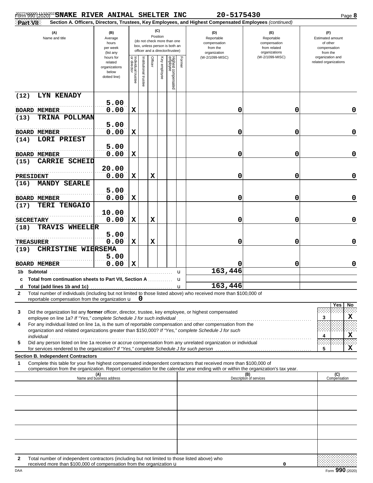| F877749989926263702 SNAKE RIVER ANIMAL SHELTER |  | <b>INC</b> | 20-5175430 | $P$ aqe $\boldsymbol{b}$ |
|------------------------------------------------|--|------------|------------|--------------------------|
|                                                |  |            |            |                          |

| Part VII                                                                                                                                                                                                                                                    |                                                                |                                            |                      |         |                 |                                                                                                 |        | Section A. Officers, Directors, Trustees, Key Employees, and Highest Compensated Employees (continued) |                                                                    |                                                                 |
|-------------------------------------------------------------------------------------------------------------------------------------------------------------------------------------------------------------------------------------------------------------|----------------------------------------------------------------|--------------------------------------------|----------------------|---------|-----------------|-------------------------------------------------------------------------------------------------|--------|--------------------------------------------------------------------------------------------------------|--------------------------------------------------------------------|-----------------------------------------------------------------|
| (A)<br>Name and title                                                                                                                                                                                                                                       | (B)<br>Average<br>hours<br>per week<br>(list any               |                                            |                      |         | (C)<br>Position | (do not check more than one<br>box, unless person is both an<br>officer and a director/trustee) |        | (D)<br>Reportable<br>compensation<br>from the<br>organization                                          | (E)<br>Reportable<br>compensation<br>from related<br>organizations | (F)<br>Estimated amount<br>of other<br>compensation<br>from the |
|                                                                                                                                                                                                                                                             | hours for<br>related<br>organizations<br>below<br>dotted line) | Individual trustee<br>  Individual trustee | nstitutional trustee | Officer | Key employee    | Highest compensated<br>employee                                                                 | Former | (W-2/1099-MISC)                                                                                        | (W-2/1099-MISC)                                                    | organization and<br>related organizations                       |
| <b>LYN KENADY</b><br>(12)                                                                                                                                                                                                                                   | 5.00                                                           |                                            |                      |         |                 |                                                                                                 |        |                                                                                                        |                                                                    |                                                                 |
| <b>BOARD MEMBER</b>                                                                                                                                                                                                                                         | 0.00                                                           | X                                          |                      |         |                 |                                                                                                 |        | 0                                                                                                      | 0                                                                  | 0                                                               |
| TRINA POLLMAN<br>(13)                                                                                                                                                                                                                                       |                                                                |                                            |                      |         |                 |                                                                                                 |        |                                                                                                        |                                                                    |                                                                 |
| <b>BOARD MEMBER</b>                                                                                                                                                                                                                                         | 5.00<br>0.00                                                   | X                                          |                      |         |                 |                                                                                                 |        | 0                                                                                                      | 0                                                                  | 0                                                               |
| LORI PRIEST<br>(14)                                                                                                                                                                                                                                         |                                                                |                                            |                      |         |                 |                                                                                                 |        |                                                                                                        |                                                                    |                                                                 |
| <b>BOARD MEMBER</b>                                                                                                                                                                                                                                         | 5.00<br>0.00                                                   | X                                          |                      |         |                 |                                                                                                 |        | 0                                                                                                      | 0                                                                  | 0                                                               |
| <b>CARRIE SCHEID</b><br>(15)                                                                                                                                                                                                                                |                                                                |                                            |                      |         |                 |                                                                                                 |        |                                                                                                        |                                                                    |                                                                 |
| PRESIDENT                                                                                                                                                                                                                                                   | 20.00<br>0.00                                                  | $\mathbf x$                                |                      | X       |                 |                                                                                                 |        | 0                                                                                                      | 0                                                                  | 0                                                               |
| <b>MANDY SEARLE</b><br>(16)                                                                                                                                                                                                                                 |                                                                |                                            |                      |         |                 |                                                                                                 |        |                                                                                                        |                                                                    |                                                                 |
|                                                                                                                                                                                                                                                             | 5.00                                                           |                                            |                      |         |                 |                                                                                                 |        |                                                                                                        |                                                                    |                                                                 |
| <b>BOARD MEMBER</b>                                                                                                                                                                                                                                         | 0.00                                                           | X                                          |                      |         |                 |                                                                                                 |        | 0                                                                                                      | 0                                                                  | 0                                                               |
| TERI TENGAIO<br>(17)                                                                                                                                                                                                                                        | 10.00                                                          |                                            |                      |         |                 |                                                                                                 |        |                                                                                                        |                                                                    |                                                                 |
| <b>SECRETARY</b>                                                                                                                                                                                                                                            | 0.00                                                           | X                                          |                      | X       |                 |                                                                                                 |        | 0                                                                                                      | 0                                                                  | 0                                                               |
| <b>TRAVIS WHEELER</b><br>(18)                                                                                                                                                                                                                               |                                                                |                                            |                      |         |                 |                                                                                                 |        |                                                                                                        |                                                                    |                                                                 |
|                                                                                                                                                                                                                                                             | 5.00<br>0.00                                                   |                                            |                      |         |                 |                                                                                                 |        |                                                                                                        | 0                                                                  |                                                                 |
| <b>TREASURER</b><br>CHRISTINE WIERSEMA<br>(19)                                                                                                                                                                                                              |                                                                | х                                          |                      | X       |                 |                                                                                                 |        | 0                                                                                                      |                                                                    | 0                                                               |
| <b>BOARD MEMBER</b>                                                                                                                                                                                                                                         | 5.00<br>0.00                                                   | $\mathbf x$                                |                      |         |                 |                                                                                                 |        | 0                                                                                                      | 0                                                                  | 0                                                               |
| 1b Subtotal                                                                                                                                                                                                                                                 |                                                                |                                            |                      |         |                 |                                                                                                 | U      | 163,446                                                                                                |                                                                    |                                                                 |
| c                                                                                                                                                                                                                                                           |                                                                |                                            |                      |         |                 |                                                                                                 |        | 163,446                                                                                                |                                                                    |                                                                 |
| Total number of individuals (including but not limited to those listed above) who received more than \$100,000 of                                                                                                                                           |                                                                |                                            |                      |         |                 |                                                                                                 | U      |                                                                                                        |                                                                    |                                                                 |
| reportable compensation from the organization U                                                                                                                                                                                                             |                                                                |                                            | 0                    |         |                 |                                                                                                 |        |                                                                                                        |                                                                    |                                                                 |
| Did the organization list any former officer, director, trustee, key employee, or highest compensated<br>3                                                                                                                                                  |                                                                |                                            |                      |         |                 |                                                                                                 |        |                                                                                                        |                                                                    | No<br>Yes<br>X<br>3                                             |
| For any individual listed on line 1a, is the sum of reportable compensation and other compensation from the<br>4<br>organization and related organizations greater than \$150,000? If "Yes," complete Schedule J for such                                   |                                                                |                                            |                      |         |                 |                                                                                                 |        |                                                                                                        |                                                                    | $\mathbf x$<br>4                                                |
| Did any person listed on line 1a receive or accrue compensation from any unrelated organization or individual<br>5<br>for services rendered to the organization? If "Yes," complete Schedule J for such person                                              |                                                                |                                            |                      |         |                 |                                                                                                 |        |                                                                                                        |                                                                    | <u>an a</u><br><u>an i</u><br>X<br>5                            |
| <b>Section B. Independent Contractors</b>                                                                                                                                                                                                                   |                                                                |                                            |                      |         |                 |                                                                                                 |        |                                                                                                        |                                                                    |                                                                 |
| Complete this table for your five highest compensated independent contractors that received more than \$100,000 of<br>1<br>compensation from the organization. Report compensation for the calendar year ending with or within the organization's tax year. |                                                                |                                            |                      |         |                 |                                                                                                 |        |                                                                                                        |                                                                    |                                                                 |
|                                                                                                                                                                                                                                                             | (A)<br>Name and business address                               |                                            |                      |         |                 |                                                                                                 |        |                                                                                                        | (B)<br>Description of services                                     | (C)<br>Compensation                                             |
|                                                                                                                                                                                                                                                             |                                                                |                                            |                      |         |                 |                                                                                                 |        |                                                                                                        |                                                                    |                                                                 |
|                                                                                                                                                                                                                                                             |                                                                |                                            |                      |         |                 |                                                                                                 |        |                                                                                                        |                                                                    |                                                                 |
|                                                                                                                                                                                                                                                             |                                                                |                                            |                      |         |                 |                                                                                                 |        |                                                                                                        |                                                                    |                                                                 |
|                                                                                                                                                                                                                                                             |                                                                |                                            |                      |         |                 |                                                                                                 |        |                                                                                                        |                                                                    |                                                                 |
|                                                                                                                                                                                                                                                             |                                                                |                                            |                      |         |                 |                                                                                                 |        |                                                                                                        |                                                                    |                                                                 |
|                                                                                                                                                                                                                                                             |                                                                |                                            |                      |         |                 |                                                                                                 |        |                                                                                                        |                                                                    |                                                                 |
|                                                                                                                                                                                                                                                             |                                                                |                                            |                      |         |                 |                                                                                                 |        |                                                                                                        |                                                                    |                                                                 |
|                                                                                                                                                                                                                                                             |                                                                |                                            |                      |         |                 |                                                                                                 |        |                                                                                                        |                                                                    |                                                                 |
| Total number of independent contractors (including but not limited to those listed above) who<br>$\mathbf{2}$<br>received more than \$100,000 of compensation from the organization U                                                                       |                                                                |                                            |                      |         |                 |                                                                                                 |        |                                                                                                        | 0                                                                  |                                                                 |
| DAA                                                                                                                                                                                                                                                         |                                                                |                                            |                      |         |                 |                                                                                                 |        |                                                                                                        |                                                                    | Form 990 (2020)                                                 |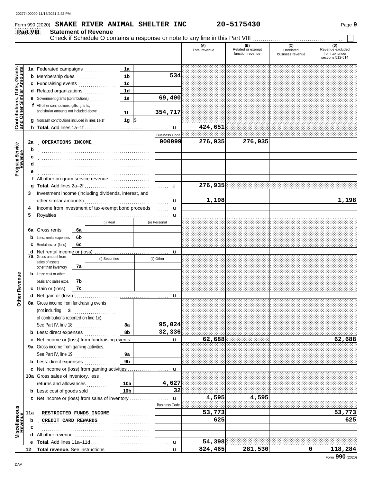### Form 990 (2020) Page **9 SNAKE RIVER ANIMAL SHELTER INC 20-5175430**

|                                                                                                           | Part VIII    |                                                                                                                                                                                                                                                                                                                                                                |                                                                             | <b>Statement of Revenue</b> |                                                                                 |       |                                                                 | Check if Schedule O contains a response or note to any line in this Part VIII |                                              |                                      |                                                               |
|-----------------------------------------------------------------------------------------------------------|--------------|----------------------------------------------------------------------------------------------------------------------------------------------------------------------------------------------------------------------------------------------------------------------------------------------------------------------------------------------------------------|-----------------------------------------------------------------------------|-----------------------------|---------------------------------------------------------------------------------|-------|-----------------------------------------------------------------|-------------------------------------------------------------------------------|----------------------------------------------|--------------------------------------|---------------------------------------------------------------|
|                                                                                                           |              |                                                                                                                                                                                                                                                                                                                                                                |                                                                             |                             |                                                                                 |       |                                                                 | (A)<br>Total revenue                                                          | (B)<br>Related or exempt<br>function revenue | (C)<br>Unrelated<br>business revenue | (D)<br>Revenue excluded<br>from tax under<br>sections 512-514 |
| Grants<br><b>Contributions, Gifts, Grants<br/>and Other Similar Amounts</b><br>Program Service<br>Revenue | 2a<br>b<br>c | 1a Federated campaigns<br><b>b</b> Membership dues<br>c Fundraising events<br>d Related organizations<br>e Government grants (contributions)<br><br>f All other contributions, gifts, grants,<br>and similar amounts not included above<br><b>g</b> Noncash contributions included in lines 1a-1f.<br>OPERATIONS INCOME<br>f All other program service revenue |                                                                             |                             | 1a<br>1 <sub>b</sub><br>1 <sub>c</sub><br>1 <sub>d</sub><br>1e<br>1f<br>$1g$ \$ |       | 534<br>69,400<br>354,717<br>u<br><b>Business Code</b><br>900099 | 424,651<br>276,935                                                            | 276,935                                      |                                      |                                                               |
|                                                                                                           | 3            |                                                                                                                                                                                                                                                                                                                                                                |                                                                             |                             |                                                                                 |       | u                                                               | 276,935                                                                       |                                              |                                      |                                                               |
|                                                                                                           | 4<br>5       | Investment income (including dividends, interest, and<br>other similar amounts)<br>U<br>Income from investment of tax-exempt bond proceeds<br>U<br>u                                                                                                                                                                                                           |                                                                             |                             |                                                                                 | 1,198 |                                                                 |                                                                               | 1,198                                        |                                      |                                                               |
|                                                                                                           |              |                                                                                                                                                                                                                                                                                                                                                                |                                                                             | (i) Real                    |                                                                                 |       | (ii) Personal                                                   |                                                                               |                                              |                                      |                                                               |
|                                                                                                           | b            | 6a Gross rents<br>Less: rental expenses                                                                                                                                                                                                                                                                                                                        | 6a<br>6b                                                                    |                             |                                                                                 |       |                                                                 |                                                                               |                                              |                                      |                                                               |
|                                                                                                           | c            | Rental inc. or (loss)                                                                                                                                                                                                                                                                                                                                          | 6c                                                                          |                             |                                                                                 |       |                                                                 |                                                                               |                                              |                                      |                                                               |
|                                                                                                           | d            | <b>7a</b> Gross amount from<br>sales of assets                                                                                                                                                                                                                                                                                                                 | Net rental income or (loss)<br>(i) Securities<br>7а<br>other than inventory |                             |                                                                                 |       | u<br>(ii) Other                                                 |                                                                               |                                              |                                      |                                                               |
| Revenue                                                                                                   |              | <b>b</b> Less: cost or other<br>basis and sales exps.<br>c Gain or (loss)                                                                                                                                                                                                                                                                                      | 7b<br>7c                                                                    |                             |                                                                                 |       |                                                                 |                                                                               |                                              |                                      |                                                               |
| er                                                                                                        |              | <b>d</b> Net gain or (loss)                                                                                                                                                                                                                                                                                                                                    |                                                                             |                             |                                                                                 |       | u                                                               |                                                                               |                                              |                                      |                                                               |
| ŏ                                                                                                         |              | 8a Gross income from fundraising events<br>(not including \$<br>of contributions reported on line 1c).                                                                                                                                                                                                                                                         |                                                                             | .                           |                                                                                 |       |                                                                 |                                                                               |                                              |                                      |                                                               |
|                                                                                                           |              | See Part IV, line 18                                                                                                                                                                                                                                                                                                                                           |                                                                             |                             | 8a<br>8b                                                                        |       | 95,024<br>32,336                                                |                                                                               |                                              |                                      |                                                               |
|                                                                                                           | c            | <b>b</b> Less: direct expenses <b>contained</b><br>Net income or (loss) from fundraising events                                                                                                                                                                                                                                                                |                                                                             |                             |                                                                                 | .     | u                                                               |                                                                               |                                              |                                      | 62,688                                                        |
|                                                                                                           |              | 9a Gross income from gaming activities.<br>See Part IV, line 19                                                                                                                                                                                                                                                                                                |                                                                             |                             | 9a                                                                              |       |                                                                 |                                                                               |                                              |                                      |                                                               |
|                                                                                                           |              | <b>b</b> Less: direct expenses                                                                                                                                                                                                                                                                                                                                 |                                                                             |                             | 9 <sub>b</sub>                                                                  |       |                                                                 |                                                                               |                                              |                                      |                                                               |
|                                                                                                           |              | c Net income or (loss) from gaming activities<br>10a Gross sales of inventory, less                                                                                                                                                                                                                                                                            |                                                                             |                             |                                                                                 |       | u                                                               |                                                                               |                                              |                                      |                                                               |
|                                                                                                           |              | returns and allowances                                                                                                                                                                                                                                                                                                                                         |                                                                             |                             | 10a                                                                             |       | 4,627                                                           |                                                                               |                                              |                                      |                                                               |
|                                                                                                           |              | <b>b</b> Less: cost of goods sold                                                                                                                                                                                                                                                                                                                              |                                                                             |                             | 10 <sub>b</sub>                                                                 |       | 32                                                              |                                                                               |                                              |                                      |                                                               |
|                                                                                                           |              | <b>c</b> Net income or (loss) from sales of inventory                                                                                                                                                                                                                                                                                                          |                                                                             |                             |                                                                                 |       | u                                                               | 4,595                                                                         | 4,595                                        |                                      |                                                               |
|                                                                                                           |              |                                                                                                                                                                                                                                                                                                                                                                |                                                                             |                             |                                                                                 |       | <b>Business Code</b>                                            | 53,773                                                                        |                                              |                                      | 53,773                                                        |
| Miscellaneous<br>Revenue                                                                                  | 11a<br>b     | RESTRICTED FUNDS INCOME<br>CREDIT CARD REWARDS                                                                                                                                                                                                                                                                                                                 |                                                                             |                             |                                                                                 |       |                                                                 | 625                                                                           |                                              |                                      | 625                                                           |
|                                                                                                           | с            |                                                                                                                                                                                                                                                                                                                                                                |                                                                             |                             |                                                                                 |       |                                                                 |                                                                               |                                              |                                      |                                                               |
|                                                                                                           |              |                                                                                                                                                                                                                                                                                                                                                                |                                                                             |                             |                                                                                 |       |                                                                 |                                                                               |                                              |                                      |                                                               |
|                                                                                                           |              |                                                                                                                                                                                                                                                                                                                                                                |                                                                             |                             |                                                                                 |       | u                                                               | 54,398                                                                        |                                              |                                      |                                                               |
|                                                                                                           | 12           |                                                                                                                                                                                                                                                                                                                                                                |                                                                             |                             |                                                                                 |       | $\cup$                                                          | 824,465                                                                       | 281,530                                      | 0                                    | 118,284                                                       |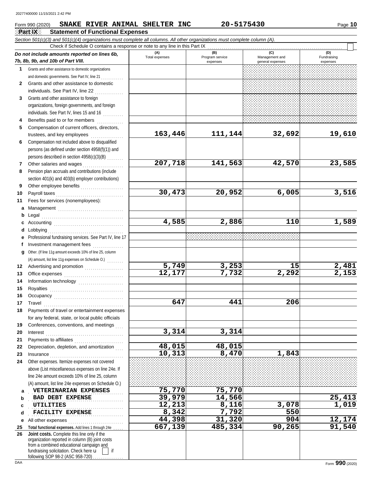### Form 990 (2020) Page **10 SNAKE RIVER ANIMAL SHELTER INC 20-5175430**

**Part IX Statement of Functional Expenses** *Section 501(c)(3) and 501(c)(4) organizations must complete all columns. All other organizations must complete column (A).* Check if Schedule O contains a response or note to any line in this Part IX . . . . . . . . . . . . . . . . . . . . . . . . . . . . . . . . . . . . . . . . . . . . . . . . . . . . . . . . . . . . . . . . . . *Do not include amounts reported on lines 6b,* **(A) (B) (C) (D)** Fundraising Total expenses **Acceleration Program service** Management and<br>expenses expenses and design and service and the service of the service of the service of the service of the service of the service of the service of the service *7b, 8b, 9b, and 10b of Part VIII.* expenses **1** Grants and other assistance to domestic organizations and domestic governments. See Part IV, line 21 . . . . . . . . . . Grants and other assistance to domestic **2** individuals. See Part IV, line 22 **3** Grants and other assistance to foreign organizations, foreign governments, and foreign individuals. See Part IV, lines 15 and 16 Benefits paid to or for members **4 5** Compensation of current officers, directors, **163,446 111,144 32,692 19,610** trustees, and key employees **6** Compensation not included above to disqualified persons (as defined under section 4958(f)(1)) and persons described in section 4958(c)(3)(B) ........ Other salaries and wages . . . . . . . . . . . . . . . . . . . . **207,718 141,563 42,570 23,585 7 8** Pension plan accruals and contributions (include section 401(k) and 403(b) employer contributions) Other employee benefits . . . . . . . . . . . . . . . . . . . . . **9** Payroll taxes . . . . . . . . . . . . . . . . . . . . . . . . . . . . . . . . . **30,473 20,952 6,005 3,516 10** Fees for services (nonemployees): **11 a** Management ................................. **b** Legal . . . . . . . . . . . . . . . . . . . . . . . . . . . . . . . . . . . . . . . . **4,585 2,886 110 1,589 c** Accounting . . . . . . . . . . . . . . . . . . . . . . . . . . . . . . . . . . Lobbying . . . . . . . . . . . . . . . . . . . . . . . . . . . . . . . . . . . . . **d e** Professional fundraising services. See Part IV, line 17 Investment management fees ................ **f g** Other. (If line 11g amount exceeds 10% of line 25, column (A) amount, list line 11g expenses on Schedule O.) . . . . . . . . **5,749 3,253 15 2,481 12** Advertising and promotion . . . . . . . . . . . . . . . . . . **12,177 7,732 2,292 2,153 13** Office expenses . . . . . . . . . . . . . . . . . . . . . . . . . . . . . Information technology ....................... **14 15** Royalties . . . . . . . . . . . . . . . . . . . . . . . . . . . . . . . . . . . . **16** Occupancy . . . . . . . . . . . . . . . . . . . . . . . . . . . . . . . . . . **647 441 206 17** Travel . . . . . . . . . . . . . . . . . . . . . . . . . . . . . . . . . . . . . . . Payments of travel or entertainment expenses **18** for any federal, state, or local public officials **19** Conferences, conventions, and meetings **20 3,314 3,314** Interest . . . . . . . . . . . . . . . . . . . . . . . . . . . . . . . . . . . . . . Payments to affiliates . . . . . . . . . . . . . . . . . . . . . . . . **21** Depreciation, depletion, and amortization **48,015 48,015 22 10,313 8,470 1,843 23** Insurance . . . . . . . . . . . . . . . . . . . . . . . . . . . . . . . . . . . . **24** Other expenses. Itemize expenses not covered above (List miscellaneous expenses on line 24e. If line 24e amount exceeds 10% of line 25, column (A) amount, list line 24e expenses on Schedule O.) **VETERINARIAN EXPENSES 75,770 75,770 a BAD DEBT EXPENSE** 39,979 14,566 25,413 **b** UTILITIES **UTILITIES 12,213 8,116 3,078 1,019 c 44,398 31,320 904 12,174 FACILITY EXPENSE 8,342 7,792 550 d e** All other expenses . . . . . . . . . . . . . . . . . . . . . . . . . . . Total functional expenses. Add lines 1 through 24e **667,139 485,334 90,265 91,540 25 26 Joint costs.** Complete this line only if the organization reported in column (B) joint costs from a combined educational campaign and fundraising solicitation. Check here  $\mathbf{u}$  | | following SOP 98-2 (ASC 958-720)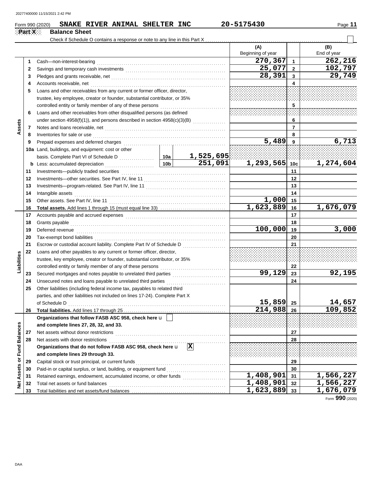|                                |        | SNAKE RIVER ANIMAL SHELTER INC<br>Form 990 (2020)                            |                 |                      | 20-5175430                   |                         | Page 11            |
|--------------------------------|--------|------------------------------------------------------------------------------|-----------------|----------------------|------------------------------|-------------------------|--------------------|
|                                | Part X | <b>Balance Sheet</b>                                                         |                 |                      |                              |                         |                    |
|                                |        | Check if Schedule O contains a response or note to any line in this Part X   |                 |                      |                              |                         |                    |
|                                |        |                                                                              |                 |                      | (A)<br>Beginning of year     |                         | (B)<br>End of year |
|                                | 1      | Cash-non-interest-bearing                                                    |                 |                      | 270,367                      | $\mathbf{1}$            | 262,216            |
|                                | 2      |                                                                              |                 |                      | 25,077                       | $\overline{2}$          | 102,797            |
|                                | 3      |                                                                              |                 |                      | 28,391                       | $\overline{\mathbf{3}}$ | 29,749             |
|                                | 4      | Accounts receivable, net                                                     |                 |                      |                              |                         |                    |
|                                | 5      | Loans and other receivables from any current or former officer, director,    |                 |                      |                              |                         |                    |
|                                |        | trustee, key employee, creator or founder, substantial contributor, or 35%   |                 |                      |                              |                         |                    |
|                                |        | controlled entity or family member of any of these persons                   |                 | .                    |                              | 5                       |                    |
|                                | 6      | Loans and other receivables from other disqualified persons (as defined      |                 |                      |                              |                         |                    |
|                                |        | under section 4958(f)(1)), and persons described in section $4958(c)(3)(B)$  |                 |                      |                              | 6                       |                    |
| Assets                         | 7      |                                                                              |                 |                      |                              | $\overline{7}$          |                    |
|                                | 8      | Inventories for sale or use                                                  |                 |                      |                              | 8                       |                    |
|                                | 9      | Prepaid expenses and deferred charges                                        | 5,489           | $\overline{9}$       | 6,713                        |                         |                    |
|                                |        | 10a Land, buildings, and equipment: cost or other                            |                 |                      |                              |                         |                    |
|                                |        |                                                                              |                 | <u>1,525,695  </u>   |                              |                         |                    |
|                                |        | <b>b</b> Less: accumulated depreciation<br>.                                 | 10 <sub>b</sub> | $\overline{251,091}$ | $1,293,565$ 10c              |                         | 1,274,604          |
|                                | 11     | Investments-publicly traded securities                                       |                 |                      |                              | 11                      |                    |
|                                | 12     | Investments-other securities. See Part IV, line 11                           |                 |                      |                              | 12                      |                    |
|                                | 13     |                                                                              |                 |                      |                              | 13                      |                    |
|                                | 14     | Intangible assets                                                            |                 |                      |                              | 14                      |                    |
|                                | 15     | Other assets. See Part IV, line 11                                           |                 |                      | $1,000$ 15                   |                         |                    |
|                                | 16     |                                                                              |                 |                      | $1,623,889$ 16               |                         | 1,676,079          |
|                                | 17     |                                                                              |                 |                      |                              | 17                      |                    |
|                                | 18     | Grants payable                                                               |                 |                      |                              | 18                      |                    |
|                                | 19     | Deferred revenue                                                             |                 |                      | 100,000                      | 19                      | 3,000              |
|                                | 20     | Tax-exempt bond liabilities                                                  |                 |                      |                              | 20                      |                    |
|                                | 21     | Escrow or custodial account liability. Complete Part IV of Schedule D        |                 |                      |                              | 21                      |                    |
|                                | 22     | Loans and other payables to any current or former officer, director,         |                 |                      |                              |                         |                    |
|                                |        | trustee, key employee, creator or founder, substantial contributor, or 35%   |                 |                      |                              |                         |                    |
| Liabilities                    |        | controlled entity or family member of any of these persons                   |                 |                      |                              | 22                      |                    |
|                                | 23     |                                                                              |                 |                      | 99,129                       | 23                      | 92,195             |
|                                | 24     | Unsecured notes and loans payable to unrelated third parties                 |                 |                      |                              | 24                      |                    |
|                                | 25     | Other liabilities (including federal income tax, payables to related third   |                 |                      |                              |                         |                    |
|                                |        | parties, and other liabilities not included on lines 17-24). Complete Part X |                 |                      |                              |                         |                    |
|                                |        | of Schedule D                                                                |                 |                      | 15,859                       | 25                      | 14,657             |
|                                | 26     |                                                                              |                 |                      | $214,988$ $26$               |                         | 109,852            |
|                                |        | Organizations that follow FASB ASC 958, check here U                         |                 |                      |                              |                         |                    |
|                                |        | and complete lines 27, 28, 32, and 33.                                       |                 |                      |                              |                         |                    |
|                                | 27     | Net assets without donor restrictions                                        |                 |                      |                              | 27                      |                    |
|                                | 28     | Net assets with donor restrictions                                           |                 |                      |                              | 28                      |                    |
|                                |        | Organizations that do not follow FASB ASC 958, check here U                  |                 |                      |                              |                         |                    |
| <b>Assets or Fund Balances</b> |        | and complete lines 29 through 33.                                            |                 |                      |                              |                         |                    |
|                                | 29     | Capital stock or trust principal, or current funds                           |                 |                      |                              | 29                      |                    |
|                                | 30     | Paid-in or capital surplus, or land, building, or equipment fund             |                 |                      |                              | 30                      |                    |
|                                | 31     | Retained earnings, endowment, accumulated income, or other funds             |                 |                      | 1,408,901                    | 31                      | 1,566,227          |
| <b>Net</b>                     | 32     | Total net assets or fund balances                                            |                 |                      | $\overline{1,}$ 408,901      | 32                      | 1,566,227          |
|                                | 33     |                                                                              |                 |                      | $\overline{1}$ , 623, 889 33 |                         | 1,676,079          |

Form **990** (2020)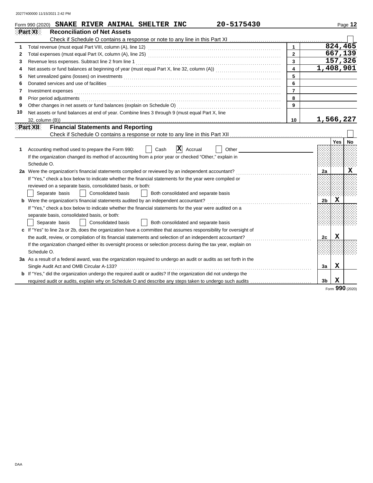|             | 20-5175430<br>Form 990 (2020) SNAKE RIVER ANIMAL SHELTER INC                                                                                                                                                                         |                         |                | Page 12          |
|-------------|--------------------------------------------------------------------------------------------------------------------------------------------------------------------------------------------------------------------------------------|-------------------------|----------------|------------------|
|             | Part XI<br><b>Reconciliation of Net Assets</b>                                                                                                                                                                                       |                         |                |                  |
|             |                                                                                                                                                                                                                                      |                         |                |                  |
| 1           |                                                                                                                                                                                                                                      | $\mathbf{1}$            |                | 824,465          |
| $\mathbf 2$ |                                                                                                                                                                                                                                      | $\overline{2}$          |                | 667,139          |
| 3           | Revenue less expenses. Subtract line 2 from line 1                                                                                                                                                                                   | $\overline{\mathbf{3}}$ |                | 157,326          |
| 4           |                                                                                                                                                                                                                                      | 4                       |                | 1,408,901        |
| 5           |                                                                                                                                                                                                                                      | 5                       |                |                  |
| 6           | Donated services and use of facilities <b>constant of the constant of the constant of the constant of the constant of the constant of the constant of the constant of the constant of the constant of the constant of the consta</b> | 6                       |                |                  |
| 7           | Investment expenses                                                                                                                                                                                                                  | $\overline{7}$          |                |                  |
| 8           | Prior period adjustments                                                                                                                                                                                                             | 8                       |                |                  |
| 9           |                                                                                                                                                                                                                                      | 9                       |                |                  |
| 10          | Net assets or fund balances at end of year. Combine lines 3 through 9 (must equal Part X, line                                                                                                                                       |                         |                |                  |
|             |                                                                                                                                                                                                                                      | 10                      |                | 1,566,227        |
|             | Part XII<br><b>Financial Statements and Reporting</b>                                                                                                                                                                                |                         |                |                  |
|             |                                                                                                                                                                                                                                      |                         |                |                  |
|             |                                                                                                                                                                                                                                      |                         |                | <b>Yes</b><br>No |
| 1           | $ \mathbf{X} $ Accrual<br>Accounting method used to prepare the Form 990:<br>Cash<br>Other                                                                                                                                           |                         |                |                  |
|             | If the organization changed its method of accounting from a prior year or checked "Other," explain in                                                                                                                                |                         |                |                  |
|             | Schedule O.                                                                                                                                                                                                                          |                         |                |                  |
|             | 2a Were the organization's financial statements compiled or reviewed by an independent accountant?                                                                                                                                   |                         | 2a             | X                |
|             | If "Yes," check a box below to indicate whether the financial statements for the year were compiled or                                                                                                                               |                         |                |                  |
|             | reviewed on a separate basis, consolidated basis, or both:                                                                                                                                                                           |                         |                |                  |
|             | Separate basis<br><b>Consolidated basis</b><br>Both consolidated and separate basis                                                                                                                                                  |                         |                |                  |
|             | <b>b</b> Were the organization's financial statements audited by an independent accountant?                                                                                                                                          |                         | 2 <sub>b</sub> | X                |
|             | If "Yes," check a box below to indicate whether the financial statements for the year were audited on a                                                                                                                              |                         |                |                  |
|             | separate basis, consolidated basis, or both:                                                                                                                                                                                         |                         |                |                  |
|             | Separate basis<br>Consolidated basis<br>Both consolidated and separate basis                                                                                                                                                         |                         |                |                  |
|             | c If "Yes" to line 2a or 2b, does the organization have a committee that assumes responsibility for oversight of                                                                                                                     |                         |                |                  |
|             | the audit, review, or compilation of its financial statements and selection of an independent accountant?                                                                                                                            |                         | 2c             | X                |
|             | If the organization changed either its oversight process or selection process during the tax year, explain on                                                                                                                        |                         |                |                  |
|             | Schedule O.                                                                                                                                                                                                                          |                         |                |                  |
|             | 3a As a result of a federal award, was the organization required to undergo an audit or audits as set forth in the                                                                                                                   |                         |                |                  |
|             | Single Audit Act and OMB Circular A-133?                                                                                                                                                                                             |                         | 3a             | X                |
|             | <b>b</b> If "Yes," did the organization undergo the required audit or audits? If the organization did not undergo the                                                                                                                |                         |                |                  |
|             |                                                                                                                                                                                                                                      |                         | 3 <sub>b</sub> | х                |

Form **990** (2020)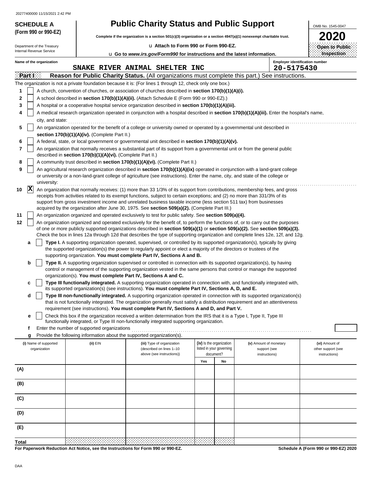# **SCHEDULE A Public Charity Status and Public Support**

| <b>Public Charity Status and Public Support</b><br><b>SCHEDULE A</b> |                                       |                                                                                                                                            |                                                                                                                                                                                                                                                            |     |                                                      | OMB No. 1545-0047                      |                                      |  |  |  |
|----------------------------------------------------------------------|---------------------------------------|--------------------------------------------------------------------------------------------------------------------------------------------|------------------------------------------------------------------------------------------------------------------------------------------------------------------------------------------------------------------------------------------------------------|-----|------------------------------------------------------|----------------------------------------|--------------------------------------|--|--|--|
|                                                                      | (Form 990 or 990-EZ)                  |                                                                                                                                            | Complete if the organization is a section 501(c)(3) organization or a section 4947(a)(1) nonexempt charitable trust.                                                                                                                                       |     |                                                      |                                        | 2020                                 |  |  |  |
|                                                                      | Department of the Treasury            |                                                                                                                                            | $\cup$ Attach to Form 990 or Form 990-EZ.                                                                                                                                                                                                                  |     |                                                      |                                        | <b>Open to Public</b>                |  |  |  |
|                                                                      | Internal Revenue Service              |                                                                                                                                            | $\cup$ Go to www.irs.gov/Form990 for instructions and the latest information.                                                                                                                                                                              |     |                                                      |                                        | <b>Inspection</b>                    |  |  |  |
|                                                                      | Name of the organization              |                                                                                                                                            |                                                                                                                                                                                                                                                            |     |                                                      | Employer identification number         |                                      |  |  |  |
|                                                                      |                                       |                                                                                                                                            | SNAKE RIVER ANIMAL SHELTER INC                                                                                                                                                                                                                             |     |                                                      | 20-5175430                             |                                      |  |  |  |
|                                                                      | Part                                  |                                                                                                                                            | Reason for Public Charity Status. (All organizations must complete this part.) See instructions.                                                                                                                                                           |     |                                                      |                                        |                                      |  |  |  |
|                                                                      |                                       |                                                                                                                                            | The organization is not a private foundation because it is: (For lines 1 through 12, check only one box.)                                                                                                                                                  |     |                                                      |                                        |                                      |  |  |  |
| 1                                                                    |                                       |                                                                                                                                            | A church, convention of churches, or association of churches described in <b>section 170(b)(1)(A)(i).</b>                                                                                                                                                  |     |                                                      |                                        |                                      |  |  |  |
| 2                                                                    |                                       |                                                                                                                                            | A school described in section 170(b)(1)(A)(ii). (Attach Schedule E (Form 990 or 990-EZ).)                                                                                                                                                                  |     |                                                      |                                        |                                      |  |  |  |
| 3                                                                    |                                       |                                                                                                                                            | A hospital or a cooperative hospital service organization described in section 170(b)(1)(A)(iii).                                                                                                                                                          |     |                                                      |                                        |                                      |  |  |  |
| 4                                                                    |                                       | A medical research organization operated in conjunction with a hospital described in section 170(b)(1)(A)(iii). Enter the hospital's name, |                                                                                                                                                                                                                                                            |     |                                                      |                                        |                                      |  |  |  |
|                                                                      |                                       | city, and state:                                                                                                                           |                                                                                                                                                                                                                                                            |     |                                                      |                                        |                                      |  |  |  |
| 5                                                                    |                                       |                                                                                                                                            | An organization operated for the benefit of a college or university owned or operated by a governmental unit described in                                                                                                                                  |     |                                                      |                                        |                                      |  |  |  |
|                                                                      |                                       | section 170(b)(1)(A)(iv). (Complete Part II.)                                                                                              |                                                                                                                                                                                                                                                            |     |                                                      |                                        |                                      |  |  |  |
| 6                                                                    |                                       |                                                                                                                                            | A federal, state, or local government or governmental unit described in section 170(b)(1)(A)(v).                                                                                                                                                           |     |                                                      |                                        |                                      |  |  |  |
| 7                                                                    |                                       | described in section 170(b)(1)(A)(vi). (Complete Part II.)                                                                                 | An organization that normally receives a substantial part of its support from a governmental unit or from the general public                                                                                                                               |     |                                                      |                                        |                                      |  |  |  |
| 8                                                                    |                                       |                                                                                                                                            | A community trust described in section 170(b)(1)(A)(vi). (Complete Part II.)                                                                                                                                                                               |     |                                                      |                                        |                                      |  |  |  |
| 9                                                                    |                                       |                                                                                                                                            | An agricultural research organization described in section 170(b)(1)(A)(ix) operated in conjunction with a land-grant college                                                                                                                              |     |                                                      |                                        |                                      |  |  |  |
|                                                                      |                                       |                                                                                                                                            | or university or a non-land-grant college of agriculture (see instructions). Enter the name, city, and state of the college or                                                                                                                             |     |                                                      |                                        |                                      |  |  |  |
|                                                                      | university:<br>ΙX                     |                                                                                                                                            |                                                                                                                                                                                                                                                            |     |                                                      |                                        |                                      |  |  |  |
| 10                                                                   |                                       |                                                                                                                                            | An organization that normally receives: (1) more than 33 1/3% of its support from contributions, membership fees, and gross<br>receipts from activities related to its exempt functions, subject to certain exceptions; and (2) no more than 331/3% of its |     |                                                      |                                        |                                      |  |  |  |
|                                                                      |                                       |                                                                                                                                            | support from gross investment income and unrelated business taxable income (less section 511 tax) from businesses                                                                                                                                          |     |                                                      |                                        |                                      |  |  |  |
|                                                                      |                                       |                                                                                                                                            | acquired by the organization after June 30, 1975. See section $509(a)(2)$ . (Complete Part III.)                                                                                                                                                           |     |                                                      |                                        |                                      |  |  |  |
| 11                                                                   |                                       |                                                                                                                                            | An organization organized and operated exclusively to test for public safety. See section 509(a)(4).                                                                                                                                                       |     |                                                      |                                        |                                      |  |  |  |
| 12                                                                   |                                       |                                                                                                                                            | An organization organized and operated exclusively for the benefit of, to perform the functions of, or to carry out the purposes                                                                                                                           |     |                                                      |                                        |                                      |  |  |  |
|                                                                      |                                       |                                                                                                                                            | of one or more publicly supported organizations described in section 509(a)(1) or section 509(a)(2). See section 509(a)(3).                                                                                                                                |     |                                                      |                                        |                                      |  |  |  |
|                                                                      |                                       |                                                                                                                                            | Check the box in lines 12a through 12d that describes the type of supporting organization and complete lines 12e, 12f, and 12g.                                                                                                                            |     |                                                      |                                        |                                      |  |  |  |
|                                                                      | a                                     |                                                                                                                                            | Type I. A supporting organization operated, supervised, or controlled by its supported organization(s), typically by giving<br>the supported organization(s) the power to regularly appoint or elect a majority of the directors or trustees of the        |     |                                                      |                                        |                                      |  |  |  |
|                                                                      |                                       |                                                                                                                                            | supporting organization. You must complete Part IV, Sections A and B.                                                                                                                                                                                      |     |                                                      |                                        |                                      |  |  |  |
|                                                                      | b                                     |                                                                                                                                            | Type II. A supporting organization supervised or controlled in connection with its supported organization(s), by having                                                                                                                                    |     |                                                      |                                        |                                      |  |  |  |
|                                                                      |                                       |                                                                                                                                            | control or management of the supporting organization vested in the same persons that control or manage the supported                                                                                                                                       |     |                                                      |                                        |                                      |  |  |  |
|                                                                      |                                       |                                                                                                                                            | organization(s). You must complete Part IV, Sections A and C.                                                                                                                                                                                              |     |                                                      |                                        |                                      |  |  |  |
|                                                                      | c                                     |                                                                                                                                            | Type III functionally integrated. A supporting organization operated in connection with, and functionally integrated with,<br>its supported organization(s) (see instructions). You must complete Part IV, Sections A, D, and E.                           |     |                                                      |                                        |                                      |  |  |  |
|                                                                      | d                                     |                                                                                                                                            | Type III non-functionally integrated. A supporting organization operated in connection with its supported organization(s)                                                                                                                                  |     |                                                      |                                        |                                      |  |  |  |
|                                                                      |                                       |                                                                                                                                            | that is not functionally integrated. The organization generally must satisfy a distribution requirement and an attentiveness                                                                                                                               |     |                                                      |                                        |                                      |  |  |  |
|                                                                      |                                       |                                                                                                                                            | requirement (see instructions). You must complete Part IV, Sections A and D, and Part V.                                                                                                                                                                   |     |                                                      |                                        |                                      |  |  |  |
|                                                                      | е                                     |                                                                                                                                            | Check this box if the organization received a written determination from the IRS that it is a Type I, Type II, Type III                                                                                                                                    |     |                                                      |                                        |                                      |  |  |  |
|                                                                      |                                       |                                                                                                                                            | functionally integrated, or Type III non-functionally integrated supporting organization.                                                                                                                                                                  |     |                                                      |                                        |                                      |  |  |  |
|                                                                      | f                                     | Enter the number of supported organizations                                                                                                |                                                                                                                                                                                                                                                            |     |                                                      |                                        |                                      |  |  |  |
|                                                                      | g                                     | Provide the following information about the supported organization(s).                                                                     |                                                                                                                                                                                                                                                            |     |                                                      |                                        |                                      |  |  |  |
|                                                                      | (i) Name of supported<br>organization | (ii) EIN                                                                                                                                   | (iii) Type of organization<br>(described on lines 1-10                                                                                                                                                                                                     |     | (iv) Is the organization<br>listed in your governing | (v) Amount of monetary<br>support (see | (vi) Amount of<br>other support (see |  |  |  |
|                                                                      |                                       |                                                                                                                                            | above (see instructions))                                                                                                                                                                                                                                  |     | document?                                            | instructions)                          | instructions)                        |  |  |  |
|                                                                      |                                       |                                                                                                                                            |                                                                                                                                                                                                                                                            | Yes | No                                                   |                                        |                                      |  |  |  |
| (A)                                                                  |                                       |                                                                                                                                            |                                                                                                                                                                                                                                                            |     |                                                      |                                        |                                      |  |  |  |
|                                                                      |                                       |                                                                                                                                            |                                                                                                                                                                                                                                                            |     |                                                      |                                        |                                      |  |  |  |
| (B)                                                                  |                                       |                                                                                                                                            |                                                                                                                                                                                                                                                            |     |                                                      |                                        |                                      |  |  |  |
|                                                                      |                                       |                                                                                                                                            |                                                                                                                                                                                                                                                            |     |                                                      |                                        |                                      |  |  |  |
| (C)                                                                  |                                       |                                                                                                                                            |                                                                                                                                                                                                                                                            |     |                                                      |                                        |                                      |  |  |  |

**For Paperwork Reduction Act Notice, see the Instructions for Form 990 or 990-EZ. Total**

**Schedule A (Form 990 or 990-EZ) 2020**

**(E)**

**(D)**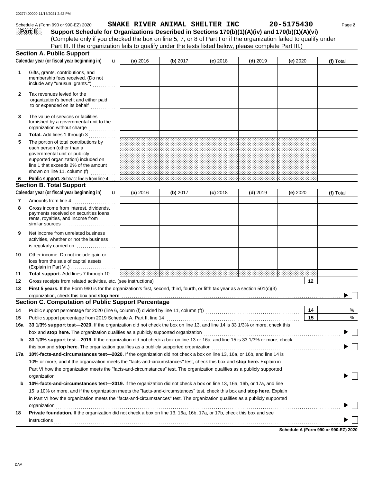|              | 20277400000 11/15/2021 2:42 PM                                                                                                                                                                                                                             |                                |          |            |            |            |           |
|--------------|------------------------------------------------------------------------------------------------------------------------------------------------------------------------------------------------------------------------------------------------------------|--------------------------------|----------|------------|------------|------------|-----------|
|              | Schedule A (Form 990 or 990-EZ) 2020<br>Part II<br>Support Schedule for Organizations Described in Sections 170(b)(1)(A)(iv) and 170(b)(1)(A)(vi)                                                                                                          | SNAKE RIVER ANIMAL SHELTER INC |          |            |            | 20-5175430 | Page 2    |
|              | (Complete only if you checked the box on line 5, 7, or 8 of Part I or if the organization failed to qualify under                                                                                                                                          |                                |          |            |            |            |           |
|              | Part III. If the organization fails to qualify under the tests listed below, please complete Part III.)                                                                                                                                                    |                                |          |            |            |            |           |
|              | <b>Section A. Public Support</b>                                                                                                                                                                                                                           |                                |          |            |            |            |           |
|              | Calendar year (or fiscal year beginning in)<br>u                                                                                                                                                                                                           | (a) 2016                       | (b) 2017 | $(c)$ 2018 | $(d)$ 2019 | (e) 2020   | (f) Total |
| 1            | Gifts, grants, contributions, and<br>membership fees received. (Do not                                                                                                                                                                                     |                                |          |            |            |            |           |
| $\mathbf{2}$ | Tax revenues levied for the<br>organization's benefit and either paid<br>to or expended on its behalf                                                                                                                                                      |                                |          |            |            |            |           |
| 3            | The value of services or facilities<br>furnished by a governmental unit to the<br>organization without charge                                                                                                                                              |                                |          |            |            |            |           |
| 4            | Total. Add lines 1 through 3                                                                                                                                                                                                                               |                                |          |            |            |            |           |
| 5            | The portion of total contributions by<br>each person (other than a<br>governmental unit or publicly                                                                                                                                                        |                                |          |            |            |            |           |
|              | supported organization) included on<br>line 1 that exceeds 2% of the amount                                                                                                                                                                                |                                |          |            |            |            |           |
|              | shown on line 11, column (f)                                                                                                                                                                                                                               |                                |          |            |            |            |           |
| 6            | Public support. Subtract line 5 from line 4<br><b>Section B. Total Support</b>                                                                                                                                                                             |                                |          |            |            |            |           |
|              | Calendar year (or fiscal year beginning in)<br><b>u</b>                                                                                                                                                                                                    | (a) 2016                       | (b) 2017 | $(c)$ 2018 | $(d)$ 2019 | (e) 2020   | (f) Total |
| 7            | Amounts from line 4                                                                                                                                                                                                                                        |                                |          |            |            |            |           |
| 8            | Gross income from interest, dividends,<br>payments received on securities loans,<br>rents, royalties, and income from<br>similar sources                                                                                                                   |                                |          |            |            |            |           |
| 9            | Net income from unrelated business<br>activities, whether or not the business<br>is regularly carried on                                                                                                                                                   |                                |          |            |            |            |           |
| 10           | Other income. Do not include gain or<br>loss from the sale of capital assets<br>(Explain in Part VI.)                                                                                                                                                      |                                |          |            |            |            |           |
| 11           | Total support. Add lines 7 through 10                                                                                                                                                                                                                      | <b>Production (200</b>         |          |            |            |            |           |
| 12           | Gross receipts from related activities, etc. (see instructions)                                                                                                                                                                                            |                                |          |            |            | 12         |           |
| 13           | First 5 years. If the Form 990 is for the organization's first, second, third, fourth, or fifth tax year as a section 501(c)(3)                                                                                                                            |                                |          |            |            |            |           |
|              |                                                                                                                                                                                                                                                            |                                |          |            |            |            |           |
|              | <b>Section C. Computation of Public Support Percentage</b>                                                                                                                                                                                                 |                                |          |            |            |            |           |
| 14           | Public support percentage for 2020 (line 6, column (f) divided by line 11, column (f)) [[[[[[[[[[[[[[[[[[[[[[                                                                                                                                              |                                |          |            |            | 14         | %         |
| 15           |                                                                                                                                                                                                                                                            |                                |          |            |            | 15         | %         |
| 16a          | 33 1/3% support test-2020. If the organization did not check the box on line 13, and line 14 is 33 1/3% or more, check this                                                                                                                                |                                |          |            |            |            |           |
|              | box and stop here. The organization qualifies as a publicly supported organization <b>construction</b> consumed and stop here. The organization                                                                                                            |                                |          |            |            |            |           |
| b            | 33 1/3% support test-2019. If the organization did not check a box on line 13 or 16a, and line 15 is 33 1/3% or more, check                                                                                                                                |                                |          |            |            |            |           |
|              | this box and stop here. The organization qualifies as a publicly supported organization                                                                                                                                                                    |                                |          |            |            |            |           |
| 17а          | 10%-facts-and-circumstances test-2020. If the organization did not check a box on line 13, 16a, or 16b, and line 14 is<br>10% or more, and if the organization meets the "facts-and-circumstances" test, check this box and stop here. Explain in          |                                |          |            |            |            |           |
|              | Part VI how the organization meets the "facts-and-circumstances" test. The organization qualifies as a publicly supported                                                                                                                                  |                                |          |            |            |            |           |
| b            | organization www.commutation.com/www.commutation.com/www.commutation.com/www.commutation.com/www.commutation.com<br>10%-facts-and-circumstances test-2019. If the organization did not check a box on line 13, 16a, 16b, or 17a, and line                  |                                |          |            |            |            |           |
|              | 15 is 10% or more, and if the organization meets the "facts-and-circumstances" test, check this box and stop here. Explain<br>in Part VI how the organization meets the "facts-and-circumstances" test. The organization qualifies as a publicly supported |                                |          |            |            |            |           |
| 18           | organization www.commutation.com/www.commutation.com/www.commutation.com/www.commutation.com/www.commutation.com<br>Private foundation. If the organization did not check a box on line 13, 16a, 16b, 17a, or 17b, check this box and see                  |                                |          |            |            |            |           |
|              |                                                                                                                                                                                                                                                            |                                |          |            |            |            |           |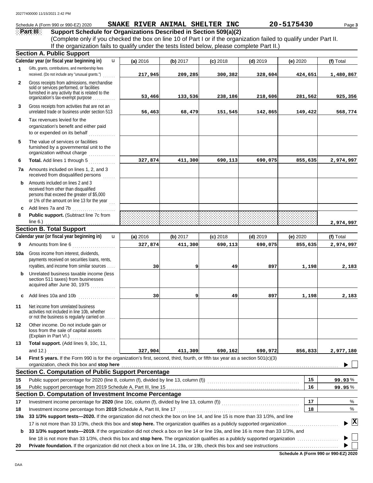| 20277400000 11/15/2021 2:42 PM |  |  |  |
|--------------------------------|--|--|--|
|--------------------------------|--|--|--|

**2,974,997**

|              | 20277400000 11/15/2021 2:42 PM<br>Schedule A (Form 990 or 990-EZ) 2020                                                                                                                                                                                                                              | SNAKE RIVER ANIMAL SHELTER INC |          |            |            | 20-5175430 | Page 3    |
|--------------|-----------------------------------------------------------------------------------------------------------------------------------------------------------------------------------------------------------------------------------------------------------------------------------------------------|--------------------------------|----------|------------|------------|------------|-----------|
|              | Part III<br>Support Schedule for Organizations Described in Section 509(a)(2)<br>(Complete only if you checked the box on line 10 of Part I or if the organization failed to qualify under Part II.<br>If the organization fails to qualify under the tests listed below, please complete Part II.) |                                |          |            |            |            |           |
|              | <b>Section A. Public Support</b>                                                                                                                                                                                                                                                                    |                                |          |            |            |            |           |
|              | Calendar year (or fiscal year beginning in)<br>u                                                                                                                                                                                                                                                    | (a) 2016                       | (b) 2017 | $(c)$ 2018 | $(d)$ 2019 | (e) 2020   | (f) Total |
| $\mathbf{1}$ | Gifts, grants, contributions, and membership fees<br>received. (Do not include any "unusual grants.")                                                                                                                                                                                               | 217,945                        | 209,285  | 300,382    | 328,604    | 424,651    | 1,480,867 |
| $\mathbf{2}$ | Gross receipts from admissions, merchandise<br>sold or services performed, or facilities<br>furnished in any activity that is related to the<br>organization's tax-exempt purpose                                                                                                                   | 53,466                         | 133,536  | 238,186    | 218,606    | 281,562    | 925,356   |
| 3            | Gross receipts from activities that are not an<br>unrelated trade or business under section 513                                                                                                                                                                                                     | 56,463                         | 68,479   | 151,545    | 142,865    | 149,422    | 568,774   |
| 4            | Tax revenues levied for the<br>organization's benefit and either paid<br>to or expended on its behalf                                                                                                                                                                                               |                                |          |            |            |            |           |
| 5            | The value of services or facilities<br>furnished by a governmental unit to the<br>organization without charge                                                                                                                                                                                       |                                |          |            |            |            |           |
| 6            | Total. Add lines 1 through 5                                                                                                                                                                                                                                                                        | 327,874                        | 411,300  | 690,113    | 690,075    | 855,635    | 2,974,997 |
| 7a           | Amounts included on lines 1, 2, and 3<br>received from disqualified persons<br>.                                                                                                                                                                                                                    |                                |          |            |            |            |           |
|              | <b>L</b> Amounts included on lines 2 and 2                                                                                                                                                                                                                                                          |                                |          |            |            |            |           |

|   | .                                                                                                                                                                       |                 |                 |                 |      |
|---|-------------------------------------------------------------------------------------------------------------------------------------------------------------------------|-----------------|-----------------|-----------------|------|
|   | Amounts included on lines 2 and 3<br>received from other than disqualified<br>persons that exceed the greater of \$5,000<br>or 1% of the amount on line 13 for the year |                 |                 |                 |      |
|   | Add lines 7a and 7b                                                                                                                                                     |                 |                 |                 |      |
| 8 | <b>Public support.</b> (Subtract line 7c from<br>line $6.$ )                                                                                                            |                 |                 |                 |      |
|   | <b>Section B. Total Support</b>                                                                                                                                         |                 |                 |                 |      |
|   | Calendar year (or fiscal year beginning in)<br>U                                                                                                                        | <b>(a)</b> 2016 | <b>(b)</b> 2017 | <b>(c)</b> 2018 | 2019 |
|   |                                                                                                                                                                         |                 |                 |                 |      |

|     | Calendar year (or fiscal year beginning in)<br>$\cup$                                                                                                                         | (a) 2016 | (b) 2017 | $(c)$ 2018 | $(d)$ 2019 | (e) 2020 | (f) Total      |
|-----|-------------------------------------------------------------------------------------------------------------------------------------------------------------------------------|----------|----------|------------|------------|----------|----------------|
| 9   | Amounts from line 6                                                                                                                                                           | 327,874  | 411,300  | 690,113    | 690,075    | 855,635  | 2,974,997      |
| 10a | Gross income from interest, dividends.<br>payments received on securities loans, rents,<br>royalties, and income from similar sources                                         | 30       | 9        | 49         | 897        | 1,198    | 2,183          |
| b   | Unrelated business taxable income (less<br>section 511 taxes) from businesses<br>acquired after June 30, 1975                                                                 |          |          |            |            |          |                |
| c   | Add lines 10a and 10b                                                                                                                                                         | 30       | 9        | 49         | 897        | 1,198    | 2,183          |
| 11  | Net income from unrelated business<br>activities not included in line 10b, whether<br>or not the business is regularly carried on.                                            |          |          |            |            |          |                |
| 12  | Other income. Do not include gain or<br>loss from the sale of capital assets<br>(Explain in Part VI.)                                                                         |          |          |            |            |          |                |
| 13  | Total support. (Add lines 9, 10c, 11,                                                                                                                                         |          |          |            |            |          |                |
|     | and $12.$ )                                                                                                                                                                   | 327,904  | 411,309  | 690,162    | 690,972    | 856,833  | 2,977,180      |
| 14  | First 5 years. If the Form 990 is for the organization's first, second, third, fourth, or fifth tax year as a section 501(c)(3)<br>organization, check this box and stop here |          |          |            |            |          |                |
|     | Section C. Computation of Public Support Percentage                                                                                                                           |          |          |            |            |          |                |
| 15  |                                                                                                                                                                               |          |          |            |            | 15       | 99.93%         |
| 16  |                                                                                                                                                                               |          |          |            |            | 16       | 99.95%         |
|     | Section D. Computation of Investment Income Percentage                                                                                                                        |          |          |            |            |          |                |
| 17  |                                                                                                                                                                               |          |          |            |            | 17       | %              |
| 18  | Investment income percentage from 2019 Schedule A, Part III, line 17                                                                                                          |          |          |            |            | 18       | %              |
| 19a | 33 1/3% support tests—2020. If the organization did not check the box on line 14, and line 15 is more than 33 1/3%, and line                                                  |          |          |            |            |          | $\overline{1}$ |

17 is not more than 33 1/3%, check this box and **stop here.** The organization qualifies as a publicly supported organization . . . . . . . . . . . . . . . . . . . . . . . . .  $\blacktriangleright$   $\mathbf{X}$ **b 33 1/3% support tests—2019.** If the organization did not check a box on line 14 or line 19a, and line 16 is more than 33 1/3%, and line 18 is not more than 33 1/3%, check this box and **stop here.** The organization qualifies as a publicly supported organization . . . . . . . . . . . . . . . . . . . .  $\blacktriangleright$ **20 Private foundation.** If the organization did not check a box on line 14, 19a, or 19b, check this box and see instructions . . . . . . . . . . . . . . . . . . . . . . . . . . . . .  $\blacktriangleright$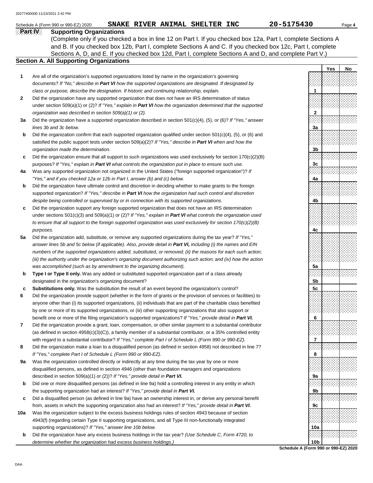|     | 20-5175430<br>SNAKE RIVER ANIMAL SHELTER INC<br>Schedule A (Form 990 or 990-EZ) 2020<br>Part IV                                                                                                                               |     |     | Page 4 |
|-----|-------------------------------------------------------------------------------------------------------------------------------------------------------------------------------------------------------------------------------|-----|-----|--------|
|     | <b>Supporting Organizations</b><br>(Complete only if you checked a box in line 12 on Part I. If you checked box 12a, Part I, complete Sections A                                                                              |     |     |        |
|     | and B. If you checked box 12b, Part I, complete Sections A and C. If you checked box 12c, Part I, complete                                                                                                                    |     |     |        |
|     | Sections A, D, and E. If you checked box 12d, Part I, complete Sections A and D, and complete Part V.)                                                                                                                        |     |     |        |
|     | <b>Section A. All Supporting Organizations</b>                                                                                                                                                                                |     |     |        |
|     |                                                                                                                                                                                                                               |     | Yes | No     |
| 1   | Are all of the organization's supported organizations listed by name in the organization's governing                                                                                                                          |     |     |        |
|     | documents? If "No," describe in Part VI how the supported organizations are designated. If designated by                                                                                                                      |     |     |        |
|     | class or purpose, describe the designation. If historic and continuing relationship, explain.                                                                                                                                 |     |     |        |
| 2   | Did the organization have any supported organization that does not have an IRS determination of status                                                                                                                        |     |     |        |
|     | under section 509(a)(1) or (2)? If "Yes," explain in <b>Part VI</b> how the organization determined that the supported                                                                                                        |     |     |        |
|     | organization was described in section 509(a)(1) or (2).                                                                                                                                                                       | 2   |     |        |
| За  | Did the organization have a supported organization described in section $501(c)(4)$ , (5), or (6)? If "Yes," answer                                                                                                           |     |     |        |
|     | lines 3b and 3c below.                                                                                                                                                                                                        | За  |     |        |
| b   | Did the organization confirm that each supported organization qualified under section 501(c)(4), (5), or (6) and                                                                                                              |     |     |        |
|     | satisfied the public support tests under section $509(a)(2)$ ? If "Yes," describe in Part VI when and how the                                                                                                                 |     |     |        |
|     | organization made the determination.                                                                                                                                                                                          | 3b  |     |        |
| c   | Did the organization ensure that all support to such organizations was used exclusively for section $170(c)(2)(B)$                                                                                                            |     |     |        |
|     | purposes? If "Yes," explain in Part VI what controls the organization put in place to ensure such use.                                                                                                                        | 3c  |     |        |
| 4a  | Was any supported organization not organized in the United States ("foreign supported organization")? If                                                                                                                      |     |     |        |
| b   | "Yes," and if you checked 12a or 12b in Part I, answer (b) and (c) below.<br>Did the organization have ultimate control and discretion in deciding whether to make grants to the foreign                                      | 4a  |     |        |
|     | supported organization? If "Yes," describe in Part VI how the organization had such control and discretion                                                                                                                    |     |     |        |
|     | despite being controlled or supervised by or in connection with its supported organizations.                                                                                                                                  | 4b  |     |        |
| c   | Did the organization support any foreign supported organization that does not have an IRS determination                                                                                                                       |     |     |        |
|     | under sections 501(c)(3) and 509(a)(1) or (2)? If "Yes," explain in Part VI what controls the organization used                                                                                                               |     |     |        |
|     | to ensure that all support to the foreign supported organization was used exclusively for section $170(c)(2)(B)$                                                                                                              |     |     |        |
|     | purposes.                                                                                                                                                                                                                     | 4c  |     |        |
| 5а  | Did the organization add, substitute, or remove any supported organizations during the tax year? If "Yes,"                                                                                                                    |     |     |        |
|     | answer lines 5b and 5c below (if applicable). Also, provide detail in Part VI, including (i) the names and EIN                                                                                                                |     |     |        |
|     | numbers of the supported organizations added, substituted, or removed; (ii) the reasons for each such action;                                                                                                                 |     |     |        |
|     | (iii) the authority under the organization's organizing document authorizing such action; and (iv) how the action                                                                                                             |     |     |        |
|     | was accomplished (such as by amendment to the organizing document).                                                                                                                                                           | 5a  |     |        |
| b   | Type I or Type II only. Was any added or substituted supported organization part of a class already                                                                                                                           |     |     |        |
|     | designated in the organization's organizing document?                                                                                                                                                                         | 5b  |     |        |
|     | <b>Substitutions only.</b> Was the substitution the result of an event beyond the organization's control?                                                                                                                     | 5c  |     |        |
| 6   | Did the organization provide support (whether in the form of grants or the provision of services or facilities) to                                                                                                            |     |     |        |
|     | anyone other than (i) its supported organizations, (ii) individuals that are part of the charitable class benefited                                                                                                           |     |     |        |
|     | by one or more of its supported organizations, or (iii) other supporting organizations that also support or                                                                                                                   |     |     |        |
|     | benefit one or more of the filing organization's supported organizations? If "Yes," provide detail in Part VI.                                                                                                                | 6   |     |        |
| 7   | Did the organization provide a grant, loan, compensation, or other similar payment to a substantial contributor                                                                                                               |     |     |        |
|     | (as defined in section $4958(c)(3)(C)$ ), a family member of a substantial contributor, or a 35% controlled entity<br>with regard to a substantial contributor? If "Yes," complete Part I of Schedule L (Form 990 or 990-EZ). | 7   |     |        |
| 8   | Did the organization make a loan to a disqualified person (as defined in section 4958) not described in line 7?                                                                                                               |     |     |        |
|     | If "Yes," complete Part I of Schedule L (Form 990 or 990-EZ).                                                                                                                                                                 | 8   |     |        |
| 9а  | Was the organization controlled directly or indirectly at any time during the tax year by one or more                                                                                                                         |     |     |        |
|     | disqualified persons, as defined in section 4946 (other than foundation managers and organizations                                                                                                                            |     |     |        |
|     | described in section 509(a)(1) or (2))? If "Yes," provide detail in Part VI.                                                                                                                                                  | 9a  |     |        |
| b   | Did one or more disqualified persons (as defined in line 9a) hold a controlling interest in any entity in which                                                                                                               |     |     |        |
|     | the supporting organization had an interest? If "Yes," provide detail in Part VI.                                                                                                                                             | 9b  |     |        |
| c   | Did a disqualified person (as defined in line 9a) have an ownership interest in, or derive any personal benefit                                                                                                               |     |     |        |
|     | from, assets in which the supporting organization also had an interest? If "Yes," provide detail in Part VI.                                                                                                                  | 9с  |     |        |
| 10a | Was the organization subject to the excess business holdings rules of section 4943 because of section                                                                                                                         |     |     |        |
|     | 4943(f) (regarding certain Type II supporting organizations, and all Type III non-functionally integrated                                                                                                                     |     |     |        |
|     | supporting organizations)? If "Yes," answer line 10b below.                                                                                                                                                                   | 10a |     |        |
| b   | Did the organization have any excess business holdings in the tax year? (Use Schedule C, Form 4720, to                                                                                                                        |     |     |        |
|     | determine whether the organization had excess business holdings.)                                                                                                                                                             | 10b |     |        |

**Schedule A (Form 990 or 990-EZ) 2020**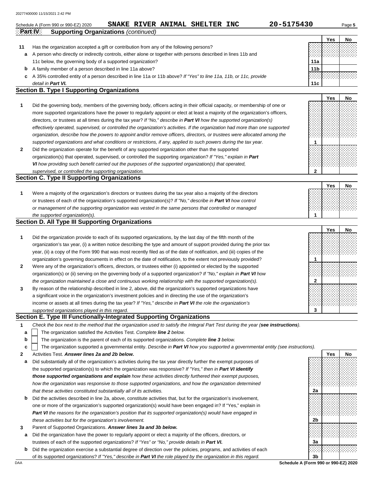|    | 20-5175430<br>SNAKE RIVER ANIMAL SHELTER INC<br>Schedule A (Form 990 or 990-EZ) 2020<br>Part IV<br><b>Supporting Organizations (continued)</b> |     |                                 | Page 5 |
|----|------------------------------------------------------------------------------------------------------------------------------------------------|-----|---------------------------------|--------|
|    |                                                                                                                                                |     | Yes                             | No     |
| 11 | Has the organization accepted a gift or contribution from any of the following persons?                                                        |     |                                 |        |
| а  | A person who directly or indirectly controls, either alone or together with persons described in lines 11b and                                 |     |                                 |        |
|    | 11c below, the governing body of a supported organization?                                                                                     | 11a |                                 |        |
| b  | A family member of a person described in line 11a above?                                                                                       | 11b |                                 |        |
| c  | A 35% controlled entity of a person described in line 11a or 11b above? If "Yes" to line 11a, 11b, or 11c, provide                             |     |                                 |        |
|    | detail in Part VI.                                                                                                                             | 11c |                                 |        |
|    | <b>Section B. Type I Supporting Organizations</b>                                                                                              |     |                                 |        |
|    |                                                                                                                                                |     | Yes                             | No     |
| 1  | Did the governing body, members of the governing body, officers acting in their official capacity, or membership of one or                     |     |                                 |        |
|    | more supported organizations have the power to regularly appoint or elect at least a majority of the organization's officers,                  |     |                                 |        |
|    | directors, or trustees at all times during the tax year? If "No," describe in <b>Part VI</b> how the supported organization(s)                 |     |                                 |        |
|    | effectively operated, supervised, or controlled the organization's activities. If the organization had more than one supported                 |     |                                 |        |
|    | organization, describe how the powers to appoint and/or remove officers, directors, or trustees were allocated among the                       |     |                                 |        |
|    | supported organizations and what conditions or restrictions, if any, applied to such powers during the tax year.                               | 1   |                                 |        |
| 2  | Did the organization operate for the benefit of any supported organization other than the supported                                            |     |                                 |        |
|    | organization(s) that operated, supervised, or controlled the supporting organization? If "Yes," explain in Part                                |     |                                 |        |
|    | VI how providing such benefit carried out the purposes of the supported organization(s) that operated,                                         |     |                                 |        |
|    | supervised, or controlled the supporting organization.                                                                                         | 2   |                                 |        |
|    | <b>Section C. Type II Supporting Organizations</b>                                                                                             |     |                                 |        |
|    |                                                                                                                                                |     | Yes                             | No     |
| 1  | Were a majority of the organization's directors or trustees during the tax year also a majority of the directors                               |     |                                 |        |
|    | or trustees of each of the organization's supported organization(s)? If "No," describe in Part VI how control                                  |     |                                 |        |
|    | or management of the supporting organization was vested in the same persons that controlled or managed                                         |     |                                 |        |
|    | the supported organization(s).                                                                                                                 | 1   |                                 |        |
|    | <b>Section D. All Type III Supporting Organizations</b>                                                                                        |     |                                 |        |
|    |                                                                                                                                                |     | Yes                             | No     |
| 1  | Did the organization provide to each of its supported organizations, by the last day of the fifth month of the                                 |     |                                 |        |
|    | organization's tax year, (i) a written notice describing the type and amount of support provided during the prior tax                          |     |                                 |        |
|    | year, (ii) a copy of the Form 990 that was most recently filed as of the date of notification, and (iii) copies of the                         |     |                                 |        |
|    | organization's governing documents in effect on the date of notification, to the extent not previously provided?                               | 1   |                                 |        |
| 2  | Were any of the organization's officers, directors, or trustees either (i) appointed or elected by the supported                               |     |                                 |        |
|    | organization(s) or (ii) serving on the governing body of a supported organization? If "No," explain in <b>Part VI</b> how                      |     |                                 |        |
|    | the organization maintained a close and continuous working relationship with the supported organization(s).                                    | 2   |                                 |        |
| 3  | By reason of the relationship described in line 2, above, did the organization's supported organizations have                                  |     | and a state of the state of the |        |
|    | a significant voice in the organization's investment policies and in directing the use of the organization's                                   |     |                                 |        |
|    | income or assets at all times during the tax year? If "Yes," describe in Part VI the role the organization's                                   |     |                                 |        |
|    | supported organizations played in this regard.                                                                                                 | 3   |                                 |        |
|    | Section E. Type III Functionally-Integrated Supporting Organizations                                                                           |     |                                 |        |
| 1  | Check the box next to the method that the organization used to satisfy the Integral Part Test during the year (see instructions).              |     |                                 |        |
| a  | The organization satisfied the Activities Test. Complete line 2 below.                                                                         |     |                                 |        |
| b  | The organization is the parent of each of its supported organizations. Complete line 3 below.                                                  |     |                                 |        |
| c  | The organization supported a governmental entity. Describe in Part VI how you supported a governmental entity (see instructions).              |     |                                 |        |
| 2  | Activities Test. Answer lines 2a and 2b below.                                                                                                 |     | Yes                             | No     |
| а  | Did substantially all of the organization's activities during the tax year directly further the exempt purposes of                             |     |                                 |        |
|    | the supported organization(s) to which the organization was responsive? If "Yes," then in Part VI identify                                     |     |                                 |        |
|    | those supported organizations and explain how these activities directly furthered their exempt purposes,                                       |     |                                 |        |
|    | how the organization was responsive to those supported organizations, and how the organization determined                                      |     |                                 |        |
|    | that these activities constituted substantially all of its activities.                                                                         | 2a  |                                 |        |
| b  | Did the activities described in line 2a, above, constitute activities that, but for the organization's involvement,                            |     |                                 |        |
|    | one or more of the organization's supported organization(s) would have been engaged in? If "Yes," explain in                                   |     |                                 |        |
|    | Part VI the reasons for the organization's position that its supported organization(s) would have engaged in                                   |     |                                 |        |
|    | these activities but for the organization's involvement.                                                                                       | 2b  |                                 |        |
| 3  | Parent of Supported Organizations. Answer lines 3a and 3b below.                                                                               |     |                                 |        |
| а  | Did the organization have the power to regularly appoint or elect a majority of the officers, directors, or                                    |     |                                 |        |
|    | trustees of each of the supported organizations? If "Yes" or "No," provide details in Part VI.                                                 | За  |                                 |        |
| b  | Did the organization exercise a substantial degree of direction over the policies, programs, and activities of each                            |     |                                 |        |
|    | of its supported organizations? If "Yes," describe in Part VI the role played by the organization in this regard.                              | 3b  |                                 |        |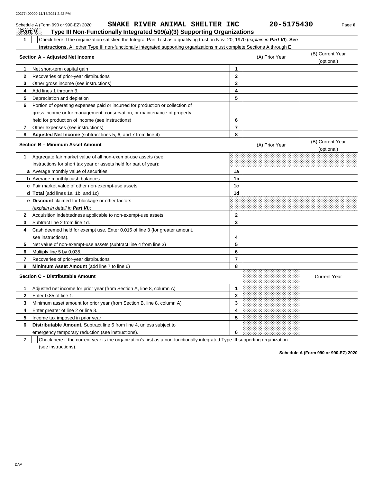| Schedule A (Form 990 or 990-EZ) 2020                    | SNAKE RIVER ANIMAL SHELTER INC                                                                                                                                                                                                                                |                | 20-5175430     | Page 6                         |
|---------------------------------------------------------|---------------------------------------------------------------------------------------------------------------------------------------------------------------------------------------------------------------------------------------------------------------|----------------|----------------|--------------------------------|
| Part V                                                  | Type III Non-Functionally Integrated 509(a)(3) Supporting Organizations                                                                                                                                                                                       |                |                |                                |
| 1                                                       | Check here if the organization satisfied the Integral Part Test as a qualifying trust on Nov. 20, 1970 (explain in Part VI). See<br>instructions. All other Type III non-functionally integrated supporting organizations must complete Sections A through E. |                |                |                                |
| Section A - Adjusted Net Income                         |                                                                                                                                                                                                                                                               |                | (A) Prior Year | (B) Current Year<br>(optional) |
| Net short-term capital gain<br>1                        |                                                                                                                                                                                                                                                               | 1              |                |                                |
| 2<br>Recoveries of prior-year distributions             |                                                                                                                                                                                                                                                               | $\mathbf{2}$   |                |                                |
| Other gross income (see instructions)<br>3              |                                                                                                                                                                                                                                                               | 3              |                |                                |
| Add lines 1 through 3.<br>4                             |                                                                                                                                                                                                                                                               | 4              |                |                                |
| 5<br>Depreciation and depletion                         |                                                                                                                                                                                                                                                               | 5              |                |                                |
| 6                                                       | Portion of operating expenses paid or incurred for production or collection of                                                                                                                                                                                |                |                |                                |
|                                                         | gross income or for management, conservation, or maintenance of property                                                                                                                                                                                      |                |                |                                |
| held for production of income (see instructions)        |                                                                                                                                                                                                                                                               | 6              |                |                                |
| Other expenses (see instructions)<br>7                  |                                                                                                                                                                                                                                                               | $\overline{7}$ |                |                                |
| 8                                                       | Adjusted Net Income (subtract lines 5, 6, and 7 from line 4)                                                                                                                                                                                                  | 8              |                |                                |
| <b>Section B - Minimum Asset Amount</b>                 |                                                                                                                                                                                                                                                               |                | (A) Prior Year | (B) Current Year<br>(optional) |
| 1                                                       | Aggregate fair market value of all non-exempt-use assets (see                                                                                                                                                                                                 |                |                |                                |
|                                                         | instructions for short tax year or assets held for part of year):                                                                                                                                                                                             |                |                |                                |
| a Average monthly value of securities                   |                                                                                                                                                                                                                                                               | 1a             |                |                                |
| <b>b</b> Average monthly cash balances                  |                                                                                                                                                                                                                                                               | 1b             |                |                                |
| c Fair market value of other non-exempt-use assets      |                                                                                                                                                                                                                                                               | 1 <sub>c</sub> |                |                                |
| d Total (add lines 1a, 1b, and 1c)                      |                                                                                                                                                                                                                                                               | 1d             |                |                                |
| <b>e</b> Discount claimed for blockage or other factors |                                                                                                                                                                                                                                                               |                |                |                                |
| (explain in detail in <b>Part VI</b> ):                 |                                                                                                                                                                                                                                                               |                |                |                                |
| 2.                                                      | Acquisition indebtedness applicable to non-exempt-use assets                                                                                                                                                                                                  | $\mathbf{2}$   |                |                                |
| Subtract line 2 from line 1d.<br>3                      |                                                                                                                                                                                                                                                               | 3              |                |                                |
| 4                                                       | Cash deemed held for exempt use. Enter 0.015 of line 3 (for greater amount,                                                                                                                                                                                   |                |                |                                |
| see instructions).                                      |                                                                                                                                                                                                                                                               | 4              |                |                                |
| 5.                                                      | Net value of non-exempt-use assets (subtract line 4 from line 3)                                                                                                                                                                                              | 5              |                |                                |
| Multiply line 5 by 0.035.<br>6                          |                                                                                                                                                                                                                                                               | 6              |                |                                |
| Recoveries of prior-year distributions<br>7             |                                                                                                                                                                                                                                                               | $\overline{7}$ |                |                                |
| Minimum Asset Amount (add line 7 to line 6)<br>8        |                                                                                                                                                                                                                                                               | 8              |                |                                |
| Section C - Distributable Amount                        |                                                                                                                                                                                                                                                               |                |                | <b>Current Year</b>            |
|                                                         | Adjusted net income for prior year (from Section A. line 8, column A)                                                                                                                                                                                         | 1              |                |                                |
| Enter 0.85 of line 1.<br>2                              |                                                                                                                                                                                                                                                               | $\mathbf{2}$   |                |                                |
| 3                                                       | Minimum asset amount for prior year (from Section B, line 8, column A)                                                                                                                                                                                        | 3              |                |                                |
| Enter greater of line 2 or line 3.<br>4                 |                                                                                                                                                                                                                                                               | 4              |                |                                |
| 5<br>Income tax imposed in prior year                   |                                                                                                                                                                                                                                                               | 5              |                |                                |
| 6                                                       | Distributable Amount. Subtract line 5 from line 4, unless subject to                                                                                                                                                                                          |                |                |                                |
|                                                         | emergency temporary reduction (see instructions).                                                                                                                                                                                                             | 6              |                |                                |
| $\mathbf{7}$                                            | Check here if the current year is the organization's first as a non-functionally integrated Type III supporting organization                                                                                                                                  |                |                |                                |

(see instructions).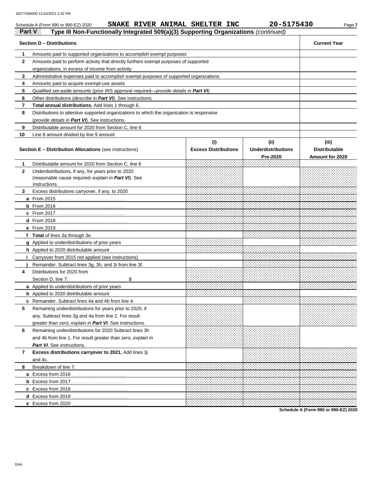Schedule A (Form 990 or 990-EZ) 2020 **SNAKE RIVER ANIMAL SHELTER INC 20-5175430** Page 7 **Part V Type III Non-Functionally Integrated 509(a)(3) Supporting Organizations** *(continued)* **Section D – Distributions Current Year 1** Amounts paid to supported organizations to accomplish exempt purposes **2** Amounts paid to perform activity that directly furthers exempt purposes of supported organizations, in excess of income from activity **3** Administrative expenses paid to accomplish exempt purposes of supported organizations **4** Amounts paid to acquire exempt-use assets **5** Qualified set-aside amounts (prior IRS approval required—*provide details in Part VI*) **6** Other distributions (*describe in Part VI*). See instructions. **Total annual distributions.** Add lines 1 through 6. **7** Distributions to attentive supported organizations to which the organization is responsive **8** (*provide details in Part VI*). See instructions. **9** Distributable amount for 2020 from Section C, line 6 **10** Line 8 amount divided by line 9 amount **(iii) (i) (ii) Section E – Distribution Allocations (see instructions) <b>EXCES** Excess Distributions **Underdistributions Distributable Pre-2020 Amount for 2020** Distributable amount for 2020 from Section C, line 6 **1** Underdistributions, if any, for years prior to 2020 **2** (reasonable cause required–*explain in Part VI*). See instructions. Excess distributions carryover, if any, to 2020 **3 a** From 2015 . . . . . . . . . . . . . . . . . . . . . . . . . . . . . . . . . **b** From 2016 . . . . . . . . . . . . . . . . . . . . . . . . . . . . . . . . . **c** From 2017 . . . . . . . . . . . . . . . . . . . . . . . . . . . . . . . . . **d** From 2018 . . . . . . . . . . . . . . . . . . . . . . . . . . . . . . . . . . **e** From 2019 . . . . . . . . . . . . . . . . . . . . . . . . . . . . . . . . . . **Total** of lines 3a through 3e **f g** Applied to underdistributions of prior years 200202020202020 **h** Applied to 2020 distributable amount Carryover from 2015 not applied (see instructions) **i j** Remainder. Subtract lines 3g, 3h, and 3i from line 3f. **4** Distributions for 2020 from Section D, line 7: \$ **a** Applied to underdistributions of prior years **b** Applied to 2020 distributable amount ----------**c** Remainder. Subtract lines 4a and 4b from line 4. **5** Remaining underdistributions for years prior to 2020, if any. Subtract lines 3g and 4a from line 2. For result greater than zero, *explain in Part VI*. See instructions. **6** Remaining underdistributions for 2020 Subtract lines 3h and 4b from line 1. For result greater than zero, *explain in Part VI.* See instructions. **Excess distributions carryover to 2021.** Add lines 3j **7** and 4c. <u> 1999 - Francisco III e P</u> Breakdown of line 7: **8 a** Excess from 2016 . . . . . . . . . . . . . . . . . . . . . . . . . . **b** Excess from 2017 . . . . . . . . . . . . . . . . . . . . . . . . . . **c** Excess from 2018 . . . . . . . . . . . . . . . . . . . . . . . . . . . **d** Excess from 2019 . . . . . . . . . . . . . . . . . . . . . . . . . . . **e** Excess from 2020 . . . . . . . . . . . . . . . . . . . . . . . . . . .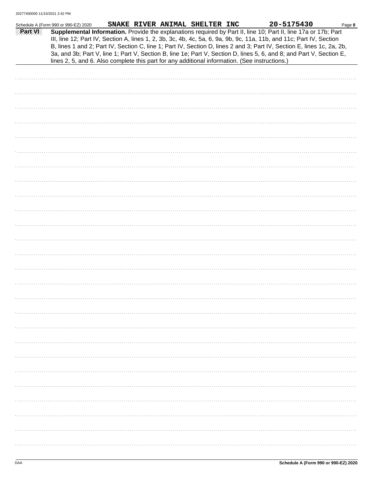| $\overline{Part}$ VI<br>Supplemental Information. Provide the explanations required by Part II, line 10; Part II, line 17a or 17b; Part<br>III, line 12; Part IV, Section A, lines 1, 2, 3b, 3c, 4b, 4c, 5a, 6, 9a, 9b, 9c, 11a, 11b, and 11c; Part IV, Section<br>B, lines 1 and 2; Part IV, Section C, line 1; Part IV, Section D, lines 2 and 3; Part IV, Section E, lines 1c, 2a, 2b,<br>3a, and 3b; Part V, line 1; Part V, Section B, line 1e; Part V, Section D, lines 5, 6, and 8; and Part V, Section E,<br>lines 2, 5, and 6. Also complete this part for any additional information. (See instructions.) |
|---------------------------------------------------------------------------------------------------------------------------------------------------------------------------------------------------------------------------------------------------------------------------------------------------------------------------------------------------------------------------------------------------------------------------------------------------------------------------------------------------------------------------------------------------------------------------------------------------------------------|
|                                                                                                                                                                                                                                                                                                                                                                                                                                                                                                                                                                                                                     |
|                                                                                                                                                                                                                                                                                                                                                                                                                                                                                                                                                                                                                     |
|                                                                                                                                                                                                                                                                                                                                                                                                                                                                                                                                                                                                                     |
|                                                                                                                                                                                                                                                                                                                                                                                                                                                                                                                                                                                                                     |
|                                                                                                                                                                                                                                                                                                                                                                                                                                                                                                                                                                                                                     |
|                                                                                                                                                                                                                                                                                                                                                                                                                                                                                                                                                                                                                     |
|                                                                                                                                                                                                                                                                                                                                                                                                                                                                                                                                                                                                                     |
|                                                                                                                                                                                                                                                                                                                                                                                                                                                                                                                                                                                                                     |
|                                                                                                                                                                                                                                                                                                                                                                                                                                                                                                                                                                                                                     |
|                                                                                                                                                                                                                                                                                                                                                                                                                                                                                                                                                                                                                     |
|                                                                                                                                                                                                                                                                                                                                                                                                                                                                                                                                                                                                                     |
|                                                                                                                                                                                                                                                                                                                                                                                                                                                                                                                                                                                                                     |
|                                                                                                                                                                                                                                                                                                                                                                                                                                                                                                                                                                                                                     |
|                                                                                                                                                                                                                                                                                                                                                                                                                                                                                                                                                                                                                     |
|                                                                                                                                                                                                                                                                                                                                                                                                                                                                                                                                                                                                                     |
|                                                                                                                                                                                                                                                                                                                                                                                                                                                                                                                                                                                                                     |
|                                                                                                                                                                                                                                                                                                                                                                                                                                                                                                                                                                                                                     |
|                                                                                                                                                                                                                                                                                                                                                                                                                                                                                                                                                                                                                     |
|                                                                                                                                                                                                                                                                                                                                                                                                                                                                                                                                                                                                                     |
|                                                                                                                                                                                                                                                                                                                                                                                                                                                                                                                                                                                                                     |
|                                                                                                                                                                                                                                                                                                                                                                                                                                                                                                                                                                                                                     |
|                                                                                                                                                                                                                                                                                                                                                                                                                                                                                                                                                                                                                     |
|                                                                                                                                                                                                                                                                                                                                                                                                                                                                                                                                                                                                                     |
|                                                                                                                                                                                                                                                                                                                                                                                                                                                                                                                                                                                                                     |
|                                                                                                                                                                                                                                                                                                                                                                                                                                                                                                                                                                                                                     |
|                                                                                                                                                                                                                                                                                                                                                                                                                                                                                                                                                                                                                     |
|                                                                                                                                                                                                                                                                                                                                                                                                                                                                                                                                                                                                                     |
|                                                                                                                                                                                                                                                                                                                                                                                                                                                                                                                                                                                                                     |
|                                                                                                                                                                                                                                                                                                                                                                                                                                                                                                                                                                                                                     |
|                                                                                                                                                                                                                                                                                                                                                                                                                                                                                                                                                                                                                     |
|                                                                                                                                                                                                                                                                                                                                                                                                                                                                                                                                                                                                                     |
|                                                                                                                                                                                                                                                                                                                                                                                                                                                                                                                                                                                                                     |
|                                                                                                                                                                                                                                                                                                                                                                                                                                                                                                                                                                                                                     |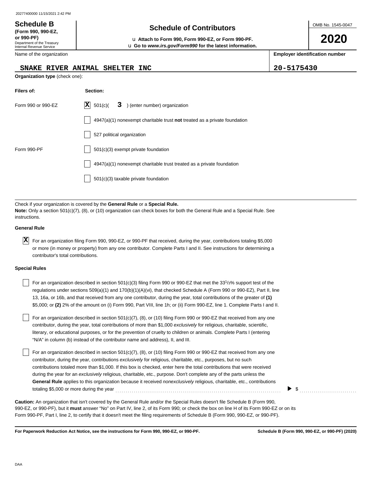Department of the Treasury Internal Revenue Service Name of the organization

**(Form 990, 990-EZ,**

# **Schedule of Contributors Schedule B**

**or 990-PF)** u **Attach to Form 990, Form 990-EZ, or Form 990-PF.** u **Go to** *www.irs.gov/Form990* **for the latest information.** OMB No. 1545-0047

**2020**

**Employer identification number**

**SNAKE RIVER ANIMAL SHELTER INC 20-5175430**

| Organization type (check one):                                                                                                                                                                                                                                                                                                                                                                                                                                                                                                                                                                                                   |                                                                                                                                                                                                                                                                                                                                                                                                                                                                                                                       |  |  |  |  |  |
|----------------------------------------------------------------------------------------------------------------------------------------------------------------------------------------------------------------------------------------------------------------------------------------------------------------------------------------------------------------------------------------------------------------------------------------------------------------------------------------------------------------------------------------------------------------------------------------------------------------------------------|-----------------------------------------------------------------------------------------------------------------------------------------------------------------------------------------------------------------------------------------------------------------------------------------------------------------------------------------------------------------------------------------------------------------------------------------------------------------------------------------------------------------------|--|--|--|--|--|
| Filers of:                                                                                                                                                                                                                                                                                                                                                                                                                                                                                                                                                                                                                       | Section:                                                                                                                                                                                                                                                                                                                                                                                                                                                                                                              |  |  |  |  |  |
| Form 990 or 990-EZ                                                                                                                                                                                                                                                                                                                                                                                                                                                                                                                                                                                                               | IХ<br>501(c)<br>) (enter number) organization<br>3                                                                                                                                                                                                                                                                                                                                                                                                                                                                    |  |  |  |  |  |
|                                                                                                                                                                                                                                                                                                                                                                                                                                                                                                                                                                                                                                  | 4947(a)(1) nonexempt charitable trust not treated as a private foundation                                                                                                                                                                                                                                                                                                                                                                                                                                             |  |  |  |  |  |
|                                                                                                                                                                                                                                                                                                                                                                                                                                                                                                                                                                                                                                  | 527 political organization                                                                                                                                                                                                                                                                                                                                                                                                                                                                                            |  |  |  |  |  |
| Form 990-PF                                                                                                                                                                                                                                                                                                                                                                                                                                                                                                                                                                                                                      | 501(c)(3) exempt private foundation                                                                                                                                                                                                                                                                                                                                                                                                                                                                                   |  |  |  |  |  |
|                                                                                                                                                                                                                                                                                                                                                                                                                                                                                                                                                                                                                                  | 4947(a)(1) nonexempt charitable trust treated as a private foundation                                                                                                                                                                                                                                                                                                                                                                                                                                                 |  |  |  |  |  |
|                                                                                                                                                                                                                                                                                                                                                                                                                                                                                                                                                                                                                                  | 501(c)(3) taxable private foundation                                                                                                                                                                                                                                                                                                                                                                                                                                                                                  |  |  |  |  |  |
| instructions.                                                                                                                                                                                                                                                                                                                                                                                                                                                                                                                                                                                                                    | Check if your organization is covered by the General Rule or a Special Rule.<br>Note: Only a section 501(c)(7), (8), or (10) organization can check boxes for both the General Rule and a Special Rule. See                                                                                                                                                                                                                                                                                                           |  |  |  |  |  |
| <b>General Rule</b>                                                                                                                                                                                                                                                                                                                                                                                                                                                                                                                                                                                                              |                                                                                                                                                                                                                                                                                                                                                                                                                                                                                                                       |  |  |  |  |  |
| $ \mathbf{X} $<br>contributor's total contributions.                                                                                                                                                                                                                                                                                                                                                                                                                                                                                                                                                                             | For an organization filing Form 990, 990-EZ, or 990-PF that received, during the year, contributions totaling \$5,000<br>or more (in money or property) from any one contributor. Complete Parts I and II. See instructions for determining a                                                                                                                                                                                                                                                                         |  |  |  |  |  |
| <b>Special Rules</b>                                                                                                                                                                                                                                                                                                                                                                                                                                                                                                                                                                                                             |                                                                                                                                                                                                                                                                                                                                                                                                                                                                                                                       |  |  |  |  |  |
|                                                                                                                                                                                                                                                                                                                                                                                                                                                                                                                                                                                                                                  | For an organization described in section 501(c)(3) filing Form 990 or 990-EZ that met the 33 <sup>1</sup> /3% support test of the<br>regulations under sections 509(a)(1) and 170(b)(1)(A)(vi), that checked Schedule A (Form 990 or 990-EZ), Part II, line<br>13, 16a, or 16b, and that received from any one contributor, during the year, total contributions of the greater of (1)<br>\$5,000; or (2) 2% of the amount on (i) Form 990, Part VIII, line 1h; or (ii) Form 990-EZ, line 1. Complete Parts I and II. |  |  |  |  |  |
|                                                                                                                                                                                                                                                                                                                                                                                                                                                                                                                                                                                                                                  | For an organization described in section 501(c)(7), (8), or (10) filing Form 990 or 990-EZ that received from any one<br>contributor, during the year, total contributions of more than \$1,000 exclusively for religious, charitable, scientific,<br>literary, or educational purposes, or for the prevention of cruelty to children or animals. Complete Parts I (entering<br>"N/A" in column (b) instead of the contributor name and address), II, and III.                                                        |  |  |  |  |  |
| For an organization described in section 501(c)(7), (8), or (10) filing Form 990 or 990-EZ that received from any one<br>contributor, during the year, contributions exclusively for religious, charitable, etc., purposes, but no such<br>contributions totaled more than \$1,000. If this box is checked, enter here the total contributions that were received<br>during the year for an exclusively religious, charitable, etc., purpose. Don't complete any of the parts unless the<br>General Rule applies to this organization because it received <i>nonexclusively</i> religious, charitable, etc., contributions<br>\$ |                                                                                                                                                                                                                                                                                                                                                                                                                                                                                                                       |  |  |  |  |  |
|                                                                                                                                                                                                                                                                                                                                                                                                                                                                                                                                                                                                                                  | Caution: An organization that isn't covered by the General Rule and/or the Special Rules doesn't file Schedule B (Form 990,<br>990-EZ, or 990-PF), but it must answer "No" on Part IV, line 2, of its Form 990; or check the box on line H of its Form 990-EZ or on its<br>Form 990-PF, Part I, line 2, to certify that it doesn't meet the filing requirements of Schedule B (Form 990, 990-EZ, or 990-PF).                                                                                                          |  |  |  |  |  |

**For Paperwork Reduction Act Notice, see the instructions for Form 990, 990-EZ, or 990-PF.**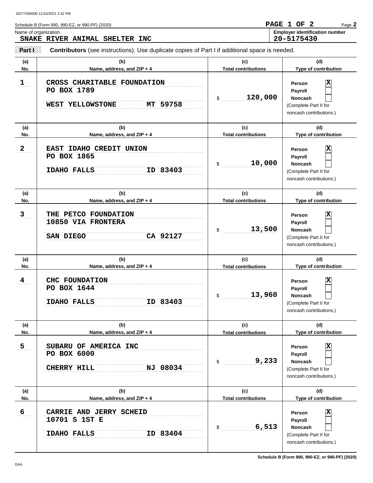Schedule B (Form 990, 990-EZ, or 990-PF) (2020) Name of organization **Employer identification number** Page **2 SNAKE RIVER ANIMAL SHELTER INC PAGE 1 OF 2 20-5175430**

**Part I Contributors** (see instructions). Use duplicate copies of Part I if additional space is needed.

| (a)             | (b)                                                                                       | (c)                        | (d)                                                                                                         |
|-----------------|-------------------------------------------------------------------------------------------|----------------------------|-------------------------------------------------------------------------------------------------------------|
| No.             | Name, address, and ZIP + 4                                                                | <b>Total contributions</b> | Type of contribution                                                                                        |
| $\mathbf{1}$ .  | CROSS CHARITABLE FOUNDATION<br>PO BOX 1789<br>WEST YELLOWSTONE<br>MT 59758                | 120,000<br>\$              | X<br>Person<br>Payroll<br>Noncash<br>(Complete Part II for<br>noncash contributions.)                       |
| (a)             | (b)                                                                                       | (c)                        | (d)                                                                                                         |
| No.             | Name, address, and ZIP + 4                                                                | <b>Total contributions</b> | Type of contribution                                                                                        |
| $\mathbf{2}$    | <b>IDAHO CREDIT UNION</b><br><b>EAST</b><br>PO BOX 1865<br><b>IDAHO FALLS</b><br>ID 83403 | 10,000<br>\$               | X<br>Person<br>Payroll<br>Noncash<br>(Complete Part II for<br>noncash contributions.)                       |
| (a)             | (b)                                                                                       | (c)                        | (d)                                                                                                         |
| No.             | Name, address, and ZIP + 4                                                                | <b>Total contributions</b> | Type of contribution                                                                                        |
| $\overline{3}$  | THE PETCO FOUNDATION<br>10850 VIA FRONTERA<br>CA 92127<br><b>SAN DIEGO</b>                | 13,500<br>\$               | х<br>Person<br>Payroll<br>Noncash<br>(Complete Part II for<br>noncash contributions.)                       |
| (a)             | (b)                                                                                       | (c)                        | (d)                                                                                                         |
| No.             | Name, address, and ZIP + 4                                                                | <b>Total contributions</b> | Type of contribution                                                                                        |
| 4               | CHC FOUNDATION<br>PO BOX 1644<br>ID 83403<br><b>IDAHO FALLS</b>                           | 13,960<br>\$               | X<br>Person<br>Payroll<br><b>Noncash</b><br>(Complete Part II for<br>noncash contributions.)                |
| (a)             | (b)                                                                                       | (c)                        | (d)                                                                                                         |
| No.             | Name, address, and ZIP + 4                                                                | <b>Total contributions</b> | Type of contribution                                                                                        |
| 5 <sub>1</sub>  | SUBARU OF AMERICA INC<br>PO BOX 6000<br>NJ 08034<br>CHERRY HILL                           | 9,233<br>\$                | $\overline{\mathbf{x}}$<br>Person<br>Payroll<br>Noncash<br>(Complete Part II for<br>noncash contributions.) |
| (a)             | (b)                                                                                       | (c)                        | (d)                                                                                                         |
| No.             | Name, address, and ZIP + 4                                                                | <b>Total contributions</b> | Type of contribution                                                                                        |
| $6 \frac{6}{3}$ | CARRIE AND JERRY SCHEID<br>10701 S 1ST E<br>ID 83404<br><b>IDAHO FALLS</b>                | 6,513<br>\$<br>.           | $\overline{\mathbf{x}}$<br>Person<br>Payroll<br>Noncash<br>(Complete Part II for<br>noncash contributions.) |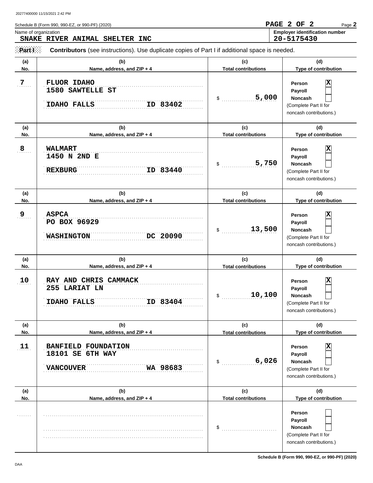Schedule B (Form 990, 990-EZ, or 990-PF) (2020) Name of organization **Employer identification number** Page **2 SNAKE RIVER ANIMAL SHELTER INC PAGE 2 OF 2 20-5175430**

**Part I Contributors** (see instructions). Use duplicate copies of Part I if additional space is needed.

| (a)<br>No. | (b)<br>Name, address, and ZIP + 4                                                     | (c)<br><b>Total contributions</b> | (d)<br>Type of contribution                                                                  |
|------------|---------------------------------------------------------------------------------------|-----------------------------------|----------------------------------------------------------------------------------------------|
| 7          | FLUOR IDAHO<br>1580 SAWTELLE ST<br>ID 83402<br><b>IDAHO FALLS</b>                     | 5,000<br>$\sim$                   | X<br>Person<br>Payroll<br>Noncash<br>(Complete Part II for<br>noncash contributions.)        |
| (a)<br>No. | (b)<br>Name, address, and ZIP + 4                                                     | (c)<br><b>Total contributions</b> | (d)<br>Type of contribution                                                                  |
| 8          | <b>WALMART</b><br>1450 N 2ND E<br>ID 83440<br><b>REXBURG</b>                          | 5,750<br>$\sim$                   | X<br>Person<br>Payroll<br><b>Noncash</b><br>(Complete Part II for<br>noncash contributions.) |
| (a)<br>No. | (b)<br>Name, address, and ZIP + 4                                                     | (c)<br><b>Total contributions</b> | (d)<br>Type of contribution                                                                  |
| 9          | <b>ASPCA</b><br>PO BOX 96929<br>DC 20090<br><b>WASHINGTON</b>                         | 13,500<br>$\sim$                  | X<br>Person<br>Payroll<br><b>Noncash</b><br>(Complete Part II for<br>noncash contributions.) |
| (a)<br>No. | (b)<br>Name, address, and ZIP + 4                                                     | (c)<br><b>Total contributions</b> | (d)<br>Type of contribution                                                                  |
| 10         | RAY AND CHRIS CAMMACK<br>255 LARIAT LN                                                |                                   | x<br>Person<br>Payroll                                                                       |
|            | ID 83404<br><b>IDAHO FALLS</b>                                                        | 10,100<br>$\sim$                  | <b>Noncash</b><br>(Complete Part II for<br>noncash contributions.)                           |
| (a)<br>No. | (b)<br>Name, address, and ZIP + 4                                                     | (c)<br><b>Total contributions</b> | (d)<br>Type of contribution                                                                  |
| 11         | <b>BANFIELD FOUNDATION</b><br><b>18101 SE 6TH WAY</b><br>WA 98683<br><b>VANCOUVER</b> | 6,026<br>$\ddot{\bm{\mathsf{S}}}$ | x<br>Person<br>Payroll<br>Noncash<br>(Complete Part II for<br>noncash contributions.)        |
| (a)<br>No. | (b)<br>Name, address, and ZIP + 4                                                     | (c)<br><b>Total contributions</b> | (d)<br>Type of contribution                                                                  |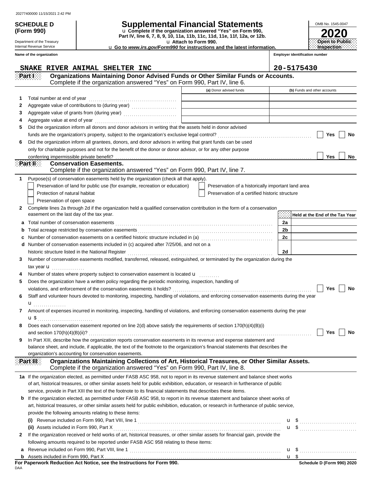**(Form 990)**

## **SCHEDULE D Supplemental Financial Statements**

u **Attach to Form 990. Part IV, line 6, 7, 8, 9, 10, 11a, 11b, 11c, 11d, 11e, 11f, 12a, or 12b.** u **Complete if the organization answered "Yes" on Form 990,**

u **Go to** *www.irs.gov/Form990* **for instructions and the latest information.**

**2020 Open to Public** OMB No. 1545-0047 **Inspection**

**Employer identification number**

| Name of the organization |  |
|--------------------------|--|

Department of the Treasury Internal Revenue Service

|     | SNAKE RIVER ANIMAL SHELTER INC                                                                                                                                                                                                                                                                                                                                      |                                                    |                | 20-5175430                           |
|-----|---------------------------------------------------------------------------------------------------------------------------------------------------------------------------------------------------------------------------------------------------------------------------------------------------------------------------------------------------------------------|----------------------------------------------------|----------------|--------------------------------------|
|     | Organizations Maintaining Donor Advised Funds or Other Similar Funds or Accounts.<br>Part I                                                                                                                                                                                                                                                                         |                                                    |                |                                      |
|     | Complete if the organization answered "Yes" on Form 990, Part IV, line 6.                                                                                                                                                                                                                                                                                           |                                                    |                |                                      |
|     |                                                                                                                                                                                                                                                                                                                                                                     | (a) Donor advised funds                            |                | (b) Funds and other accounts         |
| 1   | Total number at end of year                                                                                                                                                                                                                                                                                                                                         |                                                    |                |                                      |
| 2   |                                                                                                                                                                                                                                                                                                                                                                     |                                                    |                |                                      |
| 3   | Aggregate value of grants from (during year)                                                                                                                                                                                                                                                                                                                        |                                                    |                |                                      |
| 4   |                                                                                                                                                                                                                                                                                                                                                                     |                                                    |                |                                      |
| 5   | Did the organization inform all donors and donor advisors in writing that the assets held in donor advised                                                                                                                                                                                                                                                          |                                                    |                |                                      |
|     |                                                                                                                                                                                                                                                                                                                                                                     |                                                    |                | Yes<br>No                            |
| 6   | Did the organization inform all grantees, donors, and donor advisors in writing that grant funds can be used                                                                                                                                                                                                                                                        |                                                    |                |                                      |
|     | only for charitable purposes and not for the benefit of the donor or donor advisor, or for any other purpose                                                                                                                                                                                                                                                        |                                                    |                |                                      |
|     | Part II<br><b>Conservation Easements.</b>                                                                                                                                                                                                                                                                                                                           |                                                    |                | <b>Yes</b><br><b>No</b>              |
|     | Complete if the organization answered "Yes" on Form 990, Part IV, line 7.                                                                                                                                                                                                                                                                                           |                                                    |                |                                      |
| 1.  | Purpose(s) of conservation easements held by the organization (check all that apply).                                                                                                                                                                                                                                                                               |                                                    |                |                                      |
|     | Preservation of land for public use (for example, recreation or education)                                                                                                                                                                                                                                                                                          | Preservation of a historically important land area |                |                                      |
|     | Protection of natural habitat                                                                                                                                                                                                                                                                                                                                       | Preservation of a certified historic structure     |                |                                      |
|     | Preservation of open space                                                                                                                                                                                                                                                                                                                                          |                                                    |                |                                      |
| 2   | Complete lines 2a through 2d if the organization held a qualified conservation contribution in the form of a conservation                                                                                                                                                                                                                                           |                                                    |                |                                      |
|     | easement on the last day of the tax year.                                                                                                                                                                                                                                                                                                                           |                                                    |                | Held at the End of the Tax Year      |
| а   |                                                                                                                                                                                                                                                                                                                                                                     |                                                    | 2a             |                                      |
| b   |                                                                                                                                                                                                                                                                                                                                                                     |                                                    | 2 <sub>b</sub> |                                      |
| c   | Number of conservation easements on a certified historic structure included in (a)<br>[2003]                                                                                                                                                                                                                                                                        |                                                    | 2c             |                                      |
|     | d Number of conservation easements included in (c) acquired after 7/25/06, and not on a                                                                                                                                                                                                                                                                             |                                                    |                |                                      |
|     | historic structure listed in the National Register                                                                                                                                                                                                                                                                                                                  |                                                    | 2d             |                                      |
| 3   | Number of conservation easements modified, transferred, released, extinguished, or terminated by the organization during the                                                                                                                                                                                                                                        |                                                    |                |                                      |
|     | tax year U<br>. <b>.</b> .                                                                                                                                                                                                                                                                                                                                          |                                                    |                |                                      |
|     | Number of states where property subject to conservation easement is located U                                                                                                                                                                                                                                                                                       |                                                    |                |                                      |
| 5   | Does the organization have a written policy regarding the periodic monitoring, inspection, handling of                                                                                                                                                                                                                                                              |                                                    |                |                                      |
|     |                                                                                                                                                                                                                                                                                                                                                                     |                                                    |                | Yes<br>No                            |
| 6   | Staff and volunteer hours devoted to monitoring, inspecting, handling of violations, and enforcing conservation easements during the year                                                                                                                                                                                                                           |                                                    |                |                                      |
|     | <b>U</b>                                                                                                                                                                                                                                                                                                                                                            |                                                    |                |                                      |
|     | Amount of expenses incurred in monitoring, inspecting, handling of violations, and enforcing conservation easements during the year                                                                                                                                                                                                                                 |                                                    |                |                                      |
|     | $\begin{picture}(20,10) \put(0,0){\vector(1,0){100}} \put(15,0){\vector(1,0){100}} \put(15,0){\vector(1,0){100}} \put(15,0){\vector(1,0){100}} \put(15,0){\vector(1,0){100}} \put(15,0){\vector(1,0){100}} \put(15,0){\vector(1,0){100}} \put(15,0){\vector(1,0){100}} \put(15,0){\vector(1,0){100}} \put(15,0){\vector(1,0){100}} \put(15,0){\vector(1,0){100}} \$ |                                                    |                |                                      |
|     | Does each conservation easement reported on line 2(d) above satisfy the requirements of section 170(h)(4)(B)(i)                                                                                                                                                                                                                                                     |                                                    |                | Yes<br>No                            |
|     |                                                                                                                                                                                                                                                                                                                                                                     |                                                    |                |                                      |
| 9   | In Part XIII, describe how the organization reports conservation easements in its revenue and expense statement and<br>balance sheet, and include, if applicable, the text of the footnote to the organization's financial statements that describes the                                                                                                            |                                                    |                |                                      |
|     | organization's accounting for conservation easements.                                                                                                                                                                                                                                                                                                               |                                                    |                |                                      |
|     | Organizations Maintaining Collections of Art, Historical Treasures, or Other Similar Assets.<br>Part III                                                                                                                                                                                                                                                            |                                                    |                |                                      |
|     | Complete if the organization answered "Yes" on Form 990, Part IV, line 8.                                                                                                                                                                                                                                                                                           |                                                    |                |                                      |
|     | 1a If the organization elected, as permitted under FASB ASC 958, not to report in its revenue statement and balance sheet works                                                                                                                                                                                                                                     |                                                    |                |                                      |
|     | of art, historical treasures, or other similar assets held for public exhibition, education, or research in furtherance of public                                                                                                                                                                                                                                   |                                                    |                |                                      |
|     | service, provide in Part XIII the text of the footnote to its financial statements that describes these items.                                                                                                                                                                                                                                                      |                                                    |                |                                      |
| b   | If the organization elected, as permitted under FASB ASC 958, to report in its revenue statement and balance sheet works of                                                                                                                                                                                                                                         |                                                    |                |                                      |
|     | art, historical treasures, or other similar assets held for public exhibition, education, or research in furtherance of public service,                                                                                                                                                                                                                             |                                                    |                |                                      |
|     | provide the following amounts relating to these items:                                                                                                                                                                                                                                                                                                              |                                                    |                |                                      |
|     | (i)                                                                                                                                                                                                                                                                                                                                                                 |                                                    |                |                                      |
|     | (ii) Assets included in Form 990, Part X                                                                                                                                                                                                                                                                                                                            |                                                    |                |                                      |
| 2   | If the organization received or held works of art, historical treasures, or other similar assets for financial gain, provide the                                                                                                                                                                                                                                    |                                                    |                |                                      |
|     | following amounts required to be reported under FASB ASC 958 relating to these items:                                                                                                                                                                                                                                                                               |                                                    |                |                                      |
| а   | Revenue included on Form 990, Part VIII, line 1                                                                                                                                                                                                                                                                                                                     |                                                    |                |                                      |
| b   | For Paperwork Reduction Act Notice, see the Instructions for Form 990.                                                                                                                                                                                                                                                                                              |                                                    |                | $U$ \$<br>Schedule D (Form 990) 2020 |
| DAA |                                                                                                                                                                                                                                                                                                                                                                     |                                                    |                |                                      |

|     |  |  | For Paperwork Reduction Act Notice, see the Instructions for Form 990. |  |
|-----|--|--|------------------------------------------------------------------------|--|
| DAA |  |  |                                                                        |  |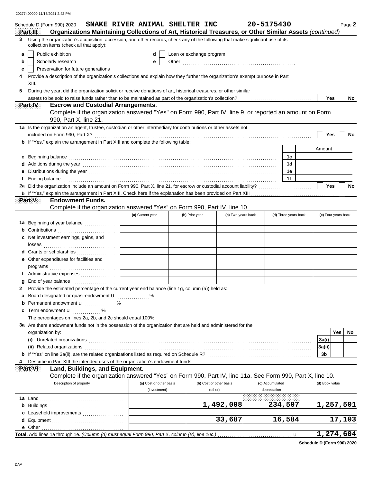|    | Schedule D (Form 990) 2020                                                                                                                                                                                                                                                                                                                                | SNAKE RIVER ANIMAL SHELTER INC |                          |                         |                    | 20-5175430      |                      |                     | Page 2    |
|----|-----------------------------------------------------------------------------------------------------------------------------------------------------------------------------------------------------------------------------------------------------------------------------------------------------------------------------------------------------------|--------------------------------|--------------------------|-------------------------|--------------------|-----------------|----------------------|---------------------|-----------|
|    | Organizations Maintaining Collections of Art, Historical Treasures, or Other Similar Assets (continued)<br>Part III                                                                                                                                                                                                                                       |                                |                          |                         |                    |                 |                      |                     |           |
| 3  | Using the organization's acquisition, accession, and other records, check any of the following that make significant use of its<br>collection items (check all that apply):                                                                                                                                                                               |                                |                          |                         |                    |                 |                      |                     |           |
| a  | Public exhibition                                                                                                                                                                                                                                                                                                                                         | d                              | Loan or exchange program |                         |                    |                 |                      |                     |           |
| b  | Scholarly research                                                                                                                                                                                                                                                                                                                                        | е                              |                          |                         |                    |                 |                      |                     |           |
| c  | Preservation for future generations                                                                                                                                                                                                                                                                                                                       |                                |                          |                         |                    |                 |                      |                     |           |
| 4  | Provide a description of the organization's collections and explain how they further the organization's exempt purpose in Part<br>XIII.                                                                                                                                                                                                                   |                                |                          |                         |                    |                 |                      |                     |           |
| 5  | During the year, did the organization solicit or receive donations of art, historical treasures, or other similar                                                                                                                                                                                                                                         |                                |                          |                         |                    |                 |                      |                     |           |
|    |                                                                                                                                                                                                                                                                                                                                                           |                                |                          |                         |                    |                 |                      | Yes                 | No        |
|    | Part IV<br><b>Escrow and Custodial Arrangements.</b>                                                                                                                                                                                                                                                                                                      |                                |                          |                         |                    |                 |                      |                     |           |
|    | Complete if the organization answered "Yes" on Form 990, Part IV, line 9, or reported an amount on Form<br>990, Part X, line 21.                                                                                                                                                                                                                          |                                |                          |                         |                    |                 |                      |                     |           |
|    | 1a Is the organization an agent, trustee, custodian or other intermediary for contributions or other assets not                                                                                                                                                                                                                                           |                                |                          |                         |                    |                 |                      |                     |           |
|    |                                                                                                                                                                                                                                                                                                                                                           |                                |                          |                         |                    |                 |                      | Yes                 | No        |
|    | <b>b</b> If "Yes," explain the arrangement in Part XIII and complete the following table:                                                                                                                                                                                                                                                                 |                                |                          |                         |                    |                 |                      |                     |           |
|    |                                                                                                                                                                                                                                                                                                                                                           |                                |                          |                         |                    |                 |                      | Amount              |           |
|    |                                                                                                                                                                                                                                                                                                                                                           |                                |                          |                         |                    |                 | 1с                   |                     |           |
|    | c Beginning balance <b>contract the contract of the contract of the contract of the contract of the contract of the contract of the contract of the contract of the contract of the contract of the contract of the contract of </b>                                                                                                                      |                                |                          |                         |                    |                 | 1 <sub>d</sub>       |                     |           |
|    |                                                                                                                                                                                                                                                                                                                                                           |                                |                          |                         |                    |                 | 1e                   |                     |           |
| t. |                                                                                                                                                                                                                                                                                                                                                           |                                |                          |                         |                    |                 | 1f                   |                     |           |
|    | Ending balance <b>constructs</b> and constructs and constructs and constructs and constructs and constructs and constructs and constructs and constructs and constructs and constructs and constructs and constructs and constructs<br>2a Did the organization include an amount on Form 990, Part X, line 21, for escrow or custodial account liability? |                                |                          |                         |                    |                 |                      | <b>Yes</b>          | No        |
|    |                                                                                                                                                                                                                                                                                                                                                           |                                |                          |                         |                    |                 |                      |                     |           |
|    | Part V<br><b>Endowment Funds.</b>                                                                                                                                                                                                                                                                                                                         |                                |                          |                         |                    |                 |                      |                     |           |
|    | Complete if the organization answered "Yes" on Form 990, Part IV, line 10.                                                                                                                                                                                                                                                                                |                                |                          |                         |                    |                 |                      |                     |           |
|    |                                                                                                                                                                                                                                                                                                                                                           | (a) Current year               | (b) Prior year           |                         | (c) Two years back |                 | (d) Three years back | (e) Four years back |           |
|    |                                                                                                                                                                                                                                                                                                                                                           |                                |                          |                         |                    |                 |                      |                     |           |
|    | 1a Beginning of year balance                                                                                                                                                                                                                                                                                                                              |                                |                          |                         |                    |                 |                      |                     |           |
|    | <b>b</b> Contributions                                                                                                                                                                                                                                                                                                                                    |                                |                          |                         |                    |                 |                      |                     |           |
|    | c Net investment earnings, gains, and                                                                                                                                                                                                                                                                                                                     |                                |                          |                         |                    |                 |                      |                     |           |
|    | d Grants or scholarships                                                                                                                                                                                                                                                                                                                                  |                                |                          |                         |                    |                 |                      |                     |           |
|    | e Other expenditures for facilities and                                                                                                                                                                                                                                                                                                                   |                                |                          |                         |                    |                 |                      |                     |           |
|    |                                                                                                                                                                                                                                                                                                                                                           |                                |                          |                         |                    |                 |                      |                     |           |
|    | f Administrative expenses                                                                                                                                                                                                                                                                                                                                 |                                |                          |                         |                    |                 |                      |                     |           |
|    | End of year balance                                                                                                                                                                                                                                                                                                                                       |                                |                          |                         |                    |                 |                      |                     |           |
| 2  | Provide the estimated percentage of the current year end balance (line 1g, column (a)) held as:                                                                                                                                                                                                                                                           |                                |                          |                         |                    |                 |                      |                     |           |
|    | a Board designated or quasi-endowment U                                                                                                                                                                                                                                                                                                                   |                                |                          |                         |                    |                 |                      |                     |           |
|    | <b>b</b> Permanent endowment u  %                                                                                                                                                                                                                                                                                                                         |                                |                          |                         |                    |                 |                      |                     |           |
|    | c Term endowment u %                                                                                                                                                                                                                                                                                                                                      |                                |                          |                         |                    |                 |                      |                     |           |
|    | The percentages on lines 2a, 2b, and 2c should equal 100%.                                                                                                                                                                                                                                                                                                |                                |                          |                         |                    |                 |                      |                     |           |
|    | 3a Are there endowment funds not in the possession of the organization that are held and administered for the                                                                                                                                                                                                                                             |                                |                          |                         |                    |                 |                      |                     |           |
|    | organization by:                                                                                                                                                                                                                                                                                                                                          |                                |                          |                         |                    |                 |                      |                     | Yes<br>No |
|    | (i) Unrelated organizations <b>constants</b> and constants a constant of the constant of the constant of the constant of the constant of the constant of the constant of the constant of the constant of the constant of the consta                                                                                                                       |                                |                          |                         |                    |                 |                      | 3a(i)               |           |
|    | (ii) Related organizations <b>constants</b> and constants a set of the constant of the constant of the constant of the constant of the constant of the constant of the constant of the constant of the constant of the constant of                                                                                                                        |                                |                          |                         |                    |                 |                      | 3a(ii)              |           |
|    |                                                                                                                                                                                                                                                                                                                                                           |                                |                          |                         |                    |                 |                      | 3b                  |           |
|    | Describe in Part XIII the intended uses of the organization's endowment funds.                                                                                                                                                                                                                                                                            |                                |                          |                         |                    |                 |                      |                     |           |
|    | Land, Buildings, and Equipment.<br><b>Part VI</b>                                                                                                                                                                                                                                                                                                         |                                |                          |                         |                    |                 |                      |                     |           |
|    | Complete if the organization answered "Yes" on Form 990, Part IV, line 11a. See Form 990, Part X, line 10.                                                                                                                                                                                                                                                |                                |                          |                         |                    |                 |                      |                     |           |
|    | Description of property                                                                                                                                                                                                                                                                                                                                   | (a) Cost or other basis        |                          | (b) Cost or other basis |                    | (c) Accumulated |                      | (d) Book value      |           |
|    |                                                                                                                                                                                                                                                                                                                                                           | (investment)                   |                          | (other)                 |                    | depreciation    |                      |                     |           |
|    |                                                                                                                                                                                                                                                                                                                                                           |                                |                          |                         |                    |                 |                      |                     |           |
|    |                                                                                                                                                                                                                                                                                                                                                           |                                |                          |                         | 1,492,008          |                 | 234,507              | 1,257,501           |           |
|    | c Leasehold improvements                                                                                                                                                                                                                                                                                                                                  |                                |                          |                         |                    |                 |                      |                     |           |
|    |                                                                                                                                                                                                                                                                                                                                                           |                                |                          |                         | 33,687             |                 | 16,584               |                     | 17,103    |
|    |                                                                                                                                                                                                                                                                                                                                                           |                                |                          |                         |                    |                 |                      |                     |           |
|    | Total. Add lines 1a through 1e. (Column (d) must equal Form 990, Part X, column (B), line 10c.)                                                                                                                                                                                                                                                           |                                |                          |                         |                    |                 | $\cup$               | 1,274,604           |           |

**Schedule D (Form 990) 2020**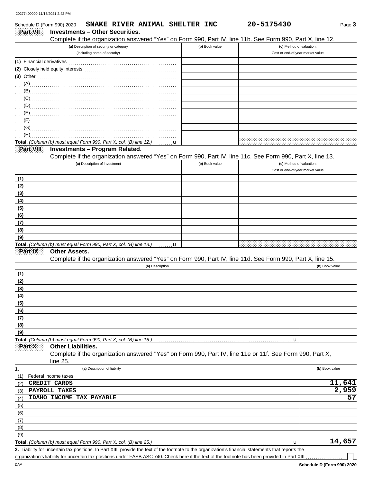|                           | SNAKE RIVER ANIMAL SHELTER INC<br>Schedule D (Form 990) 2020                                                                                                                                                               |                | 20-5175430                       | Page 3         |
|---------------------------|----------------------------------------------------------------------------------------------------------------------------------------------------------------------------------------------------------------------------|----------------|----------------------------------|----------------|
| Part VII                  | <b>Investments - Other Securities.</b>                                                                                                                                                                                     |                |                                  |                |
|                           | Complete if the organization answered "Yes" on Form 990, Part IV, line 11b. See Form 990, Part X, line 12.                                                                                                                 |                |                                  |                |
|                           | (a) Description of security or category                                                                                                                                                                                    | (b) Book value | (c) Method of valuation:         |                |
|                           | (including name of security)                                                                                                                                                                                               |                | Cost or end-of-year market value |                |
| (1) Financial derivatives |                                                                                                                                                                                                                            |                |                                  |                |
|                           | (2) Closely held equity interests                                                                                                                                                                                          |                |                                  |                |
| $(3)$ Other               |                                                                                                                                                                                                                            |                |                                  |                |
| (A)                       |                                                                                                                                                                                                                            |                |                                  |                |
| (B)                       |                                                                                                                                                                                                                            |                |                                  |                |
| (C)                       |                                                                                                                                                                                                                            |                |                                  |                |
| (D)                       |                                                                                                                                                                                                                            |                |                                  |                |
| (E)                       |                                                                                                                                                                                                                            |                |                                  |                |
| (F)                       |                                                                                                                                                                                                                            |                |                                  |                |
| (G)                       |                                                                                                                                                                                                                            |                |                                  |                |
| (H)                       |                                                                                                                                                                                                                            |                |                                  |                |
|                           | Total. (Column (b) must equal Form 990, Part X, col. (B) line 12.)<br>U<br><b>Investments - Program Related.</b>                                                                                                           |                |                                  |                |
| <b>Part VIII</b>          | Complete if the organization answered "Yes" on Form 990, Part IV, line 11c. See Form 990, Part X, line 13.                                                                                                                 |                |                                  |                |
|                           | (a) Description of investment                                                                                                                                                                                              | (b) Book value | (c) Method of valuation:         |                |
|                           |                                                                                                                                                                                                                            |                | Cost or end-of-year market value |                |
|                           |                                                                                                                                                                                                                            |                |                                  |                |
| (1)<br>(2)                |                                                                                                                                                                                                                            |                |                                  |                |
| (3)                       |                                                                                                                                                                                                                            |                |                                  |                |
| (4)                       |                                                                                                                                                                                                                            |                |                                  |                |
| (5)                       |                                                                                                                                                                                                                            |                |                                  |                |
| (6)                       |                                                                                                                                                                                                                            |                |                                  |                |
| (7)                       |                                                                                                                                                                                                                            |                |                                  |                |
| (8)                       |                                                                                                                                                                                                                            |                |                                  |                |
| (9)                       |                                                                                                                                                                                                                            |                |                                  |                |
|                           | Total. (Column (b) must equal Form 990, Part X, col. (B) line 13.)<br>U                                                                                                                                                    |                |                                  |                |
| Part IX                   | <b>Other Assets.</b>                                                                                                                                                                                                       |                |                                  |                |
|                           | Complete if the organization answered "Yes" on Form 990, Part IV, line 11d. See Form 990, Part X, line 15.                                                                                                                 |                |                                  |                |
|                           | (a) Description                                                                                                                                                                                                            |                |                                  | (b) Book value |
| (1)                       |                                                                                                                                                                                                                            |                |                                  |                |
| (2)                       |                                                                                                                                                                                                                            |                |                                  |                |
| (3)                       |                                                                                                                                                                                                                            |                |                                  |                |
| (4)                       |                                                                                                                                                                                                                            |                |                                  |                |
| (5)                       |                                                                                                                                                                                                                            |                |                                  |                |
| (6)                       |                                                                                                                                                                                                                            |                |                                  |                |
| (7)                       |                                                                                                                                                                                                                            |                |                                  |                |
| (8)                       |                                                                                                                                                                                                                            |                |                                  |                |
| (9)                       |                                                                                                                                                                                                                            |                |                                  |                |
|                           | Total. (Column (b) must equal Form 990, Part X, col. (B) line 15.)                                                                                                                                                         |                | u                                |                |
| Part X                    | Other Liabilities.                                                                                                                                                                                                         |                |                                  |                |
|                           | Complete if the organization answered "Yes" on Form 990, Part IV, line 11e or 11f. See Form 990, Part X,<br>line 25.                                                                                                       |                |                                  |                |
| 1.                        | (a) Description of liability                                                                                                                                                                                               |                |                                  | (b) Book value |
| (1)                       | Federal income taxes                                                                                                                                                                                                       |                |                                  |                |
| (2)                       | CREDIT CARDS                                                                                                                                                                                                               |                |                                  | 11,641         |
| (3)                       | PAYROLL TAXES                                                                                                                                                                                                              |                |                                  | 2,959          |
| (4)                       | IDAHO INCOME TAX PAYABLE                                                                                                                                                                                                   |                |                                  | 57             |
| (5)                       |                                                                                                                                                                                                                            |                |                                  |                |
| (6)                       |                                                                                                                                                                                                                            |                |                                  |                |
| (7)                       |                                                                                                                                                                                                                            |                |                                  |                |
| (8)                       |                                                                                                                                                                                                                            |                |                                  |                |
| (9)                       |                                                                                                                                                                                                                            |                |                                  |                |
|                           | Total. (Column (b) must equal Form 990, Part X, col. (B) line 25.)<br>2. Liability for uncertain tax positions. In Part XIII, provide the text of the footnote to the organization's financial statements that reports the |                | u                                | 14,657         |

organization's liability for uncertain tax positions under FASB ASC 740. Check here if the text of the footnote has been provided in Part XIII

**Schedule D (Form 990) 2020**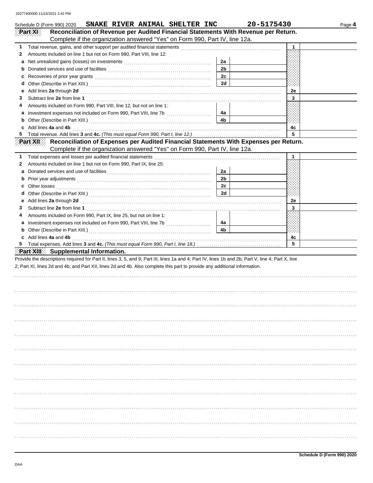|    | SNAKE RIVER ANIMAL SHELTER INC<br>Schedule D (Form 990) 2020                                                                                                                                                                   |                | 20-5175430   | Page 4 |
|----|--------------------------------------------------------------------------------------------------------------------------------------------------------------------------------------------------------------------------------|----------------|--------------|--------|
|    | Reconciliation of Revenue per Audited Financial Statements With Revenue per Return.<br>Part XI                                                                                                                                 |                |              |        |
|    | Complete if the organization answered "Yes" on Form 990, Part IV, line 12a.                                                                                                                                                    |                |              |        |
| 1. |                                                                                                                                                                                                                                |                | $\mathbf{1}$ |        |
| 2  | Amounts included on line 1 but not on Form 990, Part VIII, line 12:                                                                                                                                                            |                |              |        |
| а  |                                                                                                                                                                                                                                | 2a             |              |        |
| b  |                                                                                                                                                                                                                                | 2 <sub>b</sub> |              |        |
| с  |                                                                                                                                                                                                                                | 2c             |              |        |
| d  |                                                                                                                                                                                                                                | 2d             |              |        |
| е  | Add lines 2a through 2d [11] Add [12] Add lines 2a through 2d [12] Add lines 2a through 2d [12] Add lines 2a through 2d                                                                                                        |                | 2e           |        |
| 3  |                                                                                                                                                                                                                                |                | 3            |        |
| 4  | Amounts included on Form 990, Part VIII, line 12, but not on line 1:                                                                                                                                                           |                |              |        |
| а  |                                                                                                                                                                                                                                | 4a             |              |        |
| b  | Other (Describe in Part XIII.) [11] [2010] [2010] [2010] [2010] [2010] [2010] [2010] [2010] [2010] [2010] [2010] [2010] [2010] [2010] [2010] [2010] [2010] [2010] [2010] [2010] [2010] [2010] [2010] [2010] [2010] [2010] [201 | 4b             |              |        |
|    | Add lines 4a and 4b                                                                                                                                                                                                            |                | 4c           |        |
|    |                                                                                                                                                                                                                                |                | 5            |        |
|    | Part XII:: Reconciliation of Expenses per Audited Financial Statements With Expenses per Return.                                                                                                                               |                |              |        |
|    | Complete if the organization answered "Yes" on Form 990, Part IV, line 12a.                                                                                                                                                    |                |              |        |
| 1  | Total expenses and losses per audited financial statements                                                                                                                                                                     |                | 1            |        |
| 2  | Amounts included on line 1 but not on Form 990, Part IX, line 25:                                                                                                                                                              |                |              |        |
| а  |                                                                                                                                                                                                                                | 2a             |              |        |
| b  | Prior year adjustments entertainments and the contract of the contract of the contract of the contract of the contract of the contract of the contract of the contract of the contract of the contract of the contract of the  | 2 <sub>b</sub> |              |        |
| c  | Other losses                                                                                                                                                                                                                   | 2c             |              |        |
| d  |                                                                                                                                                                                                                                | 2d             |              |        |
| е  | Add lines 2a through 2d [11] Add [12] Add lines 2a through 2d [12] Add lines 2a through 2d [12] Add lines 2a through 2d                                                                                                        |                | 2e           |        |
| 3  |                                                                                                                                                                                                                                |                | 3            |        |
| 4  | Amounts included on Form 990, Part IX, line 25, but not on line 1:                                                                                                                                                             |                |              |        |
| a  |                                                                                                                                                                                                                                | 4a             |              |        |
| b  |                                                                                                                                                                                                                                | 4b             |              |        |
| c  | Add lines 4a and 4b                                                                                                                                                                                                            |                | 4c           |        |
| 5  |                                                                                                                                                                                                                                |                | 5            |        |
|    | Part XIII Supplemental Information.                                                                                                                                                                                            |                |              |        |
|    | Provide the descriptions required for Part II, lines 3, 5, and 9; Part III, lines 1a and 4; Part IV, lines 1b and 2b; Part V, line 4; Part X, line                                                                             |                |              |        |
|    | 2; Part XI, lines 2d and 4b; and Part XII, lines 2d and 4b. Also complete this part to provide any additional information.                                                                                                     |                |              |        |
|    |                                                                                                                                                                                                                                |                |              |        |
|    |                                                                                                                                                                                                                                |                |              |        |
|    |                                                                                                                                                                                                                                |                |              |        |
|    |                                                                                                                                                                                                                                |                |              |        |
|    |                                                                                                                                                                                                                                |                |              |        |
|    |                                                                                                                                                                                                                                |                |              |        |
|    |                                                                                                                                                                                                                                |                |              |        |
|    |                                                                                                                                                                                                                                |                |              |        |
|    |                                                                                                                                                                                                                                |                |              |        |
|    |                                                                                                                                                                                                                                |                |              |        |
|    |                                                                                                                                                                                                                                |                |              |        |
|    |                                                                                                                                                                                                                                |                |              |        |
|    |                                                                                                                                                                                                                                |                |              |        |
|    |                                                                                                                                                                                                                                |                |              |        |
|    |                                                                                                                                                                                                                                |                |              |        |
|    |                                                                                                                                                                                                                                |                |              |        |
|    |                                                                                                                                                                                                                                |                |              |        |
|    |                                                                                                                                                                                                                                |                |              |        |
|    |                                                                                                                                                                                                                                |                |              |        |
|    |                                                                                                                                                                                                                                |                |              |        |
|    |                                                                                                                                                                                                                                |                |              |        |
|    |                                                                                                                                                                                                                                |                |              |        |
|    |                                                                                                                                                                                                                                |                |              |        |
|    |                                                                                                                                                                                                                                |                |              |        |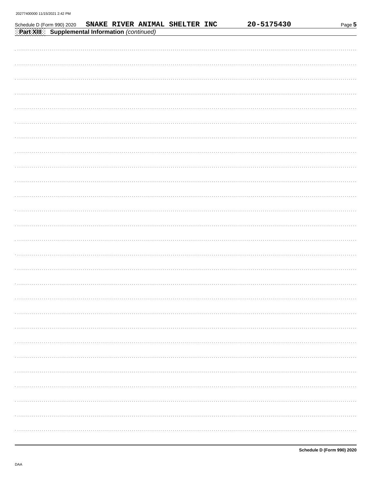| Schedule D (Form 990) 2020                    |  | SNAKE RIVER ANIMAL SHELTER INC | 20-5175430 | Page 5 |
|-----------------------------------------------|--|--------------------------------|------------|--------|
| Part XII Supplemental Information (continued) |  |                                |            |        |
|                                               |  |                                |            |        |
|                                               |  |                                |            |        |
|                                               |  |                                |            |        |
|                                               |  |                                |            |        |
|                                               |  |                                |            |        |
|                                               |  |                                |            |        |
|                                               |  |                                |            |        |
|                                               |  |                                |            |        |
|                                               |  |                                |            |        |
|                                               |  |                                |            |        |
|                                               |  |                                |            |        |
|                                               |  |                                |            |        |
|                                               |  |                                |            |        |
|                                               |  |                                |            |        |
|                                               |  |                                |            |        |
|                                               |  |                                |            |        |
|                                               |  |                                |            |        |
|                                               |  |                                |            |        |
|                                               |  |                                |            |        |
|                                               |  |                                |            |        |
|                                               |  |                                |            |        |
|                                               |  |                                |            |        |
|                                               |  |                                |            |        |
|                                               |  |                                |            |        |
|                                               |  |                                |            |        |
|                                               |  |                                |            |        |
|                                               |  |                                |            |        |
|                                               |  |                                |            |        |
|                                               |  |                                |            |        |
|                                               |  |                                |            |        |
|                                               |  |                                |            |        |
|                                               |  |                                |            |        |
|                                               |  |                                |            |        |
|                                               |  |                                |            |        |
|                                               |  |                                |            |        |
|                                               |  |                                |            |        |
|                                               |  |                                |            |        |
|                                               |  |                                |            |        |
|                                               |  |                                |            |        |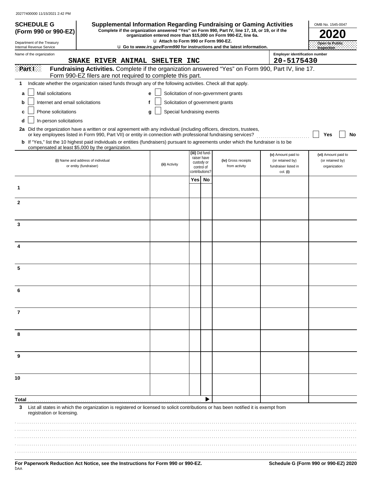| 20277400000 11/15/2021 2:42 PM |  |  |  |
|--------------------------------|--|--|--|
|--------------------------------|--|--|--|

| <u> ZUZTT4UUUUU TI/T3/ZUZT Z.4Z FIVI</u><br><b>SCHEDULE G</b> | <b>Supplemental Information Regarding Fundraising or Gaming Activities</b>                                                                                                                                                               |                |                                   |                              |                                |                                       |                                          | OMB No. 1545-0047                                   |
|---------------------------------------------------------------|------------------------------------------------------------------------------------------------------------------------------------------------------------------------------------------------------------------------------------------|----------------|-----------------------------------|------------------------------|--------------------------------|---------------------------------------|------------------------------------------|-----------------------------------------------------|
| (Form 990 or 990-EZ)                                          | Complete if the organization answered "Yes" on Form 990, Part IV, line 17, 18, or 19, or if the<br>organization entered more than \$15,000 on Form 990-EZ, line 6a.                                                                      |                |                                   |                              |                                |                                       |                                          |                                                     |
| Department of the Treasury                                    |                                                                                                                                                                                                                                          | Open to Public |                                   |                              |                                |                                       |                                          |                                                     |
| Internal Revenue Service<br>Name of the organization          | $\cup$ Go to www.irs.gov/Form990 for instructions and the latest information.                                                                                                                                                            |                |                                   |                              |                                |                                       |                                          | Inspection<br><b>Employer identification number</b> |
|                                                               | SNAKE RIVER ANIMAL SHELTER INC                                                                                                                                                                                                           |                |                                   |                              |                                |                                       | 20-5175430                               |                                                     |
| Part I                                                        | Fundraising Activities. Complete if the organization answered "Yes" on Form 990, Part IV, line 17.                                                                                                                                       |                |                                   |                              |                                |                                       |                                          |                                                     |
|                                                               | Form 990-EZ filers are not required to complete this part.                                                                                                                                                                               |                |                                   |                              |                                |                                       |                                          |                                                     |
| 1                                                             | Indicate whether the organization raised funds through any of the following activities. Check all that apply.                                                                                                                            |                |                                   |                              |                                |                                       |                                          |                                                     |
| Mail solicitations<br>a                                       | е                                                                                                                                                                                                                                        |                |                                   |                              |                                | Solicitation of non-government grants |                                          |                                                     |
| Internet and email solicitations<br>b                         | f                                                                                                                                                                                                                                        |                | Solicitation of government grants |                              |                                |                                       |                                          |                                                     |
| Phone solicitations<br>c                                      | g                                                                                                                                                                                                                                        |                | Special fundraising events        |                              |                                |                                       |                                          |                                                     |
| In-person solicitations<br>d                                  |                                                                                                                                                                                                                                          |                |                                   |                              |                                |                                       |                                          |                                                     |
|                                                               | 2a Did the organization have a written or oral agreement with any individual (including officers, directors, trustees,<br>or key employees listed in Form 990, Part VII) or entity in connection with professional fundraising services? |                |                                   |                              |                                |                                       |                                          | Yes<br>No                                           |
|                                                               | b If "Yes," list the 10 highest paid individuals or entities (fundraisers) pursuant to agreements under which the fundraiser is to be<br>compensated at least \$5,000 by the organization.                                               |                |                                   |                              |                                |                                       |                                          |                                                     |
|                                                               |                                                                                                                                                                                                                                          |                |                                   |                              | (iii) Did fund-<br>raiser have |                                       | (v) Amount paid to                       | (vi) Amount paid to                                 |
|                                                               | (i) Name and address of individual<br>or entity (fundraiser)                                                                                                                                                                             |                | (ii) Activity                     | custody or                   |                                | (iv) Gross receipts<br>from activity  | (or retained by)<br>fundraiser listed in | (or retained by)<br>organization                    |
|                                                               |                                                                                                                                                                                                                                          |                |                                   | control of<br>contributions? |                                |                                       | col. (i)                                 |                                                     |
|                                                               |                                                                                                                                                                                                                                          |                |                                   | Yes   No                     |                                |                                       |                                          |                                                     |
| 1                                                             |                                                                                                                                                                                                                                          |                |                                   |                              |                                |                                       |                                          |                                                     |
|                                                               |                                                                                                                                                                                                                                          |                |                                   |                              |                                |                                       |                                          |                                                     |
| $\mathbf{2}$                                                  |                                                                                                                                                                                                                                          |                |                                   |                              |                                |                                       |                                          |                                                     |
|                                                               |                                                                                                                                                                                                                                          |                |                                   |                              |                                |                                       |                                          |                                                     |
| 3                                                             |                                                                                                                                                                                                                                          |                |                                   |                              |                                |                                       |                                          |                                                     |
|                                                               |                                                                                                                                                                                                                                          |                |                                   |                              |                                |                                       |                                          |                                                     |
|                                                               |                                                                                                                                                                                                                                          |                |                                   |                              |                                |                                       |                                          |                                                     |
| 4                                                             |                                                                                                                                                                                                                                          |                |                                   |                              |                                |                                       |                                          |                                                     |
|                                                               |                                                                                                                                                                                                                                          |                |                                   |                              |                                |                                       |                                          |                                                     |
| 5                                                             |                                                                                                                                                                                                                                          |                |                                   |                              |                                |                                       |                                          |                                                     |
|                                                               |                                                                                                                                                                                                                                          |                |                                   |                              |                                |                                       |                                          |                                                     |
|                                                               |                                                                                                                                                                                                                                          |                |                                   |                              |                                |                                       |                                          |                                                     |
|                                                               |                                                                                                                                                                                                                                          |                |                                   |                              |                                |                                       |                                          |                                                     |
|                                                               |                                                                                                                                                                                                                                          |                |                                   |                              |                                |                                       |                                          |                                                     |
| 7                                                             |                                                                                                                                                                                                                                          |                |                                   |                              |                                |                                       |                                          |                                                     |
|                                                               |                                                                                                                                                                                                                                          |                |                                   |                              |                                |                                       |                                          |                                                     |
|                                                               |                                                                                                                                                                                                                                          |                |                                   |                              |                                |                                       |                                          |                                                     |
| 8                                                             |                                                                                                                                                                                                                                          |                |                                   |                              |                                |                                       |                                          |                                                     |
|                                                               |                                                                                                                                                                                                                                          |                |                                   |                              |                                |                                       |                                          |                                                     |
| 9                                                             |                                                                                                                                                                                                                                          |                |                                   |                              |                                |                                       |                                          |                                                     |
|                                                               |                                                                                                                                                                                                                                          |                |                                   |                              |                                |                                       |                                          |                                                     |
| 10                                                            |                                                                                                                                                                                                                                          |                |                                   |                              |                                |                                       |                                          |                                                     |
|                                                               |                                                                                                                                                                                                                                          |                |                                   |                              |                                |                                       |                                          |                                                     |
|                                                               |                                                                                                                                                                                                                                          |                |                                   |                              |                                |                                       |                                          |                                                     |
| Total                                                         |                                                                                                                                                                                                                                          |                |                                   |                              |                                |                                       |                                          |                                                     |
| 3<br>registration or licensing.                               | List all states in which the organization is registered or licensed to solicit contributions or has been notified it is exempt from                                                                                                      |                |                                   |                              |                                |                                       |                                          |                                                     |
|                                                               |                                                                                                                                                                                                                                          |                |                                   |                              |                                |                                       |                                          |                                                     |
|                                                               |                                                                                                                                                                                                                                          |                |                                   |                              |                                |                                       |                                          |                                                     |
|                                                               |                                                                                                                                                                                                                                          |                |                                   |                              |                                |                                       |                                          |                                                     |
|                                                               |                                                                                                                                                                                                                                          |                |                                   |                              |                                |                                       |                                          |                                                     |
|                                                               |                                                                                                                                                                                                                                          |                |                                   |                              |                                |                                       |                                          |                                                     |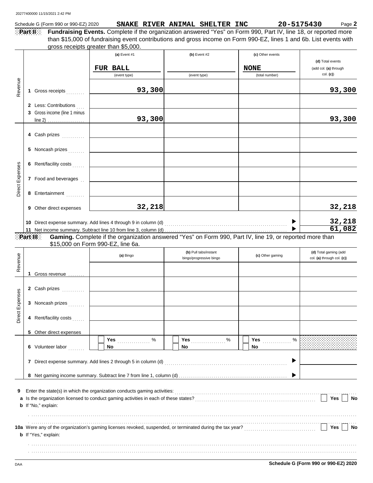|                 |   | Schedule G (Form 990 or 990-EZ) 2020                                                                                                                                                                                   |                                                                                                                    |        |     | SNAKE RIVER ANIMAL SHELTER INC                   |             | 20-5175430       |                                                     | Page 2                  |
|-----------------|---|------------------------------------------------------------------------------------------------------------------------------------------------------------------------------------------------------------------------|--------------------------------------------------------------------------------------------------------------------|--------|-----|--------------------------------------------------|-------------|------------------|-----------------------------------------------------|-------------------------|
|                 |   | Part I: Fundraising Events. Complete if the organization answered "Yes" on Form 990, Part IV, line 18, or reported more                                                                                                |                                                                                                                    |        |     |                                                  |             |                  |                                                     |                         |
|                 |   |                                                                                                                                                                                                                        | than \$15,000 of fundraising event contributions and gross income on Form 990-EZ, lines 1 and 6b. List events with |        |     |                                                  |             |                  |                                                     |                         |
|                 |   |                                                                                                                                                                                                                        | gross receipts greater than \$5,000.                                                                               |        |     |                                                  |             |                  |                                                     |                         |
|                 |   |                                                                                                                                                                                                                        | (a) Event #1                                                                                                       |        |     | $(b)$ Event #2                                   |             | (c) Other events |                                                     |                         |
|                 |   |                                                                                                                                                                                                                        |                                                                                                                    |        |     |                                                  | <b>NONE</b> |                  | (d) Total events                                    |                         |
|                 |   |                                                                                                                                                                                                                        | FUR BALL<br>(event type)                                                                                           |        |     | (event type)                                     |             | (total number)   | (add col. (a) through<br>col. (c)                   |                         |
|                 |   |                                                                                                                                                                                                                        |                                                                                                                    |        |     |                                                  |             |                  |                                                     |                         |
| Revenue         |   | 1 Gross receipts                                                                                                                                                                                                       |                                                                                                                    | 93,300 |     |                                                  |             |                  |                                                     | 93,300                  |
|                 |   |                                                                                                                                                                                                                        |                                                                                                                    |        |     |                                                  |             |                  |                                                     |                         |
|                 |   | 2 Less: Contributions                                                                                                                                                                                                  |                                                                                                                    |        |     |                                                  |             |                  |                                                     |                         |
|                 |   | 3 Gross income (line 1 minus                                                                                                                                                                                           |                                                                                                                    |        |     |                                                  |             |                  |                                                     |                         |
|                 |   |                                                                                                                                                                                                                        |                                                                                                                    | 93,300 |     |                                                  |             |                  |                                                     | 93,300                  |
|                 |   |                                                                                                                                                                                                                        |                                                                                                                    |        |     |                                                  |             |                  |                                                     |                         |
|                 |   | 4 Cash prizes                                                                                                                                                                                                          |                                                                                                                    |        |     |                                                  |             |                  |                                                     |                         |
|                 |   |                                                                                                                                                                                                                        |                                                                                                                    |        |     |                                                  |             |                  |                                                     |                         |
|                 |   | 5 Noncash prizes                                                                                                                                                                                                       |                                                                                                                    |        |     |                                                  |             |                  |                                                     |                         |
|                 |   |                                                                                                                                                                                                                        |                                                                                                                    |        |     |                                                  |             |                  |                                                     |                         |
|                 |   | 6 Rent/facility costs                                                                                                                                                                                                  |                                                                                                                    |        |     |                                                  |             |                  |                                                     |                         |
| Direct Expenses |   |                                                                                                                                                                                                                        |                                                                                                                    |        |     |                                                  |             |                  |                                                     |                         |
|                 |   | 7 Food and beverages                                                                                                                                                                                                   |                                                                                                                    |        |     |                                                  |             |                  |                                                     |                         |
|                 |   | 8 Entertainment                                                                                                                                                                                                        |                                                                                                                    |        |     |                                                  |             |                  |                                                     |                         |
|                 |   |                                                                                                                                                                                                                        |                                                                                                                    |        |     |                                                  |             |                  |                                                     |                         |
|                 |   | 9 Other direct expenses                                                                                                                                                                                                |                                                                                                                    | 32,218 |     |                                                  |             |                  |                                                     | 32,218                  |
|                 |   |                                                                                                                                                                                                                        |                                                                                                                    |        |     |                                                  |             |                  |                                                     |                         |
|                 |   |                                                                                                                                                                                                                        |                                                                                                                    |        |     |                                                  |             |                  |                                                     | $\frac{32,218}{61,082}$ |
|                 |   |                                                                                                                                                                                                                        |                                                                                                                    |        |     |                                                  |             |                  |                                                     |                         |
|                 |   | Part III                                                                                                                                                                                                               | Gaming. Complete if the organization answered "Yes" on Form 990, Part IV, line 19, or reported more than           |        |     |                                                  |             |                  |                                                     |                         |
|                 |   |                                                                                                                                                                                                                        | \$15,000 on Form 990-EZ, line 6a.                                                                                  |        |     |                                                  |             |                  |                                                     |                         |
|                 |   |                                                                                                                                                                                                                        | (a) Bingo                                                                                                          |        |     | (b) Pull tabs/instant<br>bingo/progressive bingo |             | (c) Other gaming | (d) Total gaming (add<br>col. (a) through col. (c)) |                         |
| Revenue         |   |                                                                                                                                                                                                                        |                                                                                                                    |        |     |                                                  |             |                  |                                                     |                         |
|                 | 1 | Gross revenue <i>community</i>                                                                                                                                                                                         |                                                                                                                    |        |     |                                                  |             |                  |                                                     |                         |
|                 |   |                                                                                                                                                                                                                        |                                                                                                                    |        |     |                                                  |             |                  |                                                     |                         |
|                 |   | 2 Cash prizes                                                                                                                                                                                                          |                                                                                                                    |        |     |                                                  |             |                  |                                                     |                         |
| 6S              |   |                                                                                                                                                                                                                        |                                                                                                                    |        |     |                                                  |             |                  |                                                     |                         |
| Direct Expens   |   | 3 Noncash prizes                                                                                                                                                                                                       |                                                                                                                    |        |     |                                                  |             |                  |                                                     |                         |
|                 |   |                                                                                                                                                                                                                        |                                                                                                                    |        |     |                                                  |             |                  |                                                     |                         |
|                 |   | 4 Rent/facility costs                                                                                                                                                                                                  |                                                                                                                    |        |     |                                                  |             |                  |                                                     |                         |
|                 |   |                                                                                                                                                                                                                        |                                                                                                                    |        |     |                                                  |             |                  |                                                     |                         |
|                 |   | 5 Other direct expenses                                                                                                                                                                                                |                                                                                                                    |        |     |                                                  |             |                  |                                                     |                         |
|                 |   |                                                                                                                                                                                                                        | Yes                                                                                                                | $\%$   | Yes | %                                                | Yes         | %                |                                                     |                         |
|                 |   | 6 Volunteer labor                                                                                                                                                                                                      | No                                                                                                                 |        | No. |                                                  | No          |                  |                                                     |                         |
|                 |   | 7 Direct expense summary. Add lines 2 through 5 in column (d)                                                                                                                                                          |                                                                                                                    |        |     |                                                  |             |                  |                                                     |                         |
|                 |   |                                                                                                                                                                                                                        |                                                                                                                    |        |     |                                                  |             |                  |                                                     |                         |
|                 |   |                                                                                                                                                                                                                        |                                                                                                                    |        |     |                                                  |             |                  |                                                     |                         |
|                 |   |                                                                                                                                                                                                                        |                                                                                                                    |        |     |                                                  |             |                  |                                                     |                         |
| 9               |   |                                                                                                                                                                                                                        |                                                                                                                    |        |     |                                                  |             |                  |                                                     |                         |
|                 |   |                                                                                                                                                                                                                        |                                                                                                                    |        |     |                                                  |             |                  |                                                     | Yes<br>No               |
|                 |   | <b>b</b> If "No," explain:                                                                                                                                                                                             |                                                                                                                    |        |     |                                                  |             |                  |                                                     |                         |
|                 |   |                                                                                                                                                                                                                        |                                                                                                                    |        |     |                                                  |             |                  |                                                     |                         |
|                 |   |                                                                                                                                                                                                                        |                                                                                                                    |        |     |                                                  |             |                  |                                                     |                         |
|                 |   | 10a Were any of the organization's gaming licenses revoked, suspended, or terminated during the tax year?<br>10a Were any of the organization's gaming licenses revoked, suspended, or terminated during the tax year? |                                                                                                                    |        |     |                                                  |             |                  |                                                     | Yes<br>No               |
|                 |   | <b>b</b> If "Yes," explain:                                                                                                                                                                                            |                                                                                                                    |        |     |                                                  |             |                  |                                                     |                         |
|                 |   |                                                                                                                                                                                                                        |                                                                                                                    |        |     |                                                  |             |                  |                                                     |                         |
|                 |   |                                                                                                                                                                                                                        |                                                                                                                    |        |     |                                                  |             |                  |                                                     |                         |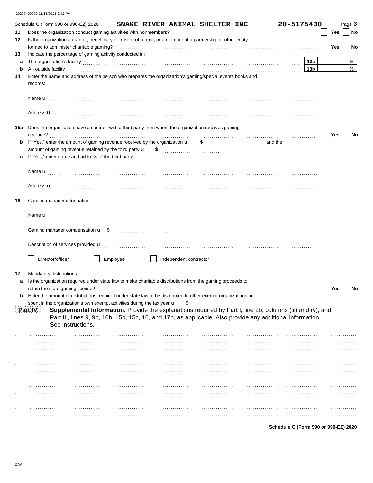|         | Schedule G (Form 990 or 990-EZ) 2020<br>SNAKE RIVER ANIMAL SHELTER INC                                                                                                                                                                                                                                                                     | 20-5175430             |            | Page 3 |  |
|---------|--------------------------------------------------------------------------------------------------------------------------------------------------------------------------------------------------------------------------------------------------------------------------------------------------------------------------------------------|------------------------|------------|--------|--|
| 11      |                                                                                                                                                                                                                                                                                                                                            |                        | Yes        | No     |  |
| 12      | Is the organization a grantor, beneficiary or trustee of a trust, or a member of a partnership or other entity                                                                                                                                                                                                                             |                        |            |        |  |
|         |                                                                                                                                                                                                                                                                                                                                            |                        | <b>Yes</b> | No     |  |
| 13      | Indicate the percentage of gaming activity conducted in:                                                                                                                                                                                                                                                                                   |                        |            |        |  |
| a       | The organization's facility encourance and contact the contact of the contact of the contact of the contact of the contact of the contact of the contact of the contact of the contact of the contact of the contact of the co                                                                                                             | 13а<br>13 <sub>b</sub> |            | %<br>% |  |
| b<br>14 | An outside facility with contact the contract of a contract of a contract of a contract of a contract of a contract of a contract of a contract of a contract of a contract of a contract of a contract of a contract of a con<br>Enter the name and address of the person who prepares the organization's gaming/special events books and |                        |            |        |  |
|         | records:                                                                                                                                                                                                                                                                                                                                   |                        |            |        |  |
|         |                                                                                                                                                                                                                                                                                                                                            |                        |            |        |  |
|         | Address U                                                                                                                                                                                                                                                                                                                                  |                        |            |        |  |
| 15a     | Does the organization have a contract with a third party from whom the organization receives gaming                                                                                                                                                                                                                                        |                        | Yes        | No     |  |
| b       |                                                                                                                                                                                                                                                                                                                                            |                        |            |        |  |
|         |                                                                                                                                                                                                                                                                                                                                            |                        |            |        |  |
| c       | If "Yes," enter name and address of the third party:                                                                                                                                                                                                                                                                                       |                        |            |        |  |
|         |                                                                                                                                                                                                                                                                                                                                            |                        |            |        |  |
|         |                                                                                                                                                                                                                                                                                                                                            |                        |            |        |  |
|         | Address U                                                                                                                                                                                                                                                                                                                                  |                        |            |        |  |
| 16      | Gaming manager information:                                                                                                                                                                                                                                                                                                                |                        |            |        |  |
|         |                                                                                                                                                                                                                                                                                                                                            |                        |            |        |  |
|         |                                                                                                                                                                                                                                                                                                                                            |                        |            |        |  |
|         | Description of services provided U entertainment contains and a service of the service of the services provided U                                                                                                                                                                                                                          |                        |            |        |  |
|         | Director/officer<br>Employee<br>Independent contractor                                                                                                                                                                                                                                                                                     |                        |            |        |  |
| 17      | Mandatory distributions:                                                                                                                                                                                                                                                                                                                   |                        |            |        |  |
| a       | Is the organization required under state law to make charitable distributions from the gaming proceeds to                                                                                                                                                                                                                                  |                        |            |        |  |
|         | retain the state gaming license?                                                                                                                                                                                                                                                                                                           |                        | Yes        | No     |  |
|         | Enter the amount of distributions required under state law to be distributed to other exempt organizations or                                                                                                                                                                                                                              |                        |            |        |  |
|         | spent in the organization's own exempt activities during the tax year U                                                                                                                                                                                                                                                                    |                        |            |        |  |
|         | Supplemental Information. Provide the explanations required by Part I, line 2b, columns (iii) and (v); and<br>Part IV<br>Part III, lines 9, 9b, 10b, 15b, 15c, 16, and 17b, as applicable. Also provide any additional information.<br>See instructions.                                                                                   |                        |            |        |  |
|         |                                                                                                                                                                                                                                                                                                                                            |                        |            |        |  |
|         |                                                                                                                                                                                                                                                                                                                                            |                        |            |        |  |
|         |                                                                                                                                                                                                                                                                                                                                            |                        |            |        |  |
|         |                                                                                                                                                                                                                                                                                                                                            |                        |            |        |  |
|         |                                                                                                                                                                                                                                                                                                                                            |                        |            |        |  |
|         |                                                                                                                                                                                                                                                                                                                                            |                        |            |        |  |
|         |                                                                                                                                                                                                                                                                                                                                            |                        |            |        |  |
|         |                                                                                                                                                                                                                                                                                                                                            |                        |            |        |  |
|         |                                                                                                                                                                                                                                                                                                                                            |                        |            |        |  |
|         |                                                                                                                                                                                                                                                                                                                                            |                        |            |        |  |
|         |                                                                                                                                                                                                                                                                                                                                            |                        |            |        |  |
|         |                                                                                                                                                                                                                                                                                                                                            |                        |            |        |  |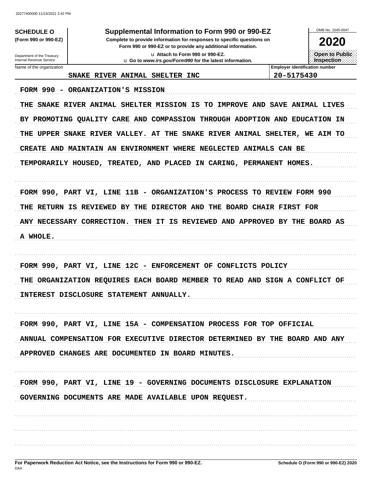**SCHEDULE O** (Form 990 or 990-EZ)

### Supplemental Information to Form 990 or 990-EZ

Complete to provide information for responses to specific questions on Form 990 or 990-EZ or to provide any additional information.

> U Attach to Form 990 or 990-EZ. U Go to www.irs.gov/Form990 for the latest information.

Open to Public **Inspection** 

OMB No. 1545-0047

2020

Department of the Treasury Internal Revenue Service Name of the organization

SNAKE RIVER ANIMAL SHELTER INC

**Employer identification number** 20-5175430

FORM 990 - ORGANIZATION'S MISSION

THE SNAKE RIVER ANIMAL SHELTER MISSION IS TO IMPROVE AND SAVE ANIMAL LIVES BY PROMOTING QUALITY CARE AND COMPASSION THROUGH ADOPTION AND EDUCATION IN THE UPPER SNAKE RIVER VALLEY. AT THE SNAKE RIVER ANIMAL SHELTER, WE AIM TO CREATE AND MAINTAIN AN ENVIRONMENT WHERE NEGLECTED ANIMALS CAN BE TEMPORARILY HOUSED, TREATED, AND PLACED IN CARING, PERMANENT HOMES.

FORM 990, PART VI, LINE 11B - ORGANIZATION'S PROCESS TO REVIEW FORM 990 THE RETURN IS REVIEWED BY THE DIRECTOR AND THE BOARD CHAIR FIRST FOR ANY NECESSARY CORRECTION. THEN IT IS REVIEWED AND APPROVED BY THE BOARD AS A WHOLE.

FORM 990, PART VI, LINE 12C - ENFORCEMENT OF CONFLICTS POLICY THE ORGANIZATION REQUIRES EACH BOARD MEMBER TO READ AND SIGN A CONFLICT OF INTEREST DISCLOSURE STATEMENT ANNUALLY.

FORM 990, PART VI, LINE 15A - COMPENSATION PROCESS FOR TOP OFFICIAL ANNUAL COMPENSATION FOR EXECUTIVE DIRECTOR DETERMINED BY THE BOARD AND ANY APPROVED CHANGES ARE DOCUMENTED IN BOARD MINUTES.

FORM 990, PART VI, LINE 19 - GOVERNING DOCUMENTS DISCLOSURE EXPLANATION GOVERNING DOCUMENTS ARE MADE AVAILABLE UPON REQUEST.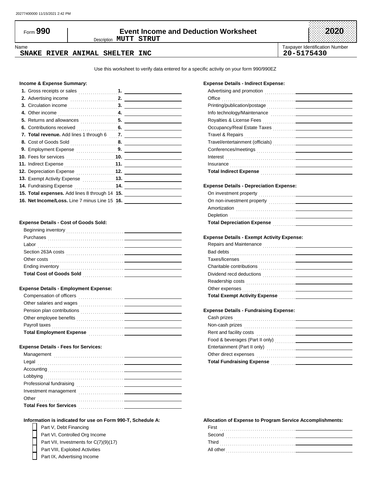Description **MUTT STRUT**

Name **Taxpayer Identification Number** Number 1, 1999, 1999, 1999, 1999, 1999, 1999, 1999, 1999, 1999, 1999, 1999, 1999, 1999, 1999, 1999, 1999, 1999, 1999, 1999, 1999, 1999, 1999, 1999, 1999, 1999, 1999, 1999, 1999, 1999,

### **SNAKE RIVER ANIMAL SHELTER INC 20-5175430**

Use this worksheet to verify data entered for a specific activity on your form 990/990EZ

### **Income & Expense Summary:**

| 12. Depreciation Expense 2010 12. 2020 12. 2020 12. 2020 12. 2020 12. 2020 12. 2020 12. 2020 12. 2020 12. 2020 |  |
|----------------------------------------------------------------------------------------------------------------|--|
|                                                                                                                |  |
|                                                                                                                |  |
| 15. Total expenses. Add lines 8 through 14 15.                                                                 |  |
| 16. Net Income/Loss. Line 7 minus Line 15 16.                                                                  |  |

### **Expense Details - Cost of Goods Sold:**

| Beginning inventory             |  |
|---------------------------------|--|
| Purchases                       |  |
| Labor                           |  |
| Section 263A costs              |  |
| Other costs                     |  |
| Ending inventory                |  |
| <b>Total Cost of Goods Sold</b> |  |
|                                 |  |

#### **Expense Details - Employment Expense:**

| Compensation of officers        |  |
|---------------------------------|--|
|                                 |  |
| Pension plan contributions      |  |
| Other employee benefits         |  |
| Payroll taxes                   |  |
| <b>Total Employment Expense</b> |  |

### **Expense Details - Fees for Services:**

| Management                     |                                                                                                                                                                                                                                |
|--------------------------------|--------------------------------------------------------------------------------------------------------------------------------------------------------------------------------------------------------------------------------|
|                                |                                                                                                                                                                                                                                |
|                                | Accounting resolution of the contract of the contract of the contract of the contract of the contract of the contract of the contract of the contract of the contract of the contract of the contract of the contract of the c |
|                                |                                                                                                                                                                                                                                |
|                                |                                                                                                                                                                                                                                |
|                                |                                                                                                                                                                                                                                |
| Other                          |                                                                                                                                                                                                                                |
| <b>Total Fees for Services</b> |                                                                                                                                                                                                                                |
|                                |                                                                                                                                                                                                                                |

### **Expense Details - Indirect Expense:**

| Office                                                                 |
|------------------------------------------------------------------------|
|                                                                        |
|                                                                        |
|                                                                        |
|                                                                        |
|                                                                        |
|                                                                        |
|                                                                        |
|                                                                        |
| Insurance                                                              |
| Total Indirect Expense <b>container the Contract of Total Indirect</b> |
|                                                                        |

#### **Expense Details - Depreciation Expense:**

| Amortization                      |
|-----------------------------------|
| Depletion                         |
| <b>Total Depreciation Expense</b> |

#### **Expense Details - Exempt Activity Expense:**

| Repairs and Maintenance<br>. <del>.</del>                                |
|--------------------------------------------------------------------------|
| <b>Bad debts</b>                                                         |
| Taxes/licenses                                                           |
| Charitable contributions<br>. <del>.</del>                               |
| Dividend recd deductions<br>the control of the control of the control of |
| Readership costs                                                         |
| Other expenses                                                           |
| <b>Total Exempt Activity Expense</b>                                     |
|                                                                          |

#### **Expense Details - Fundraising Expense:**

| Cash prizes                                                  |
|--------------------------------------------------------------|
| Non-cash prizes                                              |
| Rent and facility costs                                      |
|                                                              |
| Entertainment (Part II only)                                 |
| Other direct expenses<br>the contract of the contract of the |
| <b>Total Fundraising Expense</b>                             |
|                                                              |

### **Information is indicated for use on Form 990-T, Schedule A:**

Part V, Debt Financing Part VIII, Exploited Activities Part VI, Controlled Org Income Part VII, Investments for C(7)(9)(17)

#### Part IX, Advertising Income

| First             | . | . |  |
|-------------------|---|---|--|
| Second<br>.       |   |   |  |
| <b>Third</b><br>. |   |   |  |
| All other         | . |   |  |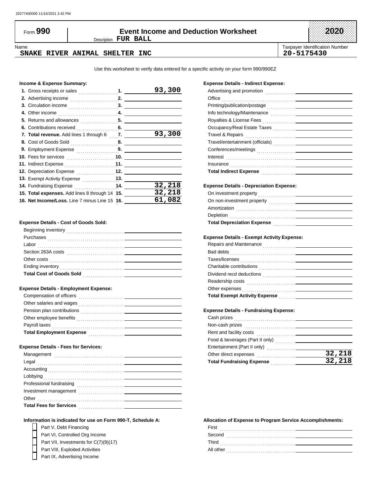Description **FUR BALL**

Name **Taxpayer Identification Number** Number 1, 1999, 1999, 1999, 1999, 1999, 1999, 1999, 1999, 1999, 1999, 1999, 1999, 1999, 1999, 1999, 1999, 1999, 1999, 1999, 1999, 1999, 1999, 1999, 1999, 1999, 1999, 1999, 1999, 1999,

### **SNAKE RIVER ANIMAL SHELTER INC 20-5175430**

Use this worksheet to verify data entered for a specific activity on your form 990/990EZ

### **Income & Expense Summary:**

|                                                                      | 93,300 |
|----------------------------------------------------------------------|--------|
|                                                                      |        |
| 3. Circulation income $\begin{array}{ccc} . & . & . & . \end{array}$ |        |
|                                                                      |        |
|                                                                      |        |
|                                                                      |        |
| 7. Total revenue. Add lines 1 through 6 7.                           | 93,300 |
|                                                                      |        |
|                                                                      |        |
|                                                                      |        |
| 11. Indirect Expense <b>Constant 11.</b>                             |        |
| 12. Depreciation Expense 12.                                         |        |
|                                                                      |        |
| 14. Fundraising Expense 14.                                          | 32,218 |
| 15. Total expenses. Add lines 8 through 14 15.                       | 32,218 |
| 16. Net Income/Loss. Line 7 minus Line 15 16.                        | 61,082 |

### **Expense Details - Cost of Goods Sold:**

| Beginning inventory             |
|---------------------------------|
| Purchases                       |
| Labor                           |
| Section 263A costs              |
| Other costs                     |
| <b>Ending inventory</b>         |
| <b>Total Cost of Goods Sold</b> |
|                                 |

### **Expense Details - Employment Expense:**

| Compensation of officers                                                                                    |  |
|-------------------------------------------------------------------------------------------------------------|--|
| Other salaries and wages<br>the contract of the contract of the contract of the contract of the contract of |  |
| Pension plan contributions<br>the contract of the contract of the contract of                               |  |
| Other employee benefits                                                                                     |  |
| Payroll taxes                                                                                               |  |
| <b>Total Employment Expense</b>                                                                             |  |

### **Expense Details - Fees for Services:**

| <b>Total Fees for Services</b>                                                                                                                                                                                                     |  |
|------------------------------------------------------------------------------------------------------------------------------------------------------------------------------------------------------------------------------------|--|
| Other                                                                                                                                                                                                                              |  |
|                                                                                                                                                                                                                                    |  |
| Professional fundraising<br><br>The continuum of the continuum of the continuum of the continuum of the continuum of the continuum of the continuum of the continuum of the continuum of the continuum of the continuum of the con |  |
|                                                                                                                                                                                                                                    |  |
|                                                                                                                                                                                                                                    |  |
|                                                                                                                                                                                                                                    |  |
|                                                                                                                                                                                                                                    |  |

### **Expense Details - Indirect Expense:**

| Office                                                                                                                                                                                                                               |
|--------------------------------------------------------------------------------------------------------------------------------------------------------------------------------------------------------------------------------------|
|                                                                                                                                                                                                                                      |
|                                                                                                                                                                                                                                      |
|                                                                                                                                                                                                                                      |
| Occupancy/Real Estate Taxes <b>Construction</b> and the construction of the construction of the construction of the construction of the construction of the construction of the construction of the construction of the constructio  |
|                                                                                                                                                                                                                                      |
|                                                                                                                                                                                                                                      |
|                                                                                                                                                                                                                                      |
| Interest <b>contract and the contract of the contract of the contract of the contract of the contract of the contract of the contract of the contract of the contract of the contract of the contract of the contract of the con</b> |
| Insurance                                                                                                                                                                                                                            |
| Total Indirect Expense Manuel Allen Manuel Allen Manuel Allen Manuel Allen Manuel Allen Manuel Allen                                                                                                                                 |
|                                                                                                                                                                                                                                      |

### **Expense Details - Depreciation Expense:**

| On non-investment property<br>the contract of the contract of the contract of the contract of the contract of |
|---------------------------------------------------------------------------------------------------------------|
| Amortization                                                                                                  |
| Depletion<br><u> 1980 - Jan Sterling von de Frankrijke kommunister († 1908)</u>                               |
| <b>Total Depreciation Expense</b>                                                                             |

#### **Expense Details - Exempt Activity Expense:**

| Repairs and Maintenance                                                     |
|-----------------------------------------------------------------------------|
| <b>Bad debts</b>                                                            |
| Taxes/licenses                                                              |
| Charitable contributions                                                    |
| Dividend recd deductions<br>the contract of the contract of the contract of |
|                                                                             |
| Other expenses                                                              |
| Total Exempt Activity Expense [11, 11, 11]                                  |
|                                                                             |

#### **Expense Details - Fundraising Expense:**

| Cash prizes                               |        |
|-------------------------------------------|--------|
| Non-cash prizes                           |        |
| Rent and facility costs<br>. <del>.</del> |        |
| Food & beverages (Part II only)           |        |
| Entertainment (Part II only)              |        |
| Other direct expenses                     | 32,218 |
| <b>Total Fundraising Expense</b>          | 32,218 |
|                                           |        |

### **Information is indicated for use on Form 990-T, Schedule A:**

Part V, Debt Financing Part VIII, Exploited Activities Part VI, Controlled Org Income Part VII, Investments for C(7)(9)(17)

Part IX, Advertising Income

| First             | . | . |  |
|-------------------|---|---|--|
| Second<br>.       |   |   |  |
| <b>Third</b><br>. |   |   |  |
| All other         | . |   |  |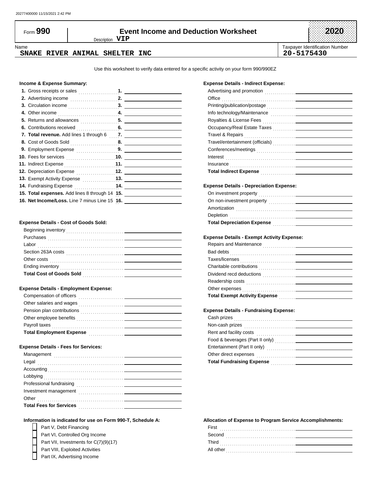Description **VIP** 

Name **Taxpayer Identification Number** Number 1, 1999, 1999, 1999, 1999, 1999, 1999, 1999, 1999, 1999, 1999, 1999, 1999, 1999, 1999, 1999, 1999, 1999, 1999, 1999, 1999, 1999, 1999, 1999, 1999, 1999, 1999, 1999, 1999, 1999,

### **SNAKE RIVER ANIMAL SHELTER INC 20-5175430**

Use this worksheet to verify data entered for a specific activity on your form 990/990EZ

### **Income & Expense Summary:**

| 12. Depreciation Expense 2010 12. 2020 12. 2020 12. 2020 12. 2020 12. 2020 12. 2020 12. 2020 12. 2020 12. 2020 |  |
|----------------------------------------------------------------------------------------------------------------|--|
|                                                                                                                |  |
|                                                                                                                |  |
| 15. Total expenses. Add lines 8 through 14 15.                                                                 |  |
| 16. Net Income/Loss. Line 7 minus Line 15 16.                                                                  |  |

### **Expense Details - Cost of Goods Sold:**

| Beginning inventory             |  |
|---------------------------------|--|
| Purchases                       |  |
| Labor                           |  |
| Section 263A costs              |  |
| Other costs                     |  |
| <b>Ending inventory</b>         |  |
| <b>Total Cost of Goods Sold</b> |  |
|                                 |  |

### **Expense Details - Employment Expense:**

| Compensation of officers                                                                                    |  |
|-------------------------------------------------------------------------------------------------------------|--|
| Other salaries and wages<br>the contract of the contract of the contract of the contract of the contract of |  |
| Pension plan contributions<br>the contract of the contract of the contract of                               |  |
| Other employee benefits                                                                                     |  |
| Payroll taxes                                                                                               |  |
| <b>Total Employment Expense</b>                                                                             |  |

### **Expense Details - Fees for Services:**

| Management                     |                                                                                                                                                                                                                                |
|--------------------------------|--------------------------------------------------------------------------------------------------------------------------------------------------------------------------------------------------------------------------------|
|                                |                                                                                                                                                                                                                                |
|                                | Accounting resolution of the contract of the contract of the contract of the contract of the contract of the contract of the contract of the contract of the contract of the contract of the contract of the contract of the c |
|                                |                                                                                                                                                                                                                                |
|                                |                                                                                                                                                                                                                                |
|                                |                                                                                                                                                                                                                                |
| Other                          |                                                                                                                                                                                                                                |
| <b>Total Fees for Services</b> |                                                                                                                                                                                                                                |
|                                |                                                                                                                                                                                                                                |

### **Expense Details - Indirect Expense:**

| Office    |
|-----------|
|           |
|           |
|           |
|           |
|           |
|           |
|           |
|           |
| Insurance |
|           |
|           |

#### **Expense Details - Depreciation Expense:**

| Amortization                                                                                                                 |
|------------------------------------------------------------------------------------------------------------------------------|
| Depletion<br>the contract of the contract of the contract of the contract of the contract of the contract of the contract of |
| <b>Total Depreciation Expense</b>                                                                                            |

#### **Expense Details - Exempt Activity Expense:**

| Repairs and Maintenance<br>. <del>.</del>                                |
|--------------------------------------------------------------------------|
| <b>Bad debts</b>                                                         |
| Taxes/licenses                                                           |
| Charitable contributions<br>. <del>.</del>                               |
| Dividend recd deductions<br>the control of the control of the control of |
| Readership costs                                                         |
| Other expenses                                                           |
| <b>Total Exempt Activity Expense</b>                                     |
|                                                                          |

#### **Expense Details - Fundraising Expense:**

| Cash prizes                             |
|-----------------------------------------|
|                                         |
| Rent and facility costs                 |
|                                         |
| Entertainment (Part II only)            |
| Other direct expenses<br>. <del>.</del> |
| <b>Total Fundraising Expense</b>        |
|                                         |

### **Information is indicated for use on Form 990-T, Schedule A:**

Part V, Debt Financing Part VIII, Exploited Activities Part VI, Controlled Org Income Part VII, Investments for C(7)(9)(17)

#### Part IX, Advertising Income

| First        |  |  |
|--------------|--|--|
| Second       |  |  |
| <b>Third</b> |  |  |
| All other    |  |  |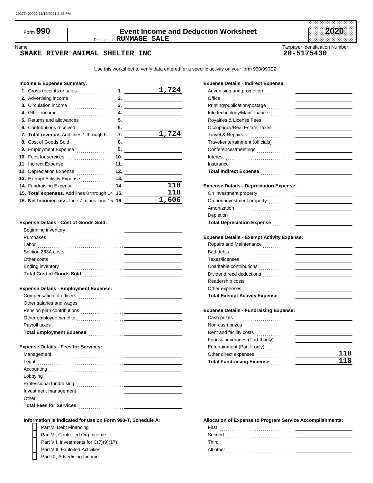## Description **RUMMAGE SALE**

Name **Taxpayer Identification Number** Number 1, 1999, 1999, 1999, 1999, 1999, 1999, 1999, 1999, 1999, 1999, 1999, 1999, 1999, 1999, 1999, 1999, 1999, 1999, 1999, 1999, 1999, 1999, 1999, 1999, 1999, 1999, 1999, 1999, 1999,

### **SNAKE RIVER ANIMAL SHELTER INC 20-5175430**

Use this worksheet to verify data entered for a specific activity on your form 990/990EZ

### **Income & Expense Summary:**

|                                                                      | 1,724 |
|----------------------------------------------------------------------|-------|
|                                                                      |       |
| 3. Circulation income $\begin{array}{ccc} . & . & . & . \end{array}$ |       |
|                                                                      |       |
|                                                                      |       |
|                                                                      |       |
| 7. Total revenue. Add lines 1 through 6 7.                           | 1,724 |
|                                                                      |       |
|                                                                      |       |
|                                                                      |       |
|                                                                      |       |
| 12. Depreciation Expense 12.                                         |       |
|                                                                      |       |
| 14. Fundraising Expense 14.                                          | 118   |
| 15. Total expenses. Add lines 8 through 14 15.                       | 118   |
| 16. Net Income/Loss. Line 7 minus Line 15 16.                        | 1,60  |

### **Expense Details - Cost of Goods Sold:**

| Beginning inventory             |
|---------------------------------|
| Purchases                       |
| Labor                           |
| Section 263A costs              |
| Other costs                     |
| <b>Ending inventory</b>         |
| <b>Total Cost of Goods Sold</b> |
|                                 |

### **Expense Details - Employment Expense:**

| Compensation of officers                                                                                    |  |
|-------------------------------------------------------------------------------------------------------------|--|
| Other salaries and wages<br>the contract of the contract of the contract of the contract of the contract of |  |
| Pension plan contributions<br>the contract of the contract of the contract of                               |  |
| Other employee benefits                                                                                     |  |
| Payroll taxes                                                                                               |  |
| <b>Total Employment Expense</b>                                                                             |  |

### **Expense Details - Fees for Services:**

| Management                     |                                                                                                                                                                                                                                |
|--------------------------------|--------------------------------------------------------------------------------------------------------------------------------------------------------------------------------------------------------------------------------|
|                                |                                                                                                                                                                                                                                |
|                                | Accounting resolution of the contract of the contract of the contract of the contract of the contract of the contract of the contract of the contract of the contract of the contract of the contract of the contract of the c |
|                                |                                                                                                                                                                                                                                |
|                                |                                                                                                                                                                                                                                |
|                                |                                                                                                                                                                                                                                |
| Other                          |                                                                                                                                                                                                                                |
| <b>Total Fees for Services</b> |                                                                                                                                                                                                                                |
|                                |                                                                                                                                                                                                                                |

### **Expense Details - Indirect Expense:**

| Info technology/Maintenance contains a contact of the state of the state of the state of the state of the state of the state of the state of the state of the state of the state of the state of the state of the state of the |  |
|--------------------------------------------------------------------------------------------------------------------------------------------------------------------------------------------------------------------------------|--|
|                                                                                                                                                                                                                                |  |
|                                                                                                                                                                                                                                |  |
|                                                                                                                                                                                                                                |  |
|                                                                                                                                                                                                                                |  |
|                                                                                                                                                                                                                                |  |
| $\blacksquare$                                                                                                                                                                                                                 |  |
| Insurance                                                                                                                                                                                                                      |  |
|                                                                                                                                                                                                                                |  |
|                                                                                                                                                                                                                                |  |

### **Expense Details - Depreciation Expense:**

| On non-investment property<br><u> 1988 - January Land, american american american a</u> |  |
|-----------------------------------------------------------------------------------------|--|
| Amortization                                                                            |  |
| Depletion<br><u> 1980 - Johann Stein, fransk politiker (d. 1980)</u>                    |  |
| <b>Total Depreciation Expense</b>                                                       |  |

#### **Expense Details - Exempt Activity Expense:**

| Repairs and Maintenance              |
|--------------------------------------|
| <b>Bad debts</b>                     |
| Taxes/licenses                       |
| Charitable contributions             |
| Dividend recd deductions             |
| Readership costs                     |
| Other expenses                       |
| <b>Total Exempt Activity Expense</b> |
|                                      |

#### **Expense Details - Fundraising Expense:**

| Cash prizes                                                                                                                                                                                                                                                              |     |
|--------------------------------------------------------------------------------------------------------------------------------------------------------------------------------------------------------------------------------------------------------------------------|-----|
| Non-cash prizes                                                                                                                                                                                                                                                          |     |
| Rent and facility costs                                                                                                                                                                                                                                                  |     |
|                                                                                                                                                                                                                                                                          |     |
| Entertainment (Part II only)                                                                                                                                                                                                                                             |     |
| Other direct expenses                                                                                                                                                                                                                                                    | 118 |
| <b>Total Fundraising Expense</b><br><u>and the state of the state of the state of the state of the state of the state of the state of the state of the state of the state of the state of the state of the state of the state of the state of the state of the state</u> | 118 |
|                                                                                                                                                                                                                                                                          |     |

### **Information is indicated for use on Form 990-T, Schedule A:**

Part V, Debt Financing Part VIII, Exploited Activities Part VI, Controlled Org Income Part VII, Investments for C(7)(9)(17)

Part IX, Advertising Income

| First             |  |
|-------------------|--|
| Second            |  |
| <b>Third</b><br>. |  |
| All other<br>.    |  |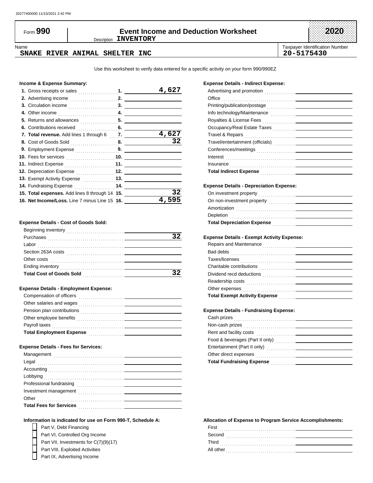Description **INVENTORY**

Name **Taxpayer Identification Number** Number 1, 1999, 1999, 1999, 1999, 1999, 1999, 1999, 1999, 1999, 1999, 1999, 1999, 1999, 1999, 1999, 1999, 1999, 1999, 1999, 1999, 1999, 1999, 1999, 1999, 1999, 1999, 1999, 1999, 1999,

### **SNAKE RIVER ANIMAL SHELTER INC 20-5175430**

Use this worksheet to verify data entered for a specific activity on your form 990/990EZ

### **Income & Expense Summary:**

|                                                                      | 4,627 |
|----------------------------------------------------------------------|-------|
|                                                                      |       |
| 3. Circulation income $\begin{array}{ccc} . & . & . & . \end{array}$ |       |
|                                                                      |       |
|                                                                      |       |
|                                                                      |       |
| 7. Total revenue. Add lines 1 through 6 7.                           | 4,627 |
|                                                                      | 32    |
|                                                                      |       |
|                                                                      |       |
|                                                                      |       |
| 12. Depreciation Expense 12.                                         |       |
| 13. Exempt Activity Expense <b>13.</b>                               |       |
| 14. Fundraising Expense 14.                                          |       |
| 15. Total expenses. Add lines 8 through 14 15.                       | 32    |
| 16. Net Income/Loss. Line 7 minus Line 15 16.                        | 4,59  |

### **Expense Details - Cost of Goods Sold:**

| Beginning inventory             |  |
|---------------------------------|--|
| Purchases                       |  |
| Labor                           |  |
| Section 263A costs              |  |
| Other costs                     |  |
| <b>Ending inventory</b>         |  |
| <b>Total Cost of Goods Sold</b> |  |
|                                 |  |

#### **Expense Details - Employment Expense:**

| Compensation of officers        |  |
|---------------------------------|--|
| Other salaries and wages        |  |
| Pension plan contributions      |  |
| Other employee benefits         |  |
| Payroll taxes                   |  |
| <b>Total Employment Expense</b> |  |

#### **Expense Details - Fees for Services:**

| Management                     |  |
|--------------------------------|--|
|                                |  |
|                                |  |
|                                |  |
|                                |  |
| Investment management          |  |
| Other                          |  |
| <b>Total Fees for Services</b> |  |

### **Expense Details - Indirect Expense:**

| Office                                                                                                                                                                                                                               |  |
|--------------------------------------------------------------------------------------------------------------------------------------------------------------------------------------------------------------------------------------|--|
|                                                                                                                                                                                                                                      |  |
|                                                                                                                                                                                                                                      |  |
|                                                                                                                                                                                                                                      |  |
| Occupancy/Real Estate Taxes <b>Construction</b>                                                                                                                                                                                      |  |
|                                                                                                                                                                                                                                      |  |
|                                                                                                                                                                                                                                      |  |
|                                                                                                                                                                                                                                      |  |
| Interest<br><u> </u>                                                                                                                                                                                                                 |  |
|                                                                                                                                                                                                                                      |  |
|                                                                                                                                                                                                                                      |  |
|                                                                                                                                                                                                                                      |  |
| <b>Expense Details - Depreciation Expense:</b>                                                                                                                                                                                       |  |
| On investment property <b>container and the contact of the contact of the contact of the contact of the contact of the contact of the contact of the contact of the contact of the contact of the contact of the contact of the </b> |  |
|                                                                                                                                                                                                                                      |  |
|                                                                                                                                                                                                                                      |  |
|                                                                                                                                                                                                                                      |  |
| Total Depreciation Expense [11] [11] Total Depreciation Expense [11] [11] Total Department                                                                                                                                           |  |
|                                                                                                                                                                                                                                      |  |
| <b>Expense Details - Exempt Activity Expense:</b>                                                                                                                                                                                    |  |
| Repairs and Maintenance <b>Community</b> and Maintenance <b>Community</b> and Maintenance <b>Community</b>                                                                                                                           |  |
|                                                                                                                                                                                                                                      |  |
|                                                                                                                                                                                                                                      |  |
|                                                                                                                                                                                                                                      |  |
|                                                                                                                                                                                                                                      |  |
|                                                                                                                                                                                                                                      |  |
|                                                                                                                                                                                                                                      |  |
| Total Exempt Activity Expense <b>Construct Activity</b>                                                                                                                                                                              |  |
|                                                                                                                                                                                                                                      |  |
| <b>Expense Details - Fundraising Expense:</b>                                                                                                                                                                                        |  |
|                                                                                                                                                                                                                                      |  |
|                                                                                                                                                                                                                                      |  |
|                                                                                                                                                                                                                                      |  |

#### **Allocation of Expense to Program Service Accomplishments:**

**Total Fundraising Expense** . . . . . . . . . . . . . .

Food & beverages (Part II only) <sub>.</sub> . . . . . . . . . Entertainment (Part II only)<br>
..............

Other direct expenses . . . . . . . . . . . . . . . . . . . . .

| First        |  |
|--------------|--|
| Second       |  |
| <b>Third</b> |  |
| All other    |  |
| .            |  |

Part V, Debt Financing Part VIII, Exploited Activities Part VI, Controlled Org Income Part VII, Investments for C(7)(9)(17)

Part IX, Advertising Income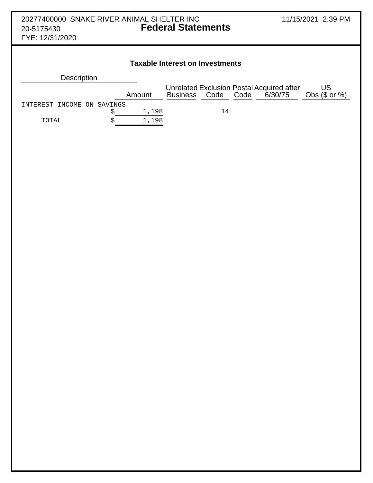| 20277400000 SNAKE RIVER ANIMAL SHELTER INC<br><b>Federal Statements</b><br>20-5175430<br>FYE: 12/31/2020 | 11/15/2021 2:39 PM |  |
|----------------------------------------------------------------------------------------------------------|--------------------|--|
|                                                                                                          |                    |  |

## **Taxable Interest on Investments**

| Description                |        |                 |      |      |                                                      |                        |
|----------------------------|--------|-----------------|------|------|------------------------------------------------------|------------------------|
|                            | Amount | <b>Business</b> | Code | Code | Unrelated Exclusion Postal Acquired after<br>6/30/75 | US<br>Obs $(\$$ or $%$ |
| INTEREST INCOME ON SAVINGS |        |                 |      |      |                                                      |                        |
|                            | 1,198  |                 | 14   |      |                                                      |                        |
| TOTAL                      | 1,198  |                 |      |      |                                                      |                        |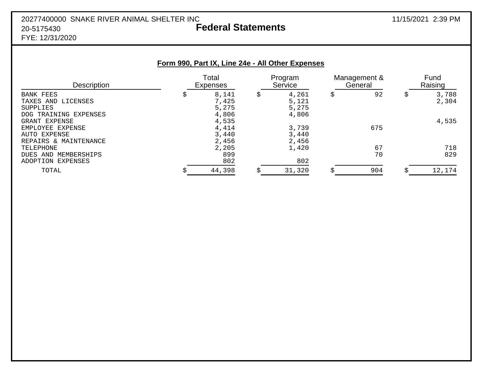# 20277400000 SNAKE RIVER ANIMAL SHELTER INC 11/15/2021 2:39 PM 20-5175430 **Federal Statements**

FYE: 12/31/2020

| Form 990, Part IX, Line 24e - All Other Expenses |   |                          |    |                    |   |                         |   |                 |  |
|--------------------------------------------------|---|--------------------------|----|--------------------|---|-------------------------|---|-----------------|--|
| Description                                      |   | Total<br><b>Expenses</b> |    | Program<br>Service |   | Management &<br>General |   | Fund<br>Raising |  |
| <b>BANK FEES</b>                                 | Ş | 8,141                    | \$ | 4,261              | Ş | 92                      | S | 3,788           |  |
| TAXES AND LICENSES                               |   | 7,425                    |    | 5,121              |   |                         |   | 2,304           |  |
| <b>SUPPLIES</b>                                  |   | 5,275                    |    | 5,275              |   |                         |   |                 |  |
| DOG TRAINING EXPENSES                            |   | 4,806                    |    | 4,806              |   |                         |   |                 |  |
| GRANT EXPENSE                                    |   | 4,535                    |    |                    |   |                         |   | 4,535           |  |
| EMPLOYEE EXPENSE                                 |   | 4,414                    |    | 3,739              |   | 675                     |   |                 |  |
| AUTO EXPENSE                                     |   | 3,440                    |    | 3,440              |   |                         |   |                 |  |
| REPAIRS & MAINTENANCE                            |   | 2,456                    |    | 2,456              |   |                         |   |                 |  |
| TELEPHONE                                        |   | 2,205                    |    | 1,420              |   | 67                      |   | 718             |  |
| MEMBERSHIPS<br>DUES AND                          |   | 899                      |    |                    |   | 70                      |   | 829             |  |
| ADOPTION EXPENSES                                |   | 802                      |    | 802                |   |                         |   |                 |  |
| TOTAL                                            |   | 44,398                   | S  | 31,320             |   | 904                     |   | 12,174          |  |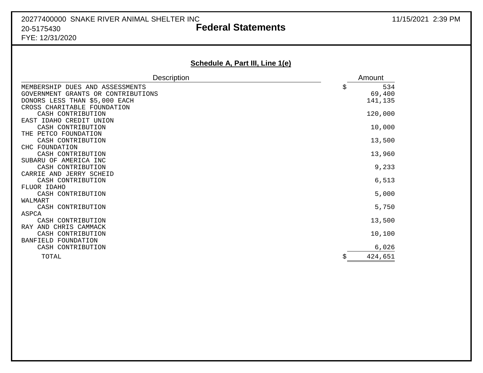### 20277400000 SNAKE RIVER ANIMAL SHELTER INC 11/15/2021 2:39 PM 20-5175430 **Federal Statements** FYE: 12/31/2020

| <b>Schedule A, Part III, Line 1(e)</b>                                                                                                |                                |
|---------------------------------------------------------------------------------------------------------------------------------------|--------------------------------|
| <b>Description</b>                                                                                                                    | Amount                         |
| MEMBERSHIP DUES AND ASSESSMENTS<br>GOVERNMENT GRANTS OR CONTRIBUTIONS<br>DONORS LESS THAN \$5,000 EACH<br>CROSS CHARITABLE FOUNDATION | \$<br>534<br>69,400<br>141,135 |
| CASH CONTRIBUTION<br>EAST IDAHO CREDIT UNION                                                                                          | 120,000                        |
| CASH CONTRIBUTION<br>THE PETCO FOUNDATION                                                                                             | 10,000                         |
| CASH CONTRIBUTION<br>CHC FOUNDATION                                                                                                   | 13,500                         |
| CASH CONTRIBUTION<br>SUBARU OF<br>AMERICA INC                                                                                         | 13,960                         |
| CASH CONTRIBUTION<br>CARRIE AND JERRY SCHEID                                                                                          | 9,233                          |
| CASH CONTRIBUTION<br>FLUOR IDAHO                                                                                                      | 6,513                          |
| CASH CONTRIBUTION<br>WALMART                                                                                                          | 5,000                          |
| CASH CONTRIBUTION<br>ASPCA                                                                                                            | 5,750                          |
| CASH CONTRIBUTION<br>RAY AND CHRIS CAMMACK                                                                                            | 13,500                         |
| CASH CONTRIBUTION<br>BANFIELD FOUNDATION                                                                                              | 10,100                         |
| CASH CONTRIBUTION                                                                                                                     | 6,026                          |

 $\texttt{NOTAL} \quad \texttt{\$} \quad \texttt{424,651}$